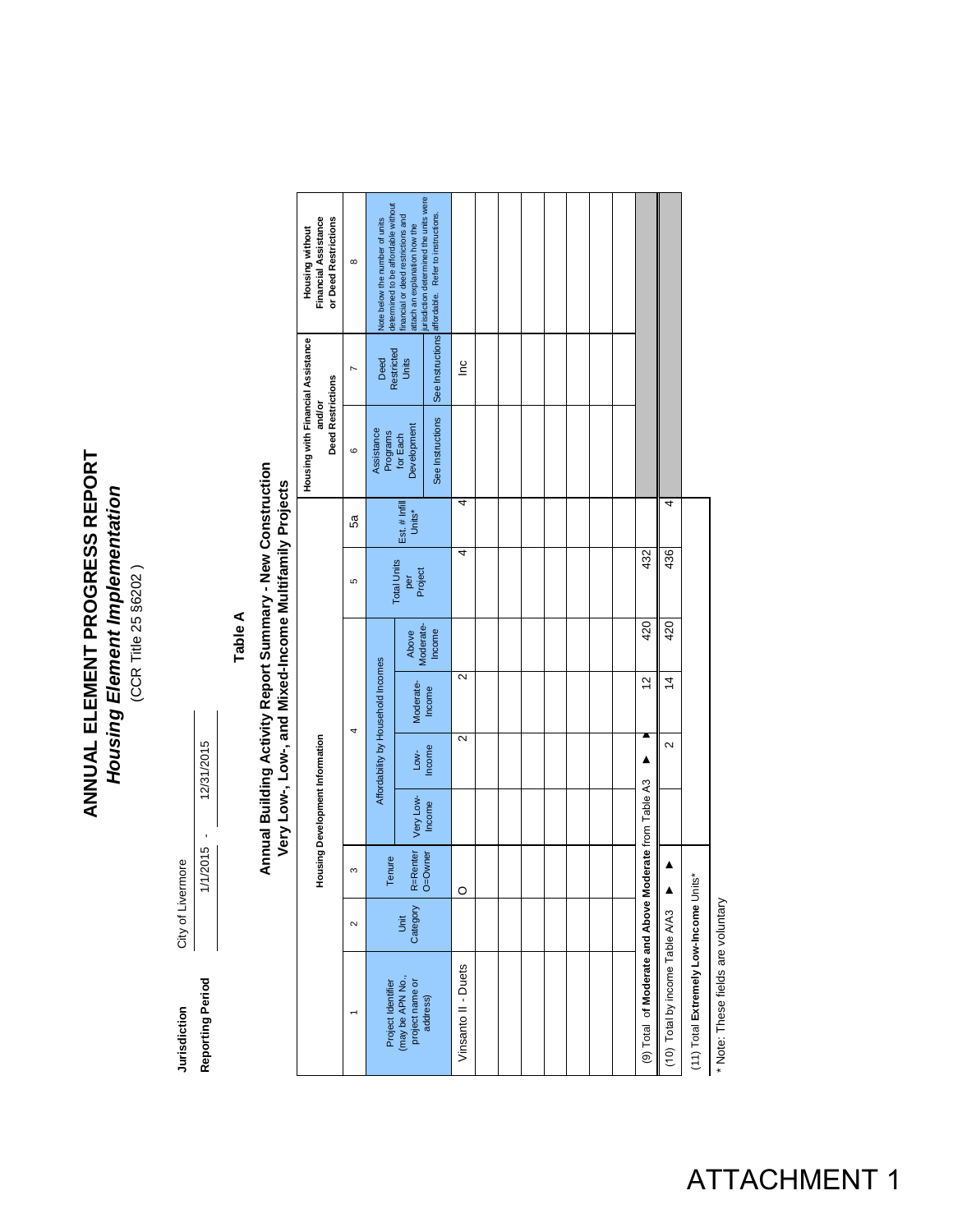### ANNUAL ELEMENT PROGRESS REPORT **ANNUAL ELEMENT PROGRESS REPORT** Housing Element Implementation *Housing Element Implementation* (CCR Title 25 §6202) (CCR Title 25 §6202 )

City of Livermore **Jurisdiction** City of Livermore **Reporting Period** Jurisdiction

12/31/2015 **Reporting Period** 1/1/2015 - 12/31/2015 -  $1/1/2015$ 

**Table A**

## Annual Building Activity Report Summary - New Construction<br>Very Low-, Low-, and Mixed-Income Multifamily Projects **Annual Building Activity Report Summary - New Construction Very Low-, Low-, and Mixed-Income Multifamily Projects**

| Financial Assistance<br>or Deed Restrictions<br>Housing without         | ${}^{\circ}$   | determined to be affordable without<br>Note below the number of units | financial or deed restrictions and<br>attach an explanation how the | urisdiction determined the units were<br>See Instructions affordable. Refer to instructions. |                     |  |  |  |                                                        |                                 |                                        |
|-------------------------------------------------------------------------|----------------|-----------------------------------------------------------------------|---------------------------------------------------------------------|----------------------------------------------------------------------------------------------|---------------------|--|--|--|--------------------------------------------------------|---------------------------------|----------------------------------------|
|                                                                         | $\overline{ }$ | Restricted<br>Deed                                                    | Units                                                               |                                                                                              | $\tilde{E}$         |  |  |  |                                                        |                                 |                                        |
| Housing with Financial Assistance<br><b>Deed Restrictions</b><br>and/or | $\circ$        | Assistance<br>Programs                                                | Development<br>for Each                                             | See Instructions                                                                             |                     |  |  |  |                                                        |                                 |                                        |
|                                                                         | 5a             |                                                                       | Est. # Infill<br>Units*                                             |                                                                                              | 4                   |  |  |  |                                                        |                                 |                                        |
|                                                                         | 5              |                                                                       | <b>Total Units</b><br>Project<br>per                                |                                                                                              | 4                   |  |  |  | 432                                                    | 436                             |                                        |
|                                                                         |                |                                                                       | Moderate-<br>Above                                                  | Income                                                                                       |                     |  |  |  | 420                                                    | 420                             |                                        |
|                                                                         | 4              | Affordability by Household Incomes                                    | Moderate-                                                           | Income                                                                                       | $\mathbf{\Omega}$   |  |  |  | $\frac{1}{2}$                                          | $\overline{4}$                  |                                        |
|                                                                         |                |                                                                       | $Low-$                                                              | Income                                                                                       | $\mathbf{\Omega}$   |  |  |  | ▲                                                      | 2                               |                                        |
| Housing Development Information                                         |                |                                                                       | Very Low-                                                           | Income                                                                                       |                     |  |  |  |                                                        |                                 |                                        |
|                                                                         | S              | Tenure                                                                | R=Renter                                                            | )=Owner                                                                                      | O                   |  |  |  |                                                        |                                 |                                        |
|                                                                         | $\sim$         |                                                                       | Category<br><b>Unit</b>                                             |                                                                                              |                     |  |  |  |                                                        |                                 |                                        |
|                                                                         |                | Project Identifier                                                    | (may be APN No.,<br>project name or<br>address)                     |                                                                                              | Vinsanto II - Duets |  |  |  | (9) Total of Moderate and Above Moderate from Table A3 | (10) Total by income Table A/A3 | (11) Total Extremely Low-Income Units* |

 (11) Total **Extremely Low-Income** Units\* \* Note: These fields are voluntary \* Note: These fields are voluntary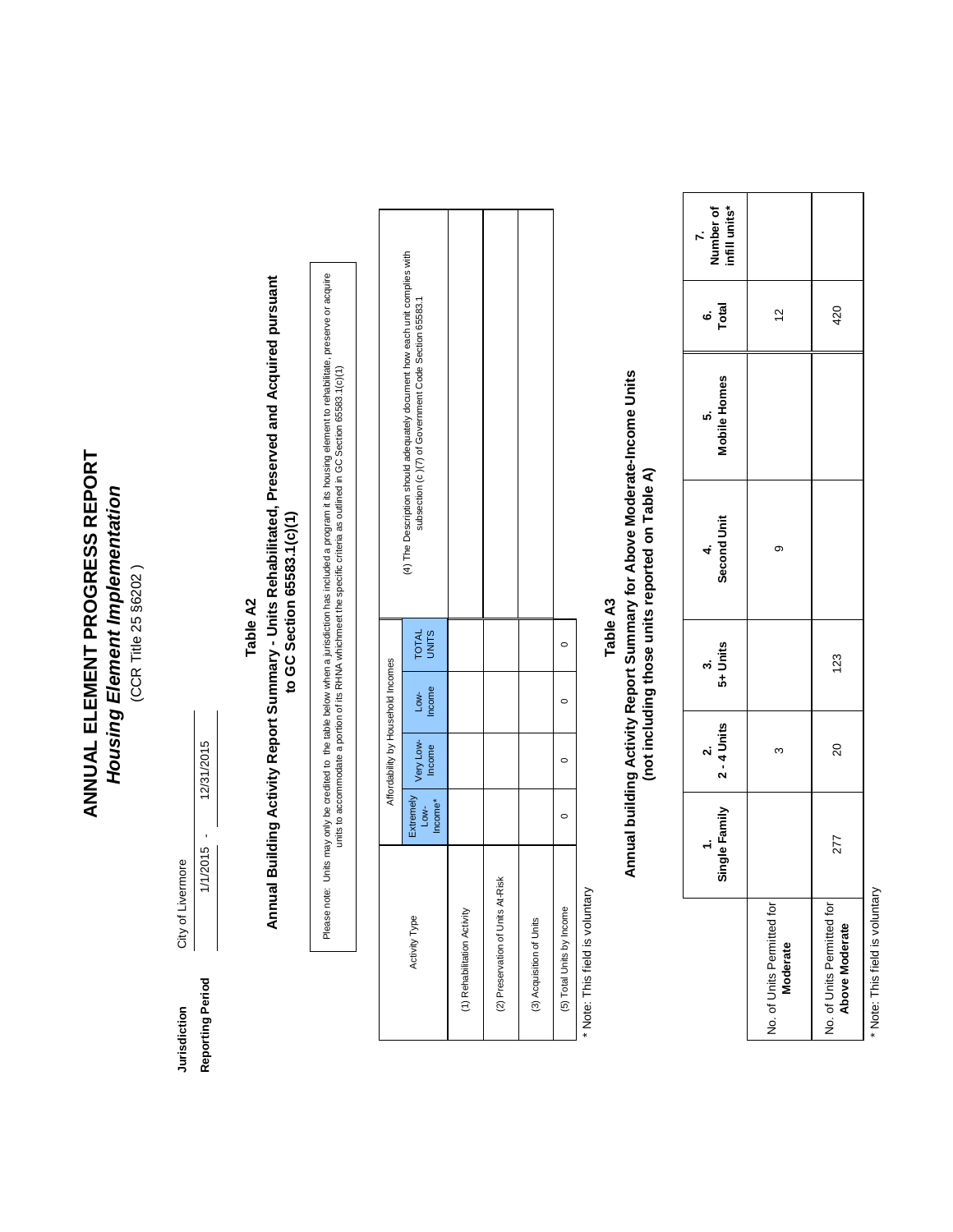### ANNUAL ELEMENT PROGRESS REPORT **ANNUAL ELEMENT PROGRESS REPORT** Housing Element Implementation *Housing Element Implementation* (CCR Title 25 §6202) (CCR Title 25 §6202 )

City of Livermore **Jurisdiction** City of Livermore Reporting Period Jurisdiction

12/31/2015 **Reporting Period** 1/1/2015 - 12/31/2015 -  $1/1/2015$ 

### **Table A2**

# Annual Building Activity Report Summary - Units Rehabilitated, Preserved and Acquired pursuant **Annual Building Activity Report Summary - Units Rehabilitated, Preserved and Acquired pursuant**  to GC Section 65583.1(c)(1) **to GC Section 65583.1(c)(1)**

Please note: Units may only be credited to the table below when a jurisdiction has included a program it its housing element to rehabilitate, preserve or acquire<br>In the monother proportional a portion of its RHNA whichmeet Please note: Units may only be credited to the table below when a jurisdiction has included a program it its housing element to rehabilitate, preserve or acquire units to accommodate a portion of its RHNA whichmeet the specific criteria as outlined in GC Section 65583.1(c)(1)

|                                   |                              | Affordability by Household Incomes |                |                |                                                                                                                                    |
|-----------------------------------|------------------------------|------------------------------------|----------------|----------------|------------------------------------------------------------------------------------------------------------------------------------|
| Activity Type                     | Extremely<br>Low-<br>Income* | Very Low-                          | Low-<br>Income | TOTAL<br>UNITS | (4) The Description should adequately document how each unit complies with<br>subsection (c)(7) of Government Code Section 65583.1 |
| (1) Rehabilitation Activity       |                              |                                    |                |                |                                                                                                                                    |
| (2) Preservation of Units At-Risk |                              |                                    |                |                |                                                                                                                                    |
| (3) Acquisition of Units          |                              |                                    |                |                |                                                                                                                                    |
| (5) Total Units by Income         |                              |                                    |                |                |                                                                                                                                    |
| $\frac{1}{2}$                     |                              |                                    |                |                |                                                                                                                                    |

\* Note: This field is voluntary \* Note: This field is voluntary

### **Table A3**

# Annual building Activity Report Summary for Above Moderate-Income Units<br>(not including those units reported on Table A) **Annual building Activity Report Summary for Above Moderate-Income Units (not including those units reported on Table A)**

|                                               | Single Family<br>$\div$ | 2 - 4 Units | $3.$<br>$5+$ Units | 4.<br>Second Unit | 5.<br>Mobile Homes | o:<br>Total   | 7.<br>Number of<br>infill units* |
|-----------------------------------------------|-------------------------|-------------|--------------------|-------------------|--------------------|---------------|----------------------------------|
| No. of Units Permitted for<br><b>Moderate</b> |                         | ო           |                    | თ                 |                    | $\frac{2}{3}$ |                                  |
| No. of Units Permitted for<br>Above Moderate  | 277                     | 20          | 123                |                   |                    | 420           |                                  |

\* Note: This field is voluntary \* Note: This field is voluntary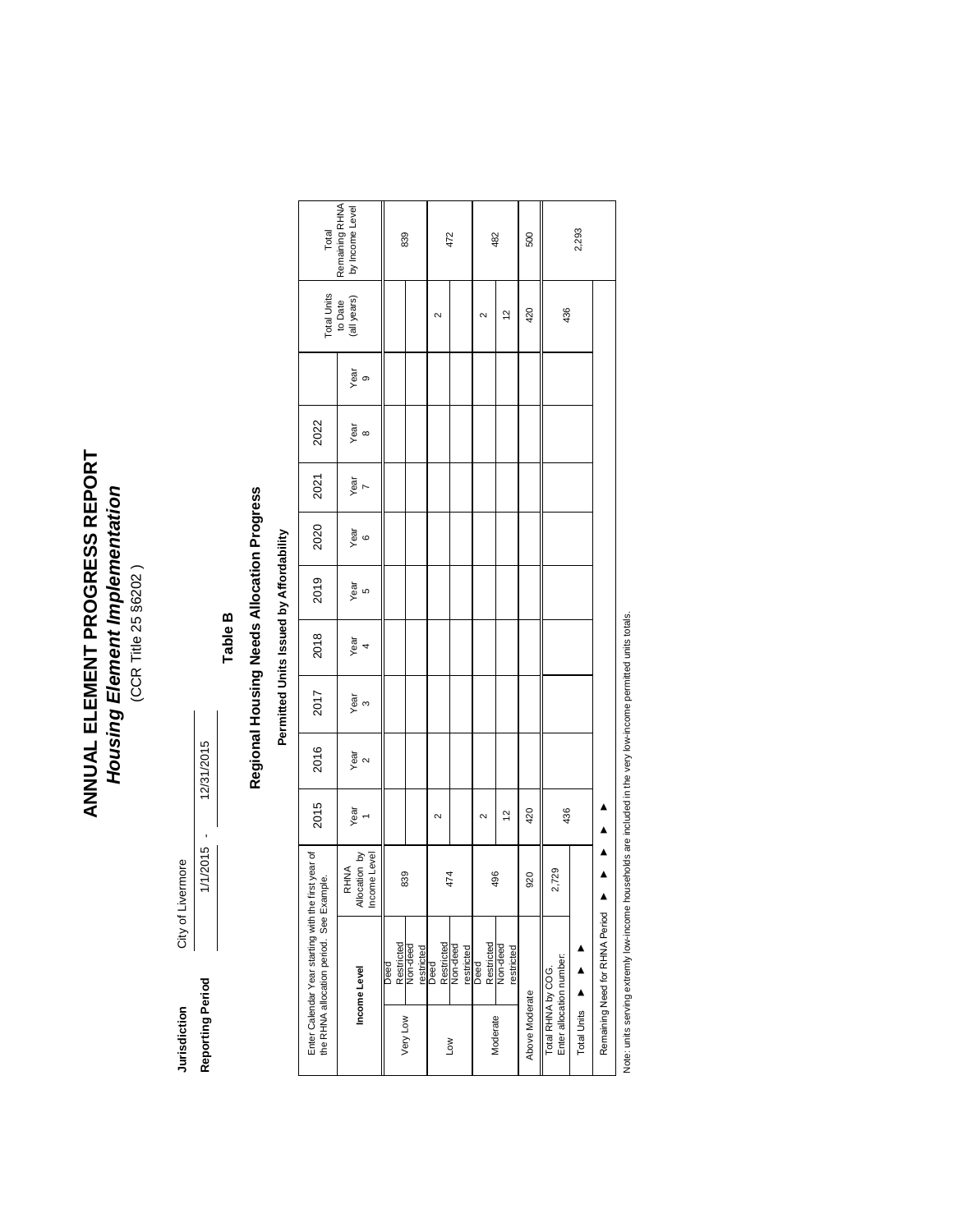### ANNUAL ELEMENT PROGRESS REPORT **ANNUAL ELEMENT PROGRESS REPORT Housing Element Implementation**<br>(CCR Title 25 §6202) *Housing Element Implementation* (CCR Title 25 §6202 )

City of Livermore **Jurisdiction** City of Livermore **Reporting Period** Jurisdiction

12/31/2015 **Reporting Period** 1/1/2015 - 12/31/2015 1/1/2015 -

#### **Table B**

## Regional Housing Needs Allocation Progress **Regional Housing Needs Allocation Progress**

### Permitted Units Issued by Affordability **Permitted Units Issued by Affordability**

|                                                | Enter Calendar Year starting with the first year of<br>the RHNA allocation period. See Example. |                                       | 2015      | 2016          | 2017             | 2018      | 2019             | 2020      | 2021                    | 2022                 |           | <b>Total Units</b>     | Total                             |
|------------------------------------------------|-------------------------------------------------------------------------------------------------|---------------------------------------|-----------|---------------|------------------|-----------|------------------|-----------|-------------------------|----------------------|-----------|------------------------|-----------------------------------|
|                                                | Income Level                                                                                    | Allocation by<br>Income Level<br>RHNA | Year<br>1 | $\frac{1}{2}$ | Y <sub>ear</sub> | Year<br>4 | Y <sub>ear</sub> | Year<br>6 | $\frac{1}{\text{heat}}$ | $\frac{8}{\sqrt{2}}$ | year<br>9 | to Date<br>(all years) | Remaining RHNA<br>by Income Level |
|                                                | Restricted<br>peed                                                                              |                                       |           |               |                  |           |                  |           |                         |                      |           |                        |                                   |
| Very Low                                       | Non-deed<br>restricted                                                                          | 839                                   |           |               |                  |           |                  |           |                         |                      |           |                        | 839                               |
|                                                | Restricted<br>Deed                                                                              |                                       | $\sim$    |               |                  |           |                  |           |                         |                      |           | 2                      |                                   |
| Low                                            | Non-deed<br>restricted                                                                          | 474                                   |           |               |                  |           |                  |           |                         |                      |           |                        | 472                               |
| Moderate                                       | Restricted<br>Deed                                                                              | 496                                   | 2         |               |                  |           |                  |           |                         |                      |           | 2                      | 482                               |
|                                                | Non-deed<br>restricted                                                                          |                                       | 12        |               |                  |           |                  |           |                         |                      |           | $\tilde{c}$            |                                   |
| Above Moderate                                 |                                                                                                 | 920                                   | 420       |               |                  |           |                  |           |                         |                      |           | 420                    | 500                               |
| Enter allocation number:<br>Total RHNA by COG. |                                                                                                 | 2,729                                 | 436       |               |                  |           |                  |           |                         |                      |           | 436                    |                                   |
| <b>Total Units</b>                             |                                                                                                 |                                       |           |               |                  |           |                  |           |                         |                      |           |                        | 2,293                             |
|                                                | Remaining Need for RHNA Period                                                                  |                                       |           |               |                  |           |                  |           |                         |                      |           |                        |                                   |

Note: units serving extremly low-income households are included in the very low-income permitted units totals. Note: units serving extremly low-income households are included in the very low-income permitted units totals.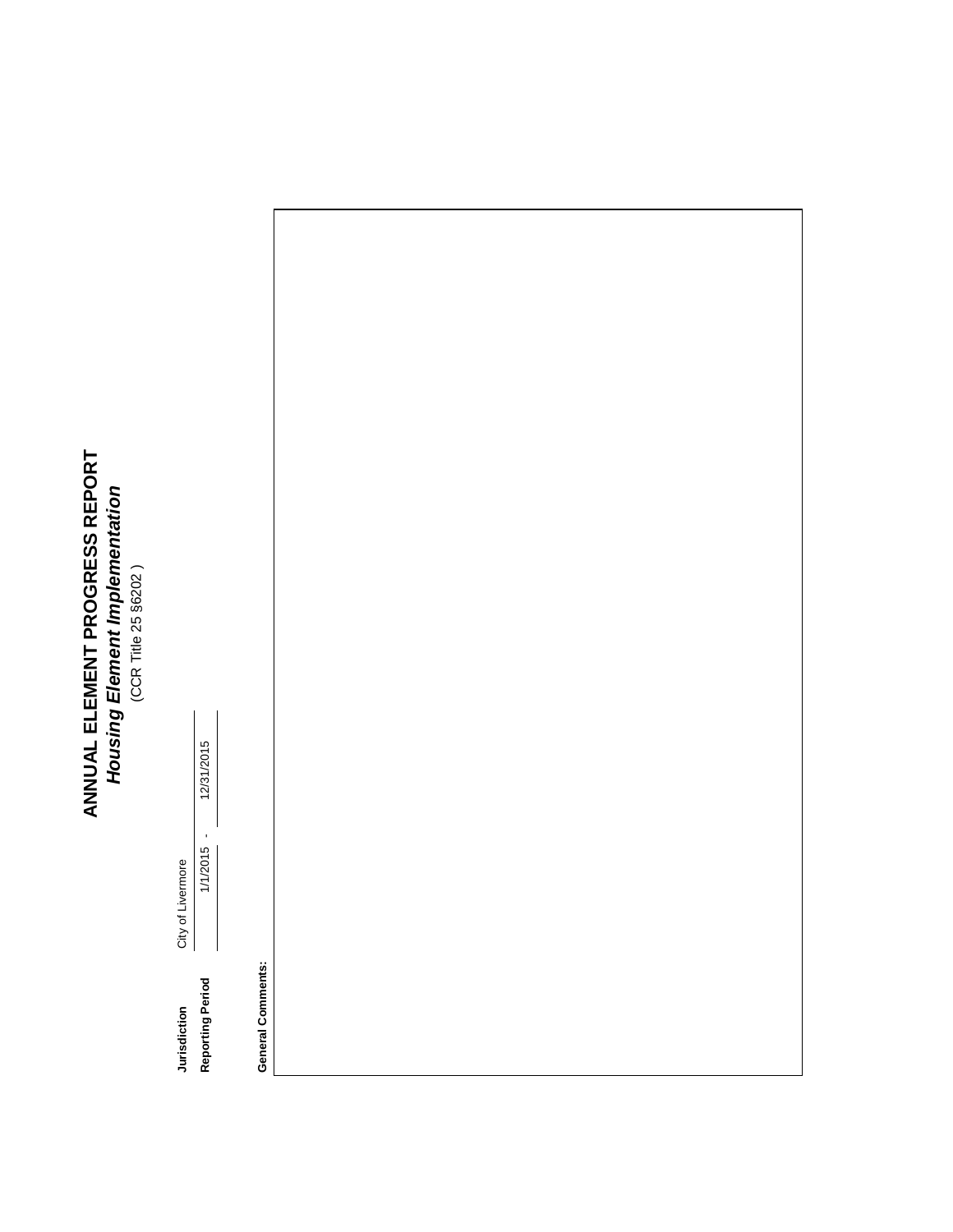### **ANNUAL ELEMENT PROGRESS REPORT<br>Housing Element Implementation**<br>(CCR Title 25 §6202) **ANNUAL ELEMENT PROGRESS REPORT** *Housing Element Implementation* (CCR Title 25 §6202 )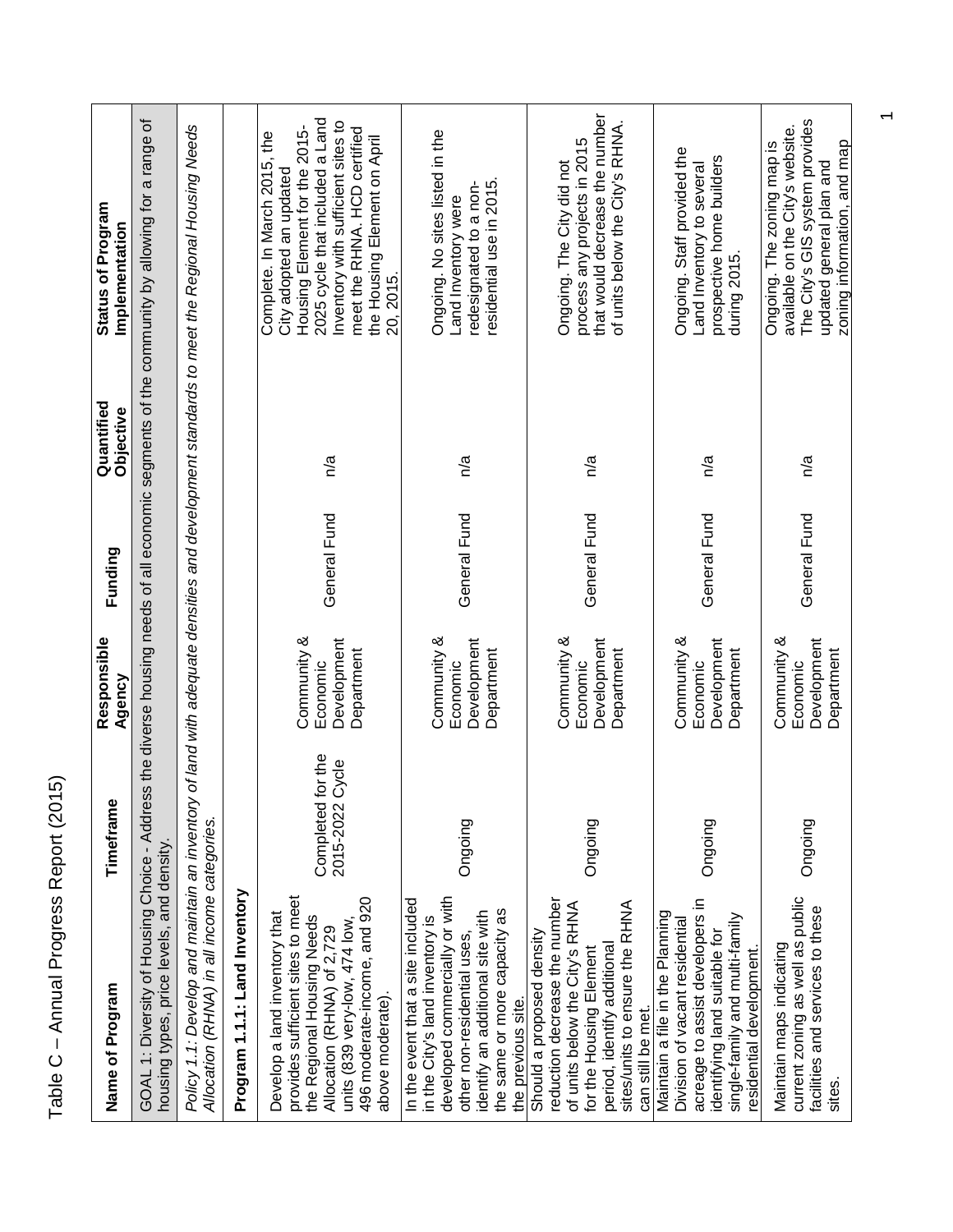| 2007          |
|---------------|
|               |
|               |
| Renon<br>Į    |
|               |
|               |
|               |
| いくこくこ         |
| )<br>1        |
| ١             |
|               |
|               |
| <b>SILON</b>  |
|               |
|               |
|               |
|               |
|               |
|               |
|               |
|               |
| $\frac{c}{c}$ |
|               |
|               |

| Name of Program                                                                                                                                                                                                                 | Timeframe                            | Responsible<br>Agency                                | Funding      | Quantified<br>Objective | <b>Status of Program</b><br>Implementation                                                                                                                                                                                                              |
|---------------------------------------------------------------------------------------------------------------------------------------------------------------------------------------------------------------------------------|--------------------------------------|------------------------------------------------------|--------------|-------------------------|---------------------------------------------------------------------------------------------------------------------------------------------------------------------------------------------------------------------------------------------------------|
| housing types, price levels, and density.                                                                                                                                                                                       |                                      |                                                      |              |                         | GOAL 1: Diversity of Housing Choice - Address the diverse housing needs of all economic segments of the community by allowing for a range of                                                                                                            |
| Allocation (RHNA) in all income categories.                                                                                                                                                                                     |                                      |                                                      |              |                         | Policy 1.1: Develop and maintain an inventory of land with adequate densities and development standards to meet the Regional Housing Needs                                                                                                              |
| Program 1.1.1: Land Inventory                                                                                                                                                                                                   |                                      |                                                      |              |                         |                                                                                                                                                                                                                                                         |
| provides sufficient sites to meet<br>496 moderate-income, and 920<br>Develop a land inventory that<br>the Regional Housing Needs<br>units (839 very-low, 474 low,<br>Allocation (RHNA) of 2,729<br>above moderate).             | Completed for the<br>2015-2022 Cycle | Community &<br>Development<br>Department<br>Economic | General Fund | n/a                     | 2025 cycle that included a Land<br>Inventory with sufficient sites to<br>Housing Element for the 2015-<br>meet the RHNA. HCD certified<br>Complete. In March 2015, the<br>the Housing Element on April<br>City adopted an updated<br>2015.<br><u>ସ୍</u> |
| developed commercially or with<br>In the event that a site included<br>the same or more capacity as<br>identify an additional site with<br>in the City's land inventory is<br>other non-residential uses,<br>the previous site. | Ongoing                              | Community &<br>Development<br>Department<br>Economic | General Fund | n/a                     | Ongoing. No sites listed in the<br>residential use in 2015<br>redesignated to a non-<br>Land Inventory were                                                                                                                                             |
| reduction decrease the number<br>sites/units to ensure the RHNA<br>of units below the City's RHNA<br>Should a proposed density<br>period, identify additional<br>for the Housing Element<br>can still be met.                   | Ongoing                              | Community &<br>Development<br>Department<br>Economic | General Fund | n/a                     | that would decrease the number<br>of units below the City's RHNA.<br>process any projects in 2015<br>Ongoing. The City did not                                                                                                                          |
| acreage to assist developers in<br>Maintain a file in the Planning<br>single-family and multi-family<br>Division of vacant residential<br>identifying land suitable for<br>residential development.                             | Ongoing                              | Community &<br>Development<br>Department<br>Economic | General Fund | n/a                     | Ongoing. Staff provided the<br>prospective home builders<br>Land Inventory to several<br>during 2015.                                                                                                                                                   |
| current zoning as well as public<br>facilities and services to these<br>Maintain maps indicating<br>sites.                                                                                                                      | Ongoing                              | Community &<br>Development<br>Department<br>Economic | General Fund | n/a                     | The City's GIS system provides<br>available on the City's website.<br>zoning information, and map<br>Ongoing. The zoning map is<br>updated general plan and                                                                                             |

 $\overline{\phantom{0}}$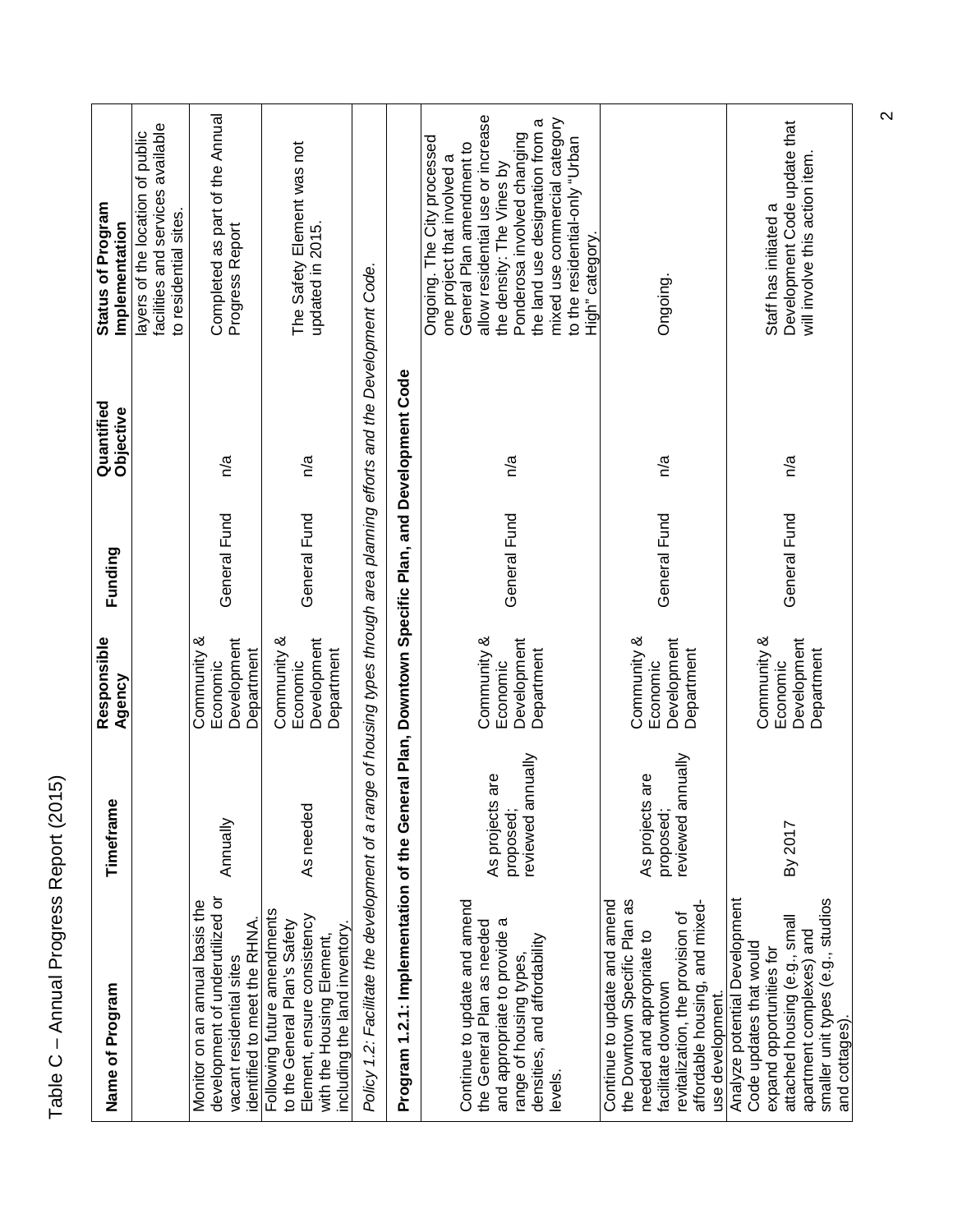| <b>Status of Program</b><br>Implementation<br>Quantified<br>Objective | facilities and services available<br>layers of the location of public<br>to residential sites. | Completed as part of the Annual<br>Progress Report<br>n/a                                                                     | The Safety Element was not<br>updated in 2015.<br>n/a                                                                                                   | Policy 1.2: Facilitate the development of a range of housing types through area planning efforts and the Development Code. |                                                                                                 | allow residential use or increase<br>mixed use commercial category<br>the land use designation from a<br>Ponderosa involved changing<br>Ongoing. The City processed<br>to the residential-only "Urban<br>General Plan amendment to<br>one project that involved a<br>the density: The Vines by<br>High" category.<br>n/a | Ongoing.<br>n/a                                                                                                                                                                                             | Development Code update that<br>will involve this action item.<br>Staff has initiated a<br>n/a                                                                                         |
|-----------------------------------------------------------------------|------------------------------------------------------------------------------------------------|-------------------------------------------------------------------------------------------------------------------------------|---------------------------------------------------------------------------------------------------------------------------------------------------------|----------------------------------------------------------------------------------------------------------------------------|-------------------------------------------------------------------------------------------------|--------------------------------------------------------------------------------------------------------------------------------------------------------------------------------------------------------------------------------------------------------------------------------------------------------------------------|-------------------------------------------------------------------------------------------------------------------------------------------------------------------------------------------------------------|----------------------------------------------------------------------------------------------------------------------------------------------------------------------------------------|
| Funding                                                               |                                                                                                | General Fund                                                                                                                  | General Fund                                                                                                                                            |                                                                                                                            |                                                                                                 | General Fund                                                                                                                                                                                                                                                                                                             | General Fund                                                                                                                                                                                                | General Fund                                                                                                                                                                           |
| Responsible<br>Agency                                                 |                                                                                                | Development<br>Community &<br>Department<br>Economic                                                                          | Community &<br>Development<br>Department<br>Economic                                                                                                    |                                                                                                                            |                                                                                                 | Community &<br>Development<br>Department<br>Economic                                                                                                                                                                                                                                                                     | Community &<br>Development<br>Department<br>Economic                                                                                                                                                        | Community &<br>Development<br>Department<br>Economic                                                                                                                                   |
| Timeframe                                                             |                                                                                                | Annually                                                                                                                      | As needed                                                                                                                                               |                                                                                                                            |                                                                                                 | reviewed annually<br>As projects are<br>proposed;                                                                                                                                                                                                                                                                        | reviewed annually<br>As projects are<br>proposed;                                                                                                                                                           | By 2017                                                                                                                                                                                |
| Name of Program                                                       |                                                                                                | development of underutilized or<br>Monitor on an annual basis the<br>identified to meet the RHNA.<br>vacant residential sites | Following future amendments<br>Element, ensure consistency<br>to the General Plan's Safety<br>including the land inventory<br>with the Housing Element, |                                                                                                                            | Program 1.2.1: Implementation of the General Plan, Downtown Specific Plan, and Development Code | Continue to update and amend<br>and appropriate to provide a<br>the General Plan as needed<br>densities, and affordability<br>range of housing types<br>levels                                                                                                                                                           | the Downtown Specific Plan as<br>affordable housing, and mixed-<br>Continue to update and amend<br>revitalization, the provision of<br>needed and appropriate to<br>facilitate downtown<br>use development. | Analyze potential Development<br>smaller unit types (e.g., studios<br>attached housing (e.g., small<br>apartment complexes) and<br>Code updates that would<br>expand opportunities for |

 $\alpha$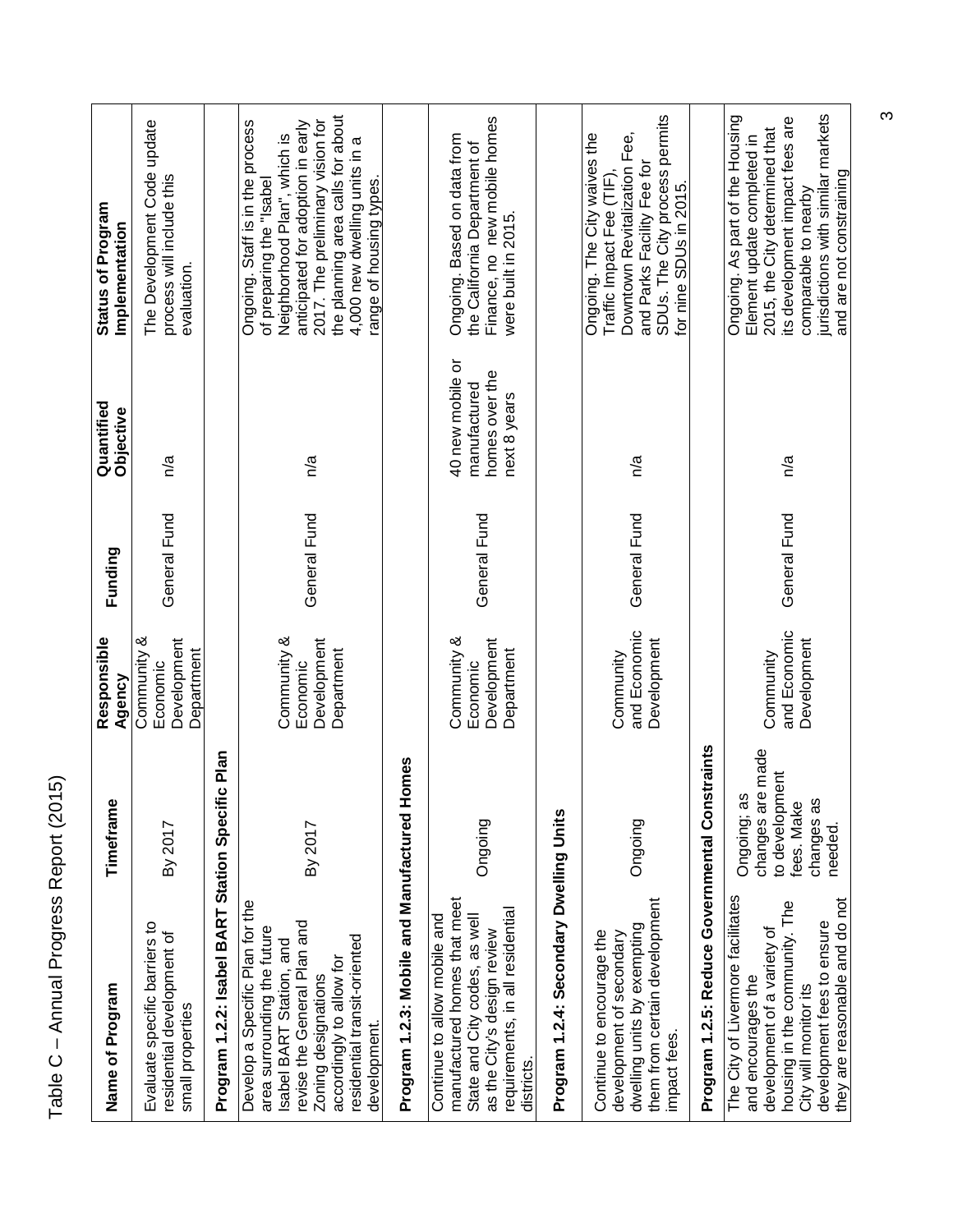| Name of Program                                                                                                                                                                                                              | Timeframe                                                                                | Responsible<br>Agency                                | Funding      | Quantified<br>Objective                                            | Status of Program<br>Implementation                                                                                                                                                                                                                                    |
|------------------------------------------------------------------------------------------------------------------------------------------------------------------------------------------------------------------------------|------------------------------------------------------------------------------------------|------------------------------------------------------|--------------|--------------------------------------------------------------------|------------------------------------------------------------------------------------------------------------------------------------------------------------------------------------------------------------------------------------------------------------------------|
| Evaluate specific barriers to<br>residential development of<br>small properties                                                                                                                                              | By 2017                                                                                  | Community &<br>Development<br>Department<br>Economic | General Fund | n/a                                                                | The Development Code update<br>process will include this<br>evaluation.                                                                                                                                                                                                |
| Program 1.2.2: Isabel BART Station Speci                                                                                                                                                                                     | ific Plan                                                                                |                                                      |              |                                                                    |                                                                                                                                                                                                                                                                        |
| Develop a Specific Plan for the<br>revise the General Plan and<br>area surrounding the future<br>residential transit-oriented<br>Isabel BART Station, and<br>accordingly to allow for<br>Zoning designations<br>development. | By 2017                                                                                  | Community &<br>Development<br>Department<br>Economic | General Fund | n/a                                                                | the planning area calls for about<br>2017. The preliminary vision for<br>Ongoing. Staff is in the process<br>anticipated for adoption in early<br>Neighborhood Plan", which is<br>4,000 new dwelling units in a<br>range of housing types.<br>of preparing the "Isabel |
| Program 1.2.3: Mobile and Manufactured                                                                                                                                                                                       | Homes                                                                                    |                                                      |              |                                                                    |                                                                                                                                                                                                                                                                        |
| manufactured homes that meet<br>requirements, in all residential<br>Continue to allow mobile and<br>State and City codes, as well<br>as the City's design review<br>districts.                                               | Ongoing                                                                                  | Community &<br>Development<br>Department<br>Economic | General Fund | 40 new mobile or<br>homes over the<br>manufactured<br>next 8 years | Finance, no new mobile homes<br>Ongoing. Based on data from<br>the California Department of<br>were built in 2015.                                                                                                                                                     |
| Program 1.2.4: Secondary Dwelling Units                                                                                                                                                                                      |                                                                                          |                                                      |              |                                                                    |                                                                                                                                                                                                                                                                        |
| them from certain development<br>dwelling units by exempting<br>Continue to encourage the<br>development of secondary<br>impact fees.                                                                                        | Ongoing                                                                                  | and Economic<br>Development<br>Community             | General Fund | n/a                                                                | SDUs. The City process permits<br>Downtown Revitalization Fee,<br>Ongoing. The City waives the<br>and Parks Facility Fee for<br>Traffic Impact Fee (TIF)<br>for nine SDUs in 2015.                                                                                     |
| Program 1.2.5: Reduce Governmental Constraints                                                                                                                                                                               |                                                                                          |                                                      |              |                                                                    |                                                                                                                                                                                                                                                                        |
| The City of Livermore facilitates<br>they are reasonable and do not<br>housing in the community. The<br>development fees to ensure<br>development of a variety of<br>and encourages the<br>City will monitor its             | changes are made<br>to development<br>Ongoing; as<br>changes as<br>fees. Make<br>needed. | and Economic<br>Development<br>Community             | General Fund | n/a                                                                | jurisdictions with similar markets<br>Ongoing. As part of the Housing<br>its development impact fees are<br>2015, the City determined that<br>Element update completed in<br>and are not constraining<br>comparable to nearby                                          |

Table C – Annual Progress Report (2015)

Table C - Annual Progress Report (2015)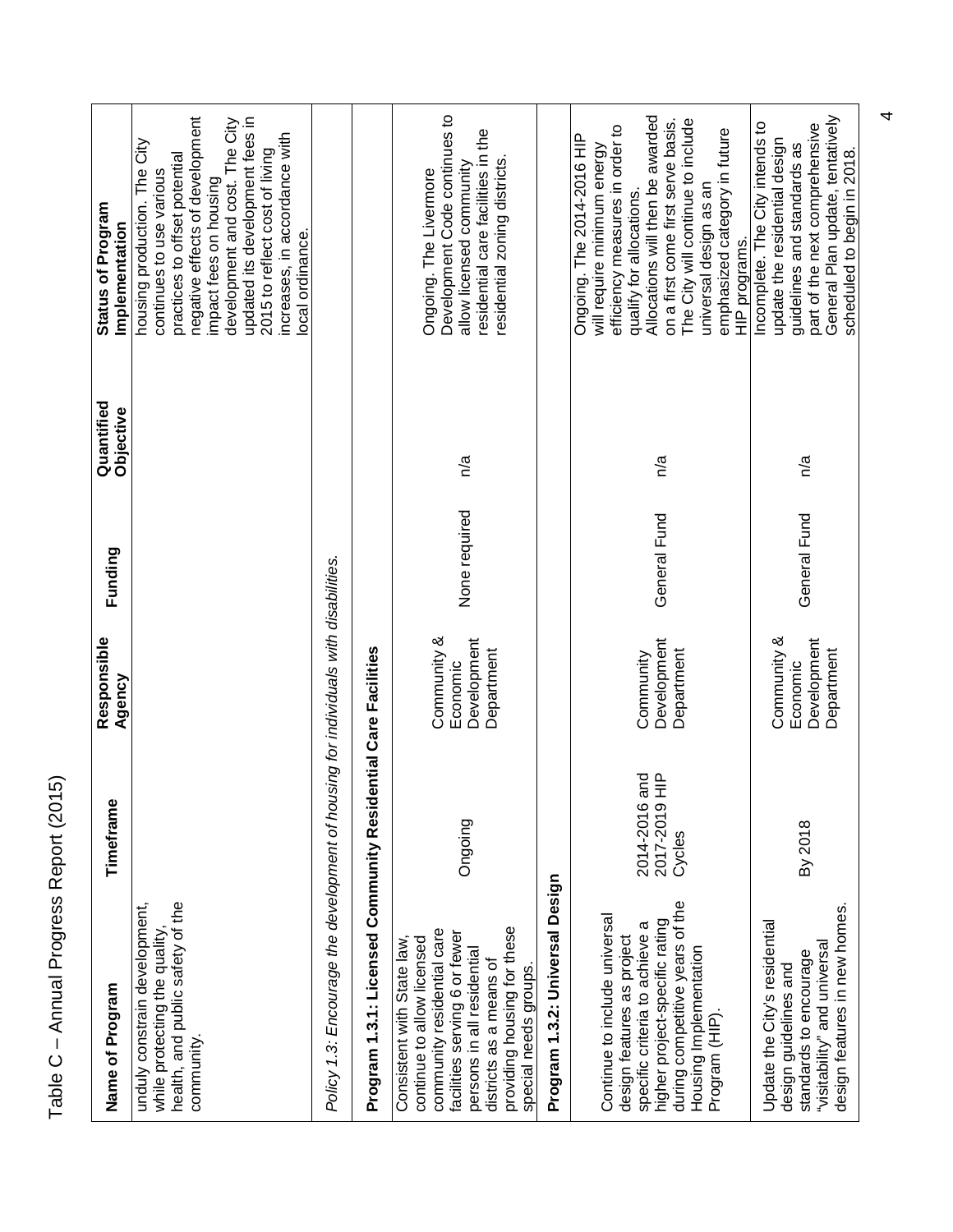| $\overline{\mathbf{r}}$ |
|-------------------------|
|                         |
| Š                       |
|                         |
|                         |
|                         |
|                         |
| こくへい                    |
|                         |
|                         |
|                         |
|                         |
| くくらくく<br>J              |
|                         |
|                         |
|                         |
|                         |
| RIIUL                   |
|                         |
|                         |
|                         |
|                         |
| ı                       |
|                         |
|                         |
| ì⊂                      |
|                         |
|                         |

| Name of Program                                                                                                                                                                                                                          | Timeframe                                                                  | Responsible<br>Agency                                | Funding       | Quantified<br>Objective | <b>Status of Program</b><br>Implementation                                                                                                                                                                                                                                                                          |
|------------------------------------------------------------------------------------------------------------------------------------------------------------------------------------------------------------------------------------------|----------------------------------------------------------------------------|------------------------------------------------------|---------------|-------------------------|---------------------------------------------------------------------------------------------------------------------------------------------------------------------------------------------------------------------------------------------------------------------------------------------------------------------|
| health, and public safety of the<br>unduly constrain development,<br>while protecting the quality<br>community.                                                                                                                          |                                                                            |                                                      |               |                         | negative effects of development<br>updated its development fees in<br>development and cost. The City<br>increases, in accordance with<br>housing production. The City<br>2015 to reflect cost of living<br>practices to offset potential<br>continues to use various<br>impact fees on housing<br>local ordinance.  |
| Policy 1.3: Encourage the development of housing for individuals with disabilities.                                                                                                                                                      |                                                                            |                                                      |               |                         |                                                                                                                                                                                                                                                                                                                     |
| Program 1.3.1: Licensed Community Residential Care Facilities                                                                                                                                                                            |                                                                            |                                                      |               |                         |                                                                                                                                                                                                                                                                                                                     |
| providing housing for these<br>community residential care<br>facilities serving 6 or fewer<br>Consistent with State law,<br>continue to allow licensed<br>persons in all residential<br>districts as a means of<br>special needs groups. | Ongoing                                                                    | Community &<br>Development<br>Department<br>Economic | None required | n/a                     | Development Code continues to<br>residential care facilities in the<br>residential zoning districts.<br>allow licensed community<br>Ongoing. The Livermore                                                                                                                                                          |
| Program 1.3.2: Universal Design                                                                                                                                                                                                          |                                                                            |                                                      |               |                         |                                                                                                                                                                                                                                                                                                                     |
| during competitive years of the<br>Continue to include universal<br>higher project-specific rating<br>specific criteria to achieve a<br>design features as project<br>Housing Implementation<br>Program (HIP).                           | $\frac{\mathsf{p}}{\mathsf{p}}$<br>and<br>2014-2016<br>2017-2019<br>Cycles | Development<br>Department<br>Community               | General Fund  | n/a                     | Allocations will then be awarded<br>The City will continue to include<br>on a first come first serve basis.<br>efficiency measures in order to<br>emphasized category in future<br>Ongoing. The 2014-2016 HIP<br>will require minimum energy<br>universal design as an<br>qualify for allocations.<br>HIP programs. |
| design features in new homes.<br>Update the City's residential<br>"visitability" and universal<br>standards to encourage<br>design guidelines and                                                                                        | By 2018                                                                    | Community &<br>Development<br>Department<br>Economic | General Fund  | n/a                     | General Plan update, tentatively<br>Incomplete. The City intends to<br>part of the next comprehensive<br>update the residential design<br>guidelines and standards as<br>scheduled to begin in 2018.                                                                                                                |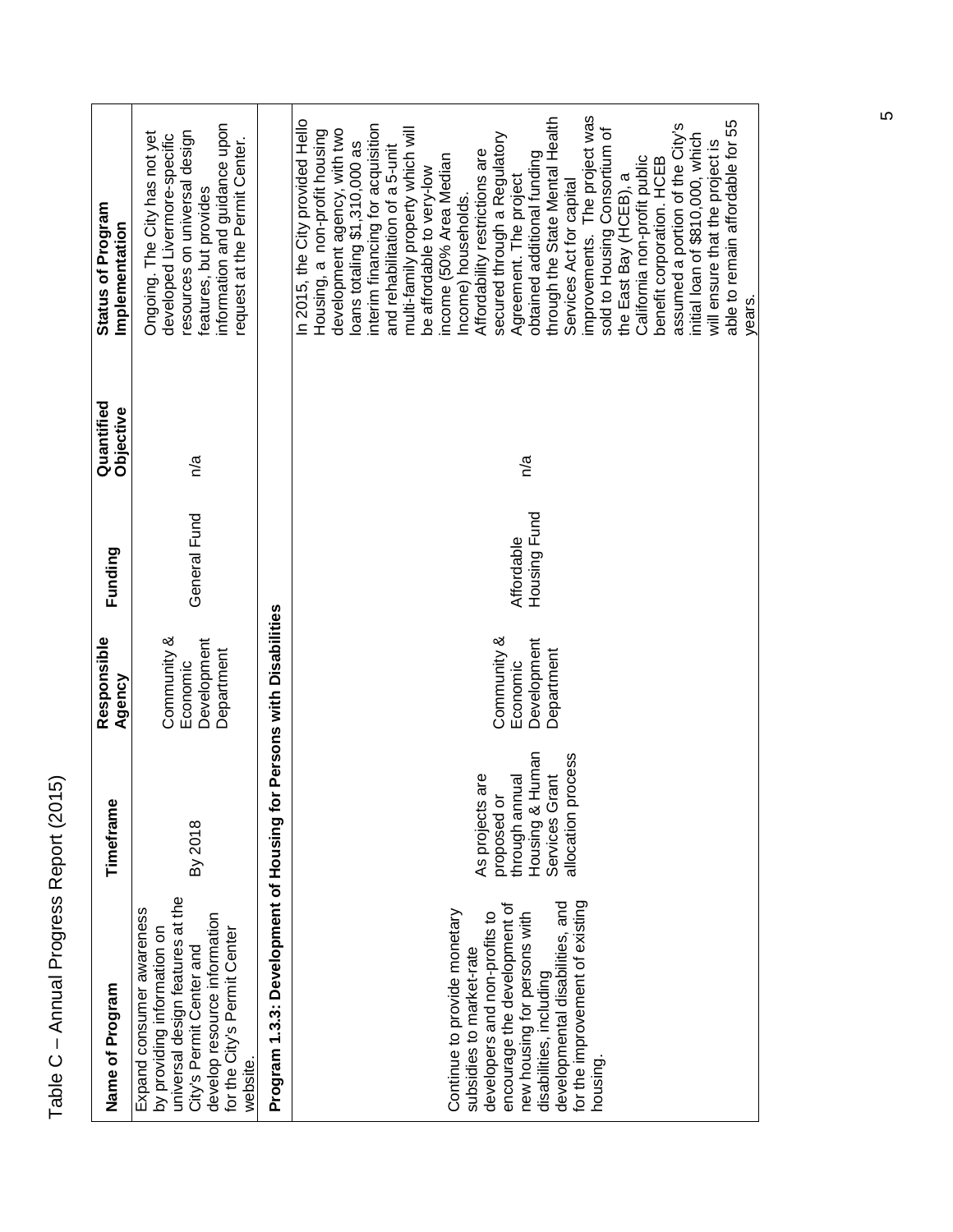| Name of Program                                                                                                                                                                                                                                                       | Timeframe                                                                                                         | Responsible<br>Agency                                | Funding                    | Quantified<br>Objective | Status of Program<br>Implementation                                                                                                                                                                                                                                                                                                                                                                                                                                                                                                                                                                                                                                                                                                                                                                                                     |
|-----------------------------------------------------------------------------------------------------------------------------------------------------------------------------------------------------------------------------------------------------------------------|-------------------------------------------------------------------------------------------------------------------|------------------------------------------------------|----------------------------|-------------------------|-----------------------------------------------------------------------------------------------------------------------------------------------------------------------------------------------------------------------------------------------------------------------------------------------------------------------------------------------------------------------------------------------------------------------------------------------------------------------------------------------------------------------------------------------------------------------------------------------------------------------------------------------------------------------------------------------------------------------------------------------------------------------------------------------------------------------------------------|
| universal design features at the<br>Expand consumer awareness<br>develop resource information<br>for the City's Permit Center<br>by providing information on<br>City's Permit Center and<br>website                                                                   | By 2018                                                                                                           | Community &<br>Development<br>Department<br>Economic | General Fund               | n/a                     | information and guidance upon<br>resources on universal design<br>Ongoing. The City has not yet<br>developed Livermore-specific<br>request at the Permit Center.<br>features, but provides                                                                                                                                                                                                                                                                                                                                                                                                                                                                                                                                                                                                                                              |
| Program 1.3.3: Development of Housing for Persons with Disabilities                                                                                                                                                                                                   |                                                                                                                   |                                                      |                            |                         |                                                                                                                                                                                                                                                                                                                                                                                                                                                                                                                                                                                                                                                                                                                                                                                                                                         |
| for the improvement of existing<br>developmental disabilities, and<br>encourage the development of<br>Continue to provide monetary<br>developers and non-profits to<br>new housing for persons with<br>subsidies to market-rate<br>disabilities, including<br>housing | Human<br>allocation process<br>are<br>Services Grant<br>through annual<br>proposed or<br>As projects<br>Housing & | Community &<br>Development<br>Department<br>Economic | Housing Fund<br>Affordable | n/a                     | improvements. The project was<br>through the State Mental Health<br>In 2015, the City provided Hello<br>able to remain affordable for 55<br>interim financing for acquisition<br>assumed a portion of the City's<br>multi-family property which will<br>development agency, with two<br>sold to Housing Consortium of<br>Housing, a non-profit housing<br>secured through a Regulatory<br>initial loan of \$810,000, which<br>will ensure that the project is<br>loans totaling \$1,310,000 as<br>and rehabilitation of a 5-unit<br>Affordability restrictions are<br>obtained additional funding<br>income (50% Area Median<br>California non-profit public<br>benefit corporation. HCEB<br>be affordable to very-low<br>the East Bay (HCEB), a<br>Agreement. The project<br>Services Act for capital<br>Income) households.<br>years. |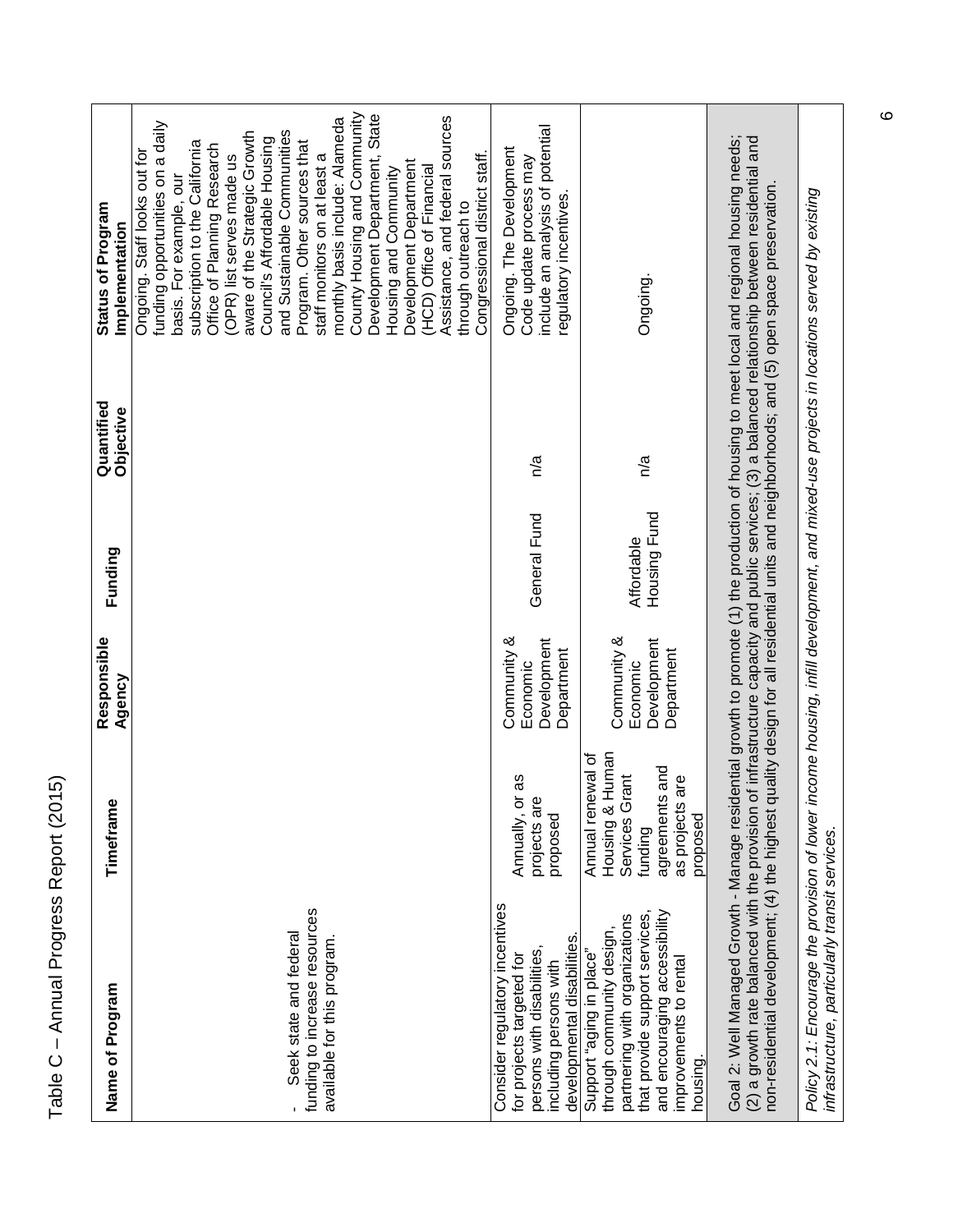| Name of Program                                                                                                                                                                                                                                                                                                                          | Timeframe                                                                                                                    | Responsible<br>Agency                                | Funding                    | Quantified<br>Objective | Status of Program<br>Implementation                                                                                                                                                                                                                                                                                                                                                                                                                                                                                                                                                                                                       |
|------------------------------------------------------------------------------------------------------------------------------------------------------------------------------------------------------------------------------------------------------------------------------------------------------------------------------------------|------------------------------------------------------------------------------------------------------------------------------|------------------------------------------------------|----------------------------|-------------------------|-------------------------------------------------------------------------------------------------------------------------------------------------------------------------------------------------------------------------------------------------------------------------------------------------------------------------------------------------------------------------------------------------------------------------------------------------------------------------------------------------------------------------------------------------------------------------------------------------------------------------------------------|
| funding to increase resources<br>Seek state and federal<br>available for this program                                                                                                                                                                                                                                                    |                                                                                                                              |                                                      |                            |                         | County Housing and Community<br>Development Department, State<br>Assistance, and federal sources<br>monthly basis include: Alameda<br>funding opportunities on a daily<br>and Sustainable Communities<br>aware of the Strategic Growth<br>Council's Affordable Housing<br>Program. Other sources that<br>subscription to the California<br>Office of Planning Research<br>Ongoing. Staff looks out for<br>Congressional district staff.<br>(OPR) list serves made us<br>staff monitors on at least a<br>Development<br>Department<br>(HCD) Office of Financial<br>Housing and Community<br>basis. For example, our<br>through outreach to |
| Consider regulatory incentives<br>developmental disabilities.<br>persons with disabilities,<br>for projects targeted for<br>including persons with                                                                                                                                                                                       | r as<br>projects are<br>Annually, o<br>proposed                                                                              | Community &<br>Development<br>Department<br>Economic | General Fund               | n/a                     | include an analysis of potential<br>Ongoing. The Development<br>Code update process may<br>regulatory incentives.                                                                                                                                                                                                                                                                                                                                                                                                                                                                                                                         |
| that provide support services,<br>and encouraging accessibility<br>partnering with organizations<br>through community design,<br>"soald ui buibe, poddng<br>improvements to rental<br>housing.                                                                                                                                           | Human<br>Annual renewal of<br>agreements and<br>rant<br>are<br>Services G<br>as projects<br>Housing &<br>proposed<br>funding | Community &<br>Development<br>Department<br>Economic | Housing Fund<br>Affordable | n/a                     | Ongoing.                                                                                                                                                                                                                                                                                                                                                                                                                                                                                                                                                                                                                                  |
| Goal 2: Well Managed Growth - Manage residential growth to promote (1) the production of housing to meet local and regional housing needs;<br>non-residential development; (4) the highest quality design for all residential units and neighborhoods; and (5) open space preservation.<br>(2) a growth rate balanced with the provision |                                                                                                                              |                                                      |                            |                         | of infrastructure capacity and public services; (3) a balanced relationship between residential and                                                                                                                                                                                                                                                                                                                                                                                                                                                                                                                                       |
| Policy 2.1: Encourage the provision of lower income housing, infill development, and mixed-use projects in locations served by existing<br>infrastructure, particularly transit services.                                                                                                                                                |                                                                                                                              |                                                      |                            |                         |                                                                                                                                                                                                                                                                                                                                                                                                                                                                                                                                                                                                                                           |

 $\circ$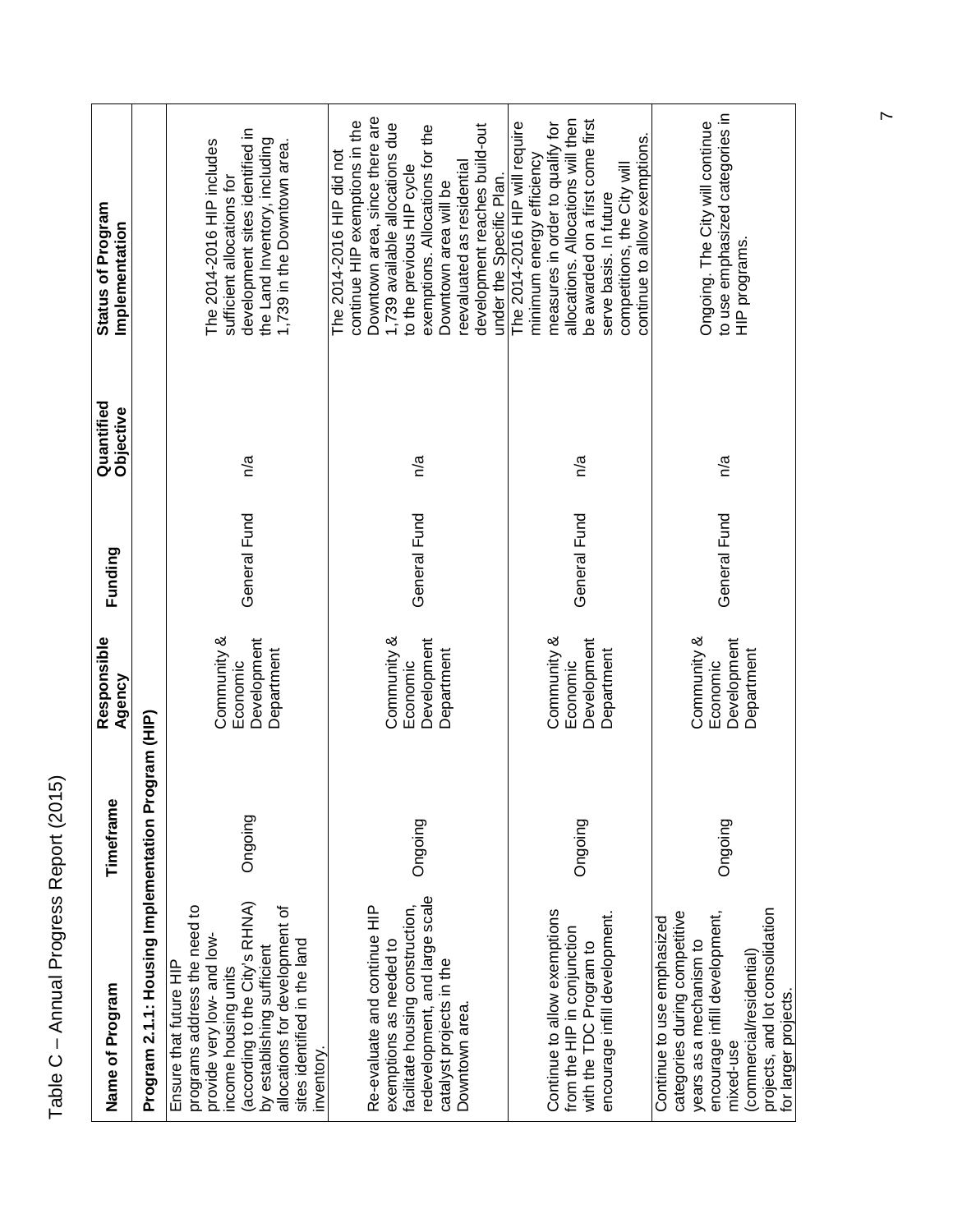| Name of Program                                                                                                                                                                                                                                              | Timeframe | Responsible<br>Agency                                | Funding      | Quantified<br>Objective | Status of Program<br>Implementation                                                                                                                                                                                                                                                                                  |
|--------------------------------------------------------------------------------------------------------------------------------------------------------------------------------------------------------------------------------------------------------------|-----------|------------------------------------------------------|--------------|-------------------------|----------------------------------------------------------------------------------------------------------------------------------------------------------------------------------------------------------------------------------------------------------------------------------------------------------------------|
| Program 2.1.1: Housing Implementation Program (HIP)                                                                                                                                                                                                          |           |                                                      |              |                         |                                                                                                                                                                                                                                                                                                                      |
| (according to the City's RHNA)<br>programs address the need to<br>allocations for development of<br>provide very low- and low-<br>sites identified in the land<br>by establishing sufficient<br>Ensure that future HIP<br>income housing units<br>inventory. | Ongoing   | Community &<br>Development<br>Department<br>Economic | General Fund | n/a                     | development sites identified in<br>the Land Inventory, including<br>The 2014-2016 HIP includes<br>1,739 in the Downtown area.<br>sufficient allocations for                                                                                                                                                          |
| redevelopment, and large scale<br>facilitate housing construction,<br>Re-evaluate and continue HIP<br>exemptions as needed to<br>catalyst projects in the<br>Downtown area.                                                                                  | Ongoing   | Community &<br>Development<br>Department<br>Economic | General Fund | n/a                     | Downtown area, since there are<br>continue HIP exemptions in the<br>1,739 available allocations due<br>development reaches build-out<br>exemptions. Allocations for the<br>The 2014-2016 HIP did not<br>reevaluated as residential<br>to the previous HIP cycle<br>under the Specific Plan.<br>Downtown area will be |
| Continue to allow exemptions<br>encourage infill development.<br>from the HIP in conjunction<br>with the TDC Program to                                                                                                                                      | Ongoing   | Community &<br>Development<br>Department<br>Economic | General Fund | n/a                     | allocations. Allocations will then<br>be awarded on a first come first<br>measures in order to qualify for<br>The 2014-2016 HIP will require<br>continue to allow exemptions.<br>minimum energy efficiency<br>competitions, the City will<br>serve basis. In future                                                  |
| projects, and lot consolidation<br>encourage infill development,<br>categories during competitive<br>Continue to use emphasized<br>years as a mechanism to<br>(commercial/residential)<br>for larger projects.<br>mixed-use                                  | Ongoing   | Community &<br>Development<br>Department<br>Economic | General Fund | n/a                     | to use emphasized categories in<br>Ongoing. The City will continue<br>HIP programs.                                                                                                                                                                                                                                  |

 $\sim$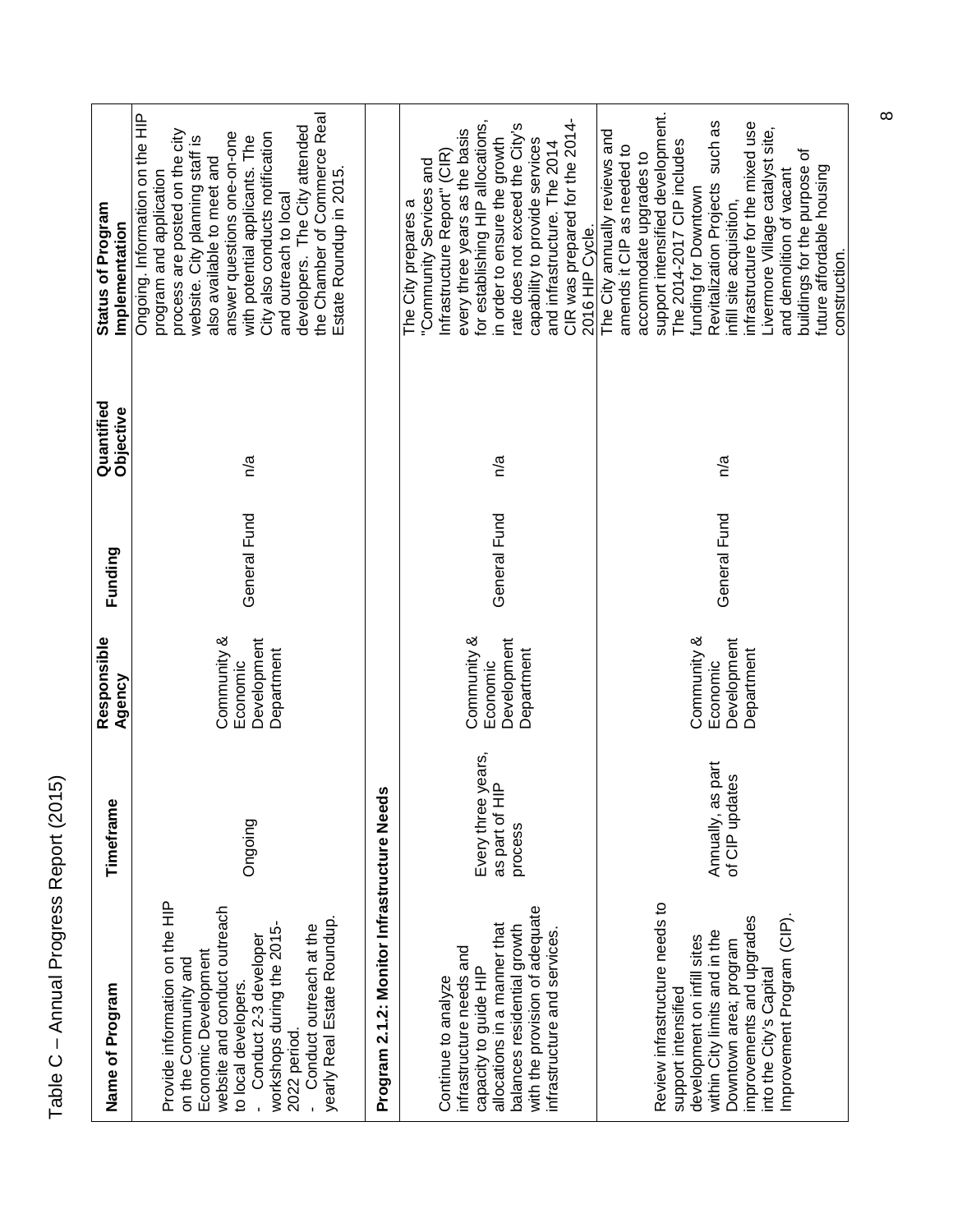| ļ<br>$\overline{\mathbf{r}}$ |
|------------------------------|
| .<br>ג                       |
| Š                            |
|                              |
|                              |
| にくくい                         |
| ı                            |
|                              |
|                              |
| こくこくこ<br>١                   |
|                              |
|                              |
| ה<br>הממ                     |
|                              |
|                              |
|                              |
| ı                            |
|                              |
|                              |
|                              |

| Name of Program                                                                                                                                                                                                                                                                                                                                                                                                     | Timeframe                                                                              | Responsible<br>Agency                                                                                        | Funding                      | Quantified<br>Objective | <b>Status of Program</b><br>Implementation                                                                                                                                                                                                                                                                                                                                                                                                                                                                                                                                                                                                                                     |
|---------------------------------------------------------------------------------------------------------------------------------------------------------------------------------------------------------------------------------------------------------------------------------------------------------------------------------------------------------------------------------------------------------------------|----------------------------------------------------------------------------------------|--------------------------------------------------------------------------------------------------------------|------------------------------|-------------------------|--------------------------------------------------------------------------------------------------------------------------------------------------------------------------------------------------------------------------------------------------------------------------------------------------------------------------------------------------------------------------------------------------------------------------------------------------------------------------------------------------------------------------------------------------------------------------------------------------------------------------------------------------------------------------------|
| Provide information on the HIP<br>website and conduct outreach<br>yearly Real Estate Roundup.<br>workshops during the 2015-<br>Conduct outreach at the<br>- Conduct 2-3 developer<br>Economic Development<br>on the Community and<br>to local developers.<br>2022 period                                                                                                                                            | Ongoing                                                                                | Development<br>Community &<br>Department<br>Economic                                                         | General Fund                 | n/a                     | the Chamber of Commerce Real<br>Ongoing. Information on the HIP<br>developers. The City attended<br>process are posted on the city<br>answer questions one-on-one<br>City also conducts notification<br>with potential applicants. The<br>website. City planning staff is<br>also available to meet and<br>Estate Roundup in 2015.<br>program and application<br>and outreach to local                                                                                                                                                                                                                                                                                         |
| Program 2.1.2: Monitor Infrastructure Needs                                                                                                                                                                                                                                                                                                                                                                         |                                                                                        |                                                                                                              |                              |                         |                                                                                                                                                                                                                                                                                                                                                                                                                                                                                                                                                                                                                                                                                |
| Review infrastructure needs to<br>with the provision of adequate<br>improvements and upgrades<br>allocations in a manner that<br>balances residential growth<br>within City limits and in the<br>infrastructure and services<br>development on infill sites<br>Downtown area; program<br>infrastructure needs and<br>capacity to guide HIP<br>into the City's Capital<br>Continue to analyze<br>support intensified | Every three years,<br>as part of HIP<br>Annually, as part<br>of CIP updates<br>process | Development<br>Community &<br>Community &<br>Development<br>Department<br>Department<br>Economic<br>Economic | General Fund<br>General Fund | n/a<br>n/a              | support intensified development.<br>CIR was prepared for the 2014-<br>for establishing HIP allocations,<br>such as<br>infrastructure for the mixed use<br>rate does not exceed the City's<br>Livermore Village catalyst site,<br>every three years as the basis<br>The City annually reviews and<br>in order to ensure the growth<br>capability to provide services<br>The 2014-2017 CIP includes<br>and infrastructure. The 2014<br>amends it CIP as needed to<br>Infrastructure Report" (CIR)<br>accommodate upgrades to<br>"Community Services and<br>Revitalization Projects<br>funding for Downtown<br>The City prepares a<br>infill site acquisition,<br>2016 HIP Cycle. |
| mprovement Program (CIP).                                                                                                                                                                                                                                                                                                                                                                                           |                                                                                        |                                                                                                              |                              |                         | buildings for the purpose of<br>future affordable housing<br>and demolition of vacant<br>construction.                                                                                                                                                                                                                                                                                                                                                                                                                                                                                                                                                                         |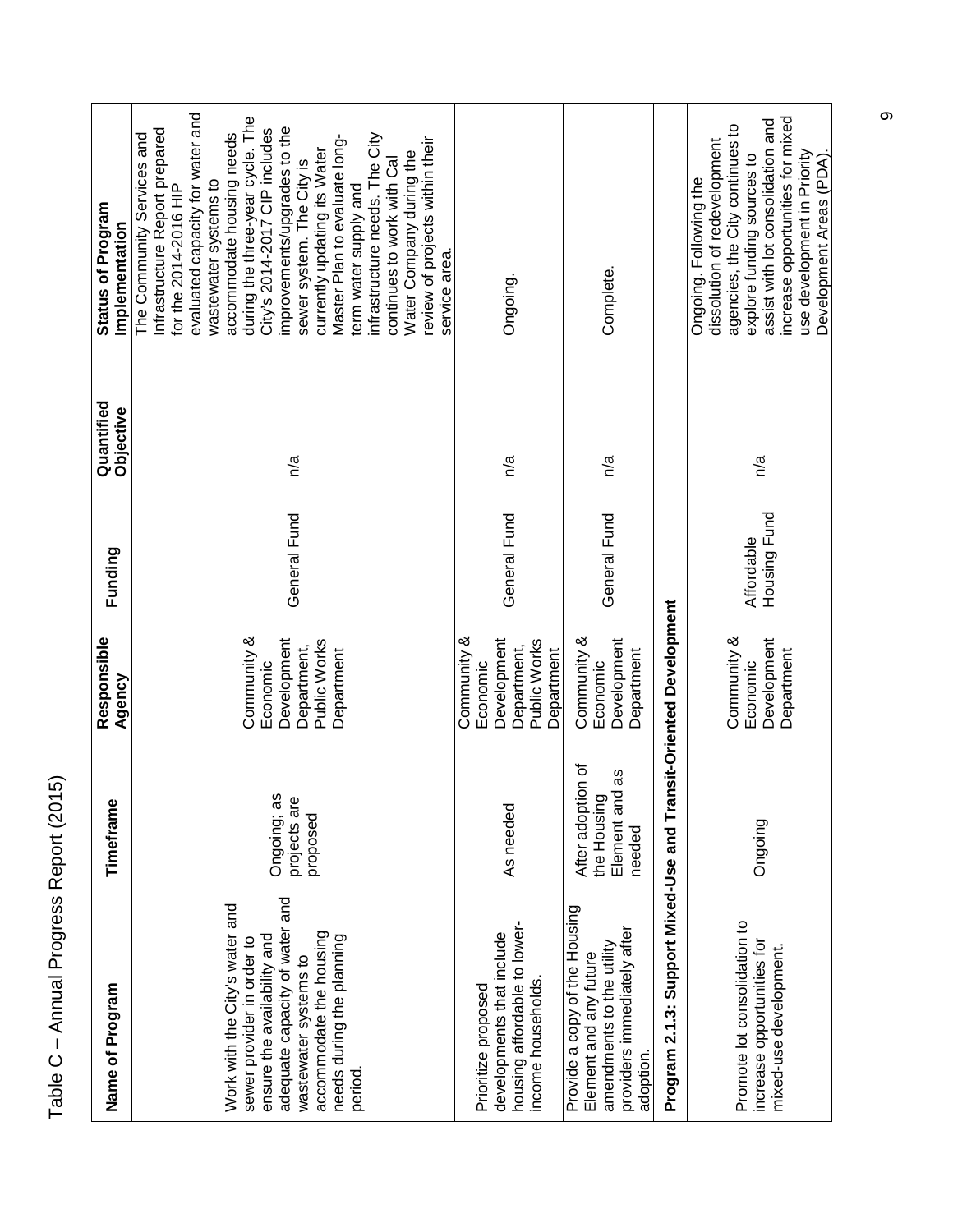| Name of Program                                                                                                                                                                                                           | Timeframe                                                    | Responsible<br>Agency                                                               | Funding                    | Quantified<br>Objective | Status of Program<br>Implementation                                                                                                                                                                                                                                                                                                                                                                                                                                                                                                                        |
|---------------------------------------------------------------------------------------------------------------------------------------------------------------------------------------------------------------------------|--------------------------------------------------------------|-------------------------------------------------------------------------------------|----------------------------|-------------------------|------------------------------------------------------------------------------------------------------------------------------------------------------------------------------------------------------------------------------------------------------------------------------------------------------------------------------------------------------------------------------------------------------------------------------------------------------------------------------------------------------------------------------------------------------------|
| adequate capacity of water and<br>Work with the City's water and<br>accommodate the housing<br>ensure the availability and<br>needs during the planning<br>sewer provider in order to<br>wastewater systems to<br>period. | Ongoing; as<br>projects are<br>proposed                      | Community &<br>Development<br>Public Works<br>Department,<br>Department<br>Economic | General Fund               | n/a                     | evaluated capacity for water and<br>during the three-year cycle. The<br>improvements/upgrades to the<br>Infrastructure Report prepared<br>City's 2014-2017 CIP includes<br>accommodate housing needs<br>The Community Services and<br>infrastructure needs. The City<br>Master Plan to evaluate long-<br>review of projects within their<br>currently updating its Water<br>Water Company during the<br>continues to work with Cal<br>sewer system. The City is<br>wastewater systems to<br>for the 2014-2016 HIP<br>term water supply and<br>service area |
| housing affordable to lower-<br>developments that include<br>income households<br>Prioritize proposed                                                                                                                     | As needed                                                    | Development<br>Community &<br>Public Works<br>Department,<br>Department<br>Economic | General Fund               | n/a                     | Ongoing.                                                                                                                                                                                                                                                                                                                                                                                                                                                                                                                                                   |
| Provide a copy of the Housing<br>providers immediately after<br>amendments to the utility<br>Element and any future<br>adoption.                                                                                          | After adoption of<br>Element and as<br>the Housing<br>needed | Community &<br>Development<br>Department<br>Economic                                | General Fund               | n/a                     | Complete.                                                                                                                                                                                                                                                                                                                                                                                                                                                                                                                                                  |
| Program 2.1.3: Support Mixed-Use and Transit-Oriented Development                                                                                                                                                         |                                                              |                                                                                     |                            |                         |                                                                                                                                                                                                                                                                                                                                                                                                                                                                                                                                                            |
| Promote lot consolidation to<br>increase opportunities for<br>mixed-use development.                                                                                                                                      | Ongoing                                                      | Community &<br>Development<br>Department<br>Economic                                | Housing Fund<br>Affordable | n/a                     | increase opportunities for mixed<br>assist with lot consolidation and<br>agencies, the City continues to<br>dissolution of redevelopment<br>use development in Priority<br>explore funding sources to<br>Development Areas (PDA)<br>Ongoing. Following the                                                                                                                                                                                                                                                                                                 |

თ $\,$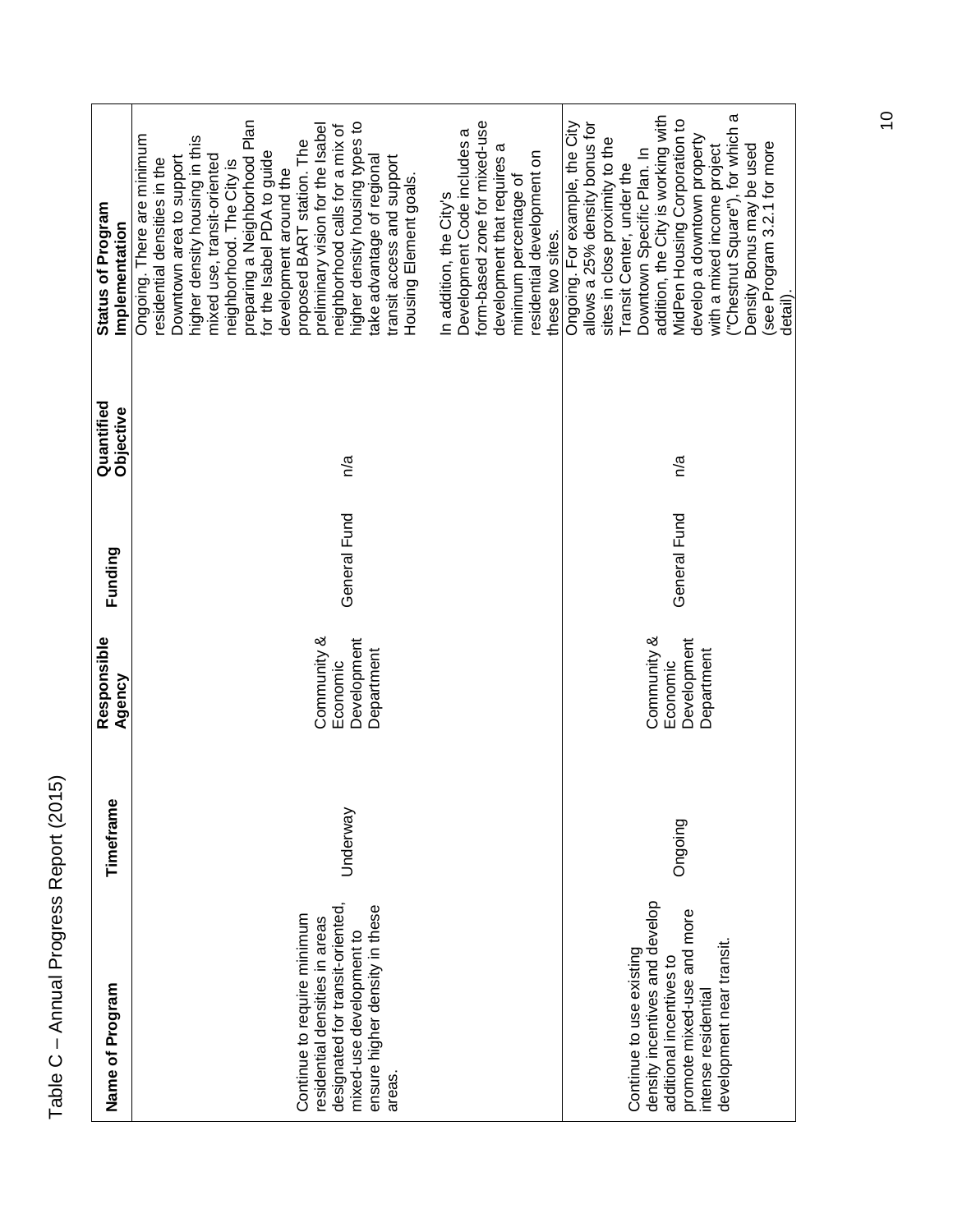| 2015                  |
|-----------------------|
|                       |
|                       |
| i                     |
| Renon                 |
|                       |
|                       |
| いくこく<br>$\frac{5}{2}$ |
|                       |
| ١                     |
|                       |
|                       |
|                       |
| <b>פווח</b>           |
|                       |
|                       |
|                       |
|                       |
|                       |
|                       |
| $\frac{4}{5}$         |
|                       |
|                       |

| Name of Program                                                                                                                                                           | Timeframe | Responsible<br>Agency                                | Funding      | Quantified<br>Objective | Status of Program<br>Implementation                                                                                                                                                                                                                                                                                                                                                                                                                                                                                                      |
|---------------------------------------------------------------------------------------------------------------------------------------------------------------------------|-----------|------------------------------------------------------|--------------|-------------------------|------------------------------------------------------------------------------------------------------------------------------------------------------------------------------------------------------------------------------------------------------------------------------------------------------------------------------------------------------------------------------------------------------------------------------------------------------------------------------------------------------------------------------------------|
| designated for transit-oriented,<br>ensure higher density in these<br>Continue to require minimum<br>residential densities in areas<br>mixed-use development to<br>areas. | Underway  | Community &<br>Development<br>Department<br>Economic | General Fund | n/a                     | preparing a Neighborhood Plan<br>higher density housing types to<br>preliminary vision for the Isabel<br>neighborhood calls for a mix of<br>Ongoing. There are minimum<br>higher density housing in this<br>proposed BART station. The<br>for the Isabel PDA to guide<br>mixed use, transit-oriented<br>take advantage of regional<br>transit access and support<br>Downtown area to support<br>residential densities in the<br>neighborhood. The City is<br>development around the<br>Housing Element goals.<br>In addition, the City's |
|                                                                                                                                                                           |           |                                                      |              |                         | form-based zone for mixed-use<br>Development Code includes a<br>development that requires a<br>residential development on<br>minimum percentage of<br>these two sites.                                                                                                                                                                                                                                                                                                                                                                   |
| density incentives and develop<br>promote mixed-use and more<br>development near transit.<br>Continue to use existing<br>additional incentives to<br>intense residential  | Ongoing   | Community &<br>Development<br>Department<br>Economic | General Fund | n/a                     | ("Chestnut Square"), for which a<br>addition, the City is working with<br>MidPen Housing Corporation to<br>Ongoing. For example, the City<br>allows a 25% density bonus for<br>develop a downtown property<br>sites in close proximity to the<br>(see Program 3.2.1 for more<br>Density Bonus may be used<br>with a mixed income project<br>Downtown Specific Plan. In<br>Transit Center, under the<br>detail)                                                                                                                           |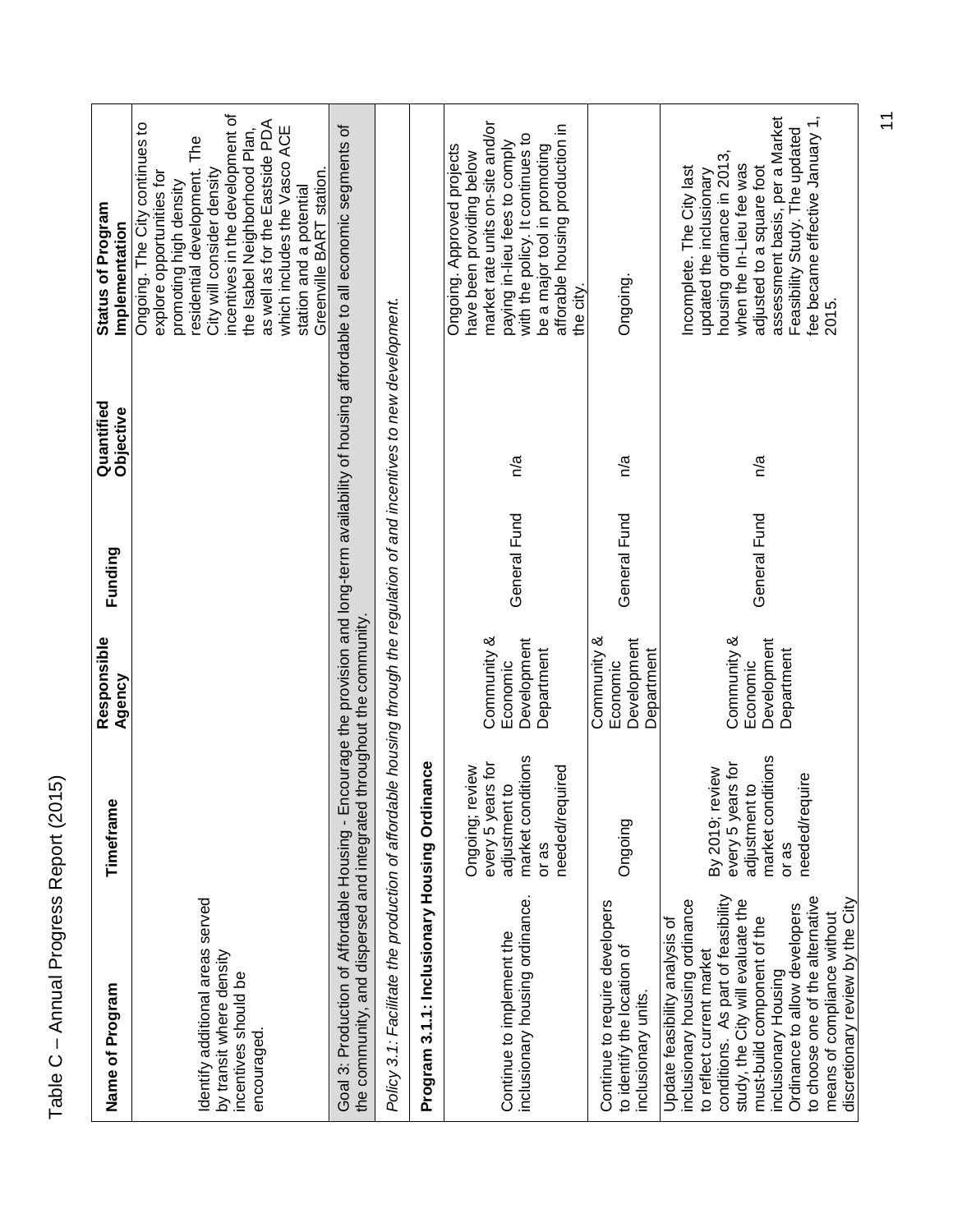| ,                             |
|-------------------------------|
| (200<                         |
|                               |
| )                             |
| Report                        |
|                               |
| いりこく<br>)<br>)<br>)<br>)<br>) |
|                               |
| ١                             |
|                               |
| . IBI IUL                     |
|                               |
|                               |
|                               |
|                               |
|                               |
| 이어                            |
|                               |
|                               |

| Name of Program                                                                                                                                                                                                                                                                                                                                                         | Timeframe                                                                                              | Responsible<br>Agency                                | Funding      | Quantified<br>Objective | <b>Status of Program</b><br>Implementation                                                                                                                                                                                                                                                                                                            |
|-------------------------------------------------------------------------------------------------------------------------------------------------------------------------------------------------------------------------------------------------------------------------------------------------------------------------------------------------------------------------|--------------------------------------------------------------------------------------------------------|------------------------------------------------------|--------------|-------------------------|-------------------------------------------------------------------------------------------------------------------------------------------------------------------------------------------------------------------------------------------------------------------------------------------------------------------------------------------------------|
| Identify additional areas served<br>by transit where density<br>incentives should be<br>encouraged.                                                                                                                                                                                                                                                                     |                                                                                                        |                                                      |              |                         | incentives in the development of<br>as well as for the Eastside PDA<br>Ongoing. The City continues to<br>the Isabel Neighborhood Plan,<br>which includes the Vasco ACE<br>The<br>residential development.<br>City will consider density<br>Greenville BART station.<br>explore opportunities for<br>promoting high density<br>station and a potential |
| the community, and dispersed and integrated throughout the community.<br>Goal 3: Production of Affordable Housing - En                                                                                                                                                                                                                                                  |                                                                                                        |                                                      |              |                         | courage the provision and long-term availability of housing affordable to all economic segments of                                                                                                                                                                                                                                                    |
| Policy 3.1: Facilitate the production of affordable housing through the regulation of and incentives to new development.                                                                                                                                                                                                                                                |                                                                                                        |                                                      |              |                         |                                                                                                                                                                                                                                                                                                                                                       |
| Program 3.1.1: Inclusionary Housing Ordinance                                                                                                                                                                                                                                                                                                                           |                                                                                                        |                                                      |              |                         |                                                                                                                                                                                                                                                                                                                                                       |
| inclusionary housing ordinance.<br>Continue to implement the                                                                                                                                                                                                                                                                                                            | market conditions<br>every 5 years for<br>needed/required<br>Ongoing; review<br>adjustment to<br>or as | Community &<br>Development<br>Department<br>Economic | General Fund | n/a                     | market rate units on-site and/or<br>afforable housing production in<br>with the policy. It continues to<br>paying in-lieu fees to comply<br>Ongoing. Approved projects<br>be a major tool in promoting<br>have been providing below<br>the city.                                                                                                      |
| Continue to require developers<br>to identify the location of<br>inclusionary units.                                                                                                                                                                                                                                                                                    | Ongoing                                                                                                | Development<br>Community &<br>Department<br>Economic | General Fund | n/a                     | Ongoing.                                                                                                                                                                                                                                                                                                                                              |
| conditions. As part of feasibility<br>to choose one of the alternative<br>inclusionary housing ordinance<br>study, the City will evaluate the<br>discretionary review by the City<br>Ordinance to allow developers<br>means of compliance without<br>must-build component of the<br>Update feasibility analysis of<br>to reflect current market<br>inclusionary Housing | market conditions<br>every 5 years for<br>By 2019; review<br>needed/require<br>adjustment to<br>or as  | Community &<br>Development<br>Department<br>Economic | General Fund | n/a                     | assessment basis, per a Market<br>fee became effective January 1,<br>Feasibility Study. The updated<br>housing ordinance in 2013,<br>when the In-Lieu fee was<br>Incomplete. The City last<br>adjusted to a square foot<br>updated the inclusionary<br>2015.                                                                                          |

 $\overline{1}$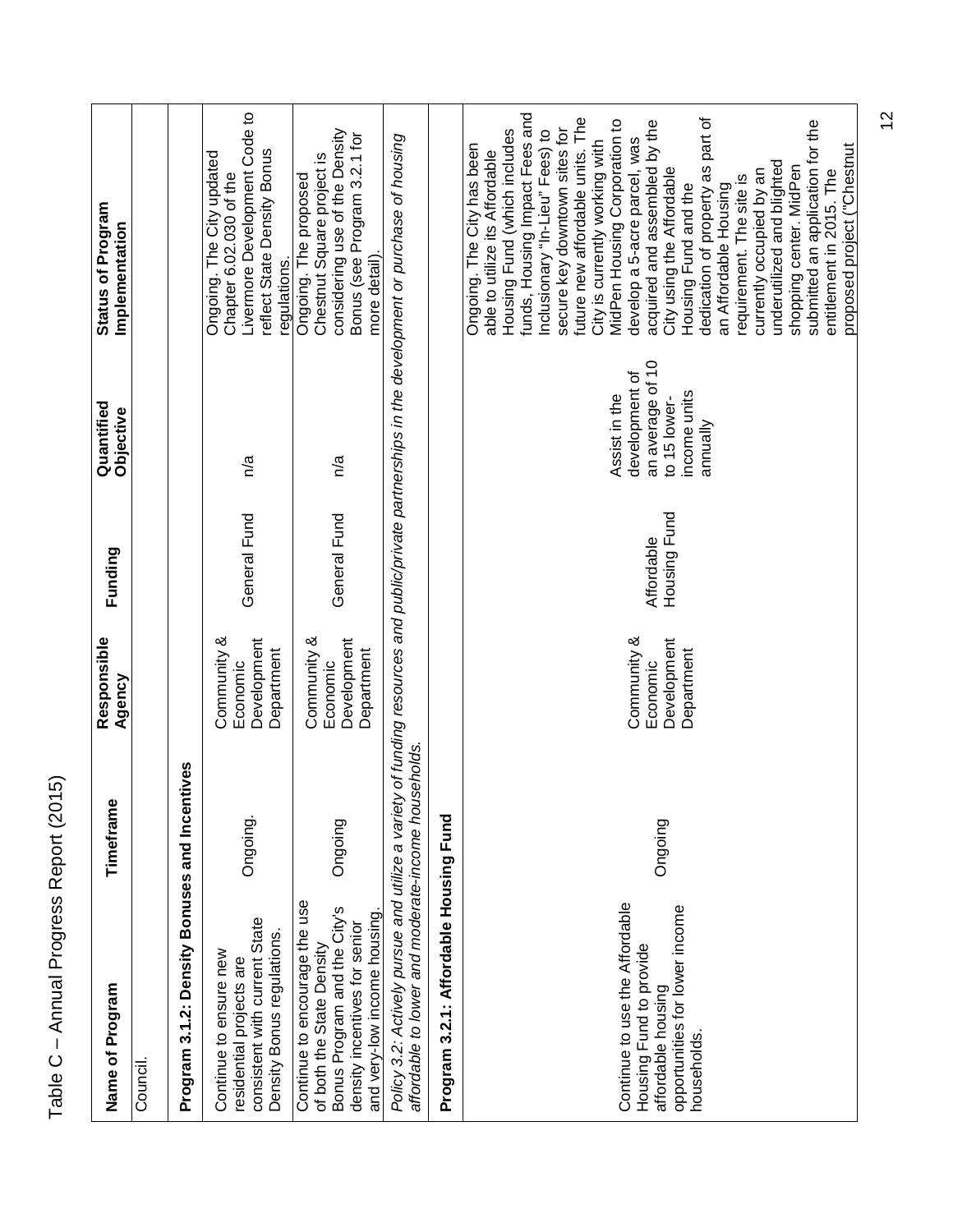| Name of Program                                                                                                                                                                                         | Ф<br>Timefram | Responsible<br>Agency                                | Funding                    | Quantified<br>Objective                                                                         | <b>Status of Program</b><br>Implementation                                                                                                                                                                                                                                                                                                                                                                                                                                                                                                                                                                                                                                                                    |
|---------------------------------------------------------------------------------------------------------------------------------------------------------------------------------------------------------|---------------|------------------------------------------------------|----------------------------|-------------------------------------------------------------------------------------------------|---------------------------------------------------------------------------------------------------------------------------------------------------------------------------------------------------------------------------------------------------------------------------------------------------------------------------------------------------------------------------------------------------------------------------------------------------------------------------------------------------------------------------------------------------------------------------------------------------------------------------------------------------------------------------------------------------------------|
| Council.                                                                                                                                                                                                |               |                                                      |                            |                                                                                                 |                                                                                                                                                                                                                                                                                                                                                                                                                                                                                                                                                                                                                                                                                                               |
| Program 3.1.2: Density Bonuses and Incentives                                                                                                                                                           |               |                                                      |                            |                                                                                                 |                                                                                                                                                                                                                                                                                                                                                                                                                                                                                                                                                                                                                                                                                                               |
| consistent with current State<br>Density Bonus regulations.<br>Continue to ensure new<br>residential projects are                                                                                       | Ongoing.      | Community &<br>Development<br>Department<br>Economic | General Fund               | n/a                                                                                             | Livermore Development Code to<br>reflect State Density Bonus<br>Ongoing. The City updated<br>Chapter 6.02.030 of the                                                                                                                                                                                                                                                                                                                                                                                                                                                                                                                                                                                          |
| Continue to encourage the use<br>Bonus Program and the City's<br>and very-low income housing<br>density incentives for senior<br>of both the State Density                                              | Ongoing       | Community &<br>Development<br>Department<br>Economic | General Fund               | n/a                                                                                             | considering use of the Density<br>Bonus (see Program 3.2.1 for<br>Chestnut Square project is<br>Ongoing. The proposed<br>more detail).<br>regulations.                                                                                                                                                                                                                                                                                                                                                                                                                                                                                                                                                        |
| Policy 3.2: Actively pursue and utilize a variety of funding resources and public/private partnerships in the development or purchase of housing<br>affordable to lower and moderate-income households. |               |                                                      |                            |                                                                                                 |                                                                                                                                                                                                                                                                                                                                                                                                                                                                                                                                                                                                                                                                                                               |
| Program 3.2.1: Affordable Housing Fund                                                                                                                                                                  |               |                                                      |                            |                                                                                                 |                                                                                                                                                                                                                                                                                                                                                                                                                                                                                                                                                                                                                                                                                                               |
| Continue to use the Affordable<br>opportunities for lower income<br>Housing Fund to provide<br>affordable housing<br>households.                                                                        | Ongoing       | Community &<br>Development<br>Department<br>Economic | Housing Fund<br>Affordable | an average of 10<br>development of<br>income units<br>Assist in the<br>to 15 lower-<br>annually | funds, Housing Impact Fees and<br>future new affordable units. The<br>dedication of property as part of<br>MidPen Housing Corporation to<br>acquired and assembled by the<br>submitted an application for the<br>secure key downtown sites for<br>Housing Fund (which includes<br>Inclusionary "In-Lieu" Fees) to<br>develop a 5-acre parcel, was<br>City is currently working with<br>Ongoing. The City has been<br>proposed project ("Chestnut<br>able to utilize its Affordable<br>underutilized and blighted<br>shopping center. MidPen<br>City using the Affordable<br>currently occupied by an<br>entitlement in 2015. The<br>requirement. The site is<br>Housing Fund and the<br>an Affordable Housing |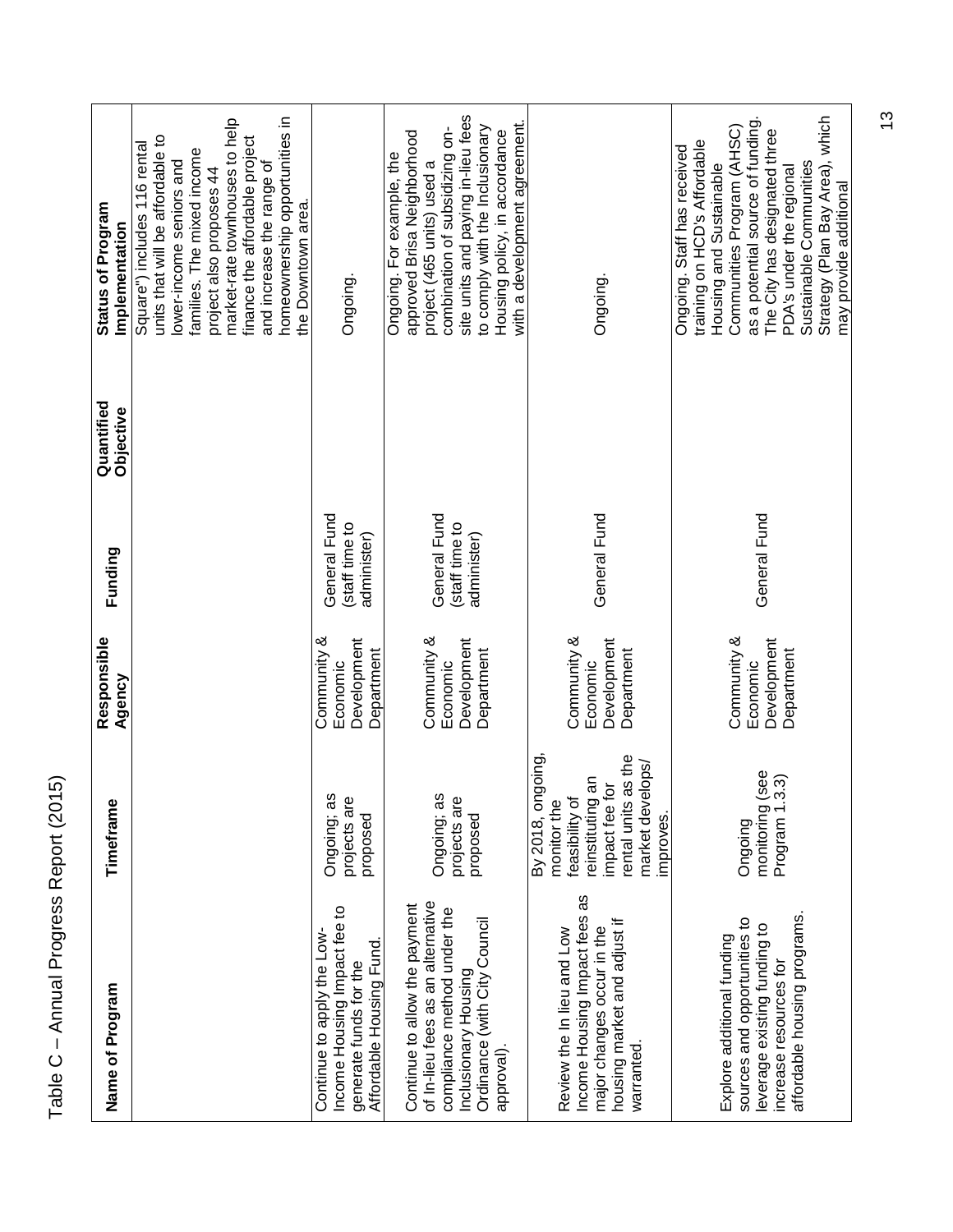| Name of Program                                                                                                                                                         | Timeframe                                                                                                                                                         | Responsible<br>Agency                                | Funding                                       | Quantified<br>Objective | Status of Program<br>Implementation                                                                                                                                                                                                                                                                             |
|-------------------------------------------------------------------------------------------------------------------------------------------------------------------------|-------------------------------------------------------------------------------------------------------------------------------------------------------------------|------------------------------------------------------|-----------------------------------------------|-------------------------|-----------------------------------------------------------------------------------------------------------------------------------------------------------------------------------------------------------------------------------------------------------------------------------------------------------------|
|                                                                                                                                                                         |                                                                                                                                                                   |                                                      |                                               |                         | homeownership opportunities in<br>market-rate townhouses to help<br>units that will be affordable to<br>finance the affordable project<br>Square") includes 116 rental<br>families. The mixed income<br>lower-income seniors and<br>and increase the range of<br>project also proposes 44<br>the Downtown area. |
| Income Housing Impact fee to<br>Continue to apply the Low-<br>Affordable Housing Fund<br>generate funds for the                                                         | Ongoing; as<br>projects are<br>proposed                                                                                                                           | Community &<br>Development<br>Department<br>Economic | General Fund<br>(staff time to<br>administer) |                         | Ongoing.                                                                                                                                                                                                                                                                                                        |
| of In-lieu fees as an alternative<br>Continue to allow the payment<br>compliance method under the<br>Ordinance (with City Council<br>Inclusionary Housing<br>approval). | Ongoing; as<br>projects are<br>proposed                                                                                                                           | Community &<br>Development<br>Department<br>Economic | General Fund<br>(staff time to<br>administer) |                         | site units and paying in-lieu fees<br>with a development agreement.<br>to comply with the Inclusionary<br>combination of subsidizing on-<br>approved Brisa Neighborhood<br>Housing policy, in accordance<br>Ongoing. For example, the<br>project (465 units) used a                                             |
| æ<br>Income Housing Impact fees<br>housing market and adjust if<br>major changes occur in the<br>Review the In lieu and Low<br>warranted                                | By 2018, ongoing,<br>as the<br>market develops/<br>reinstituting an<br>$\overline{5}$<br>feasibility of<br>monitor the<br>rental units<br>impact fee<br>improves. | Community &<br>Development<br>Department<br>Economic | General Fund                                  |                         | Ongoing.                                                                                                                                                                                                                                                                                                        |
| affordable housing programs.<br>sources and opportunities to<br>leverage existing funding to<br>Explore additional funding<br>increase resources for                    | (see<br>3.3)<br>monitoring<br>Program 1<br>Ongoing                                                                                                                | Community &<br>Development<br>Department<br>Economic | General Fund                                  |                         | Strategy (Plan Bay Area), which<br>as a potential source of funding.<br>Communities Program (AHSC)<br>The City has designated three<br>training on HCD's Affordable<br>Ongoing. Staff has received<br>Sustainable Communities<br>Housing and Sustainable<br>PDA's under the regional<br>may provide additional  |

Table C - Annual Progress Report (2015) Table C – Annual Progress Report (2015)

 $\mathsf{r}$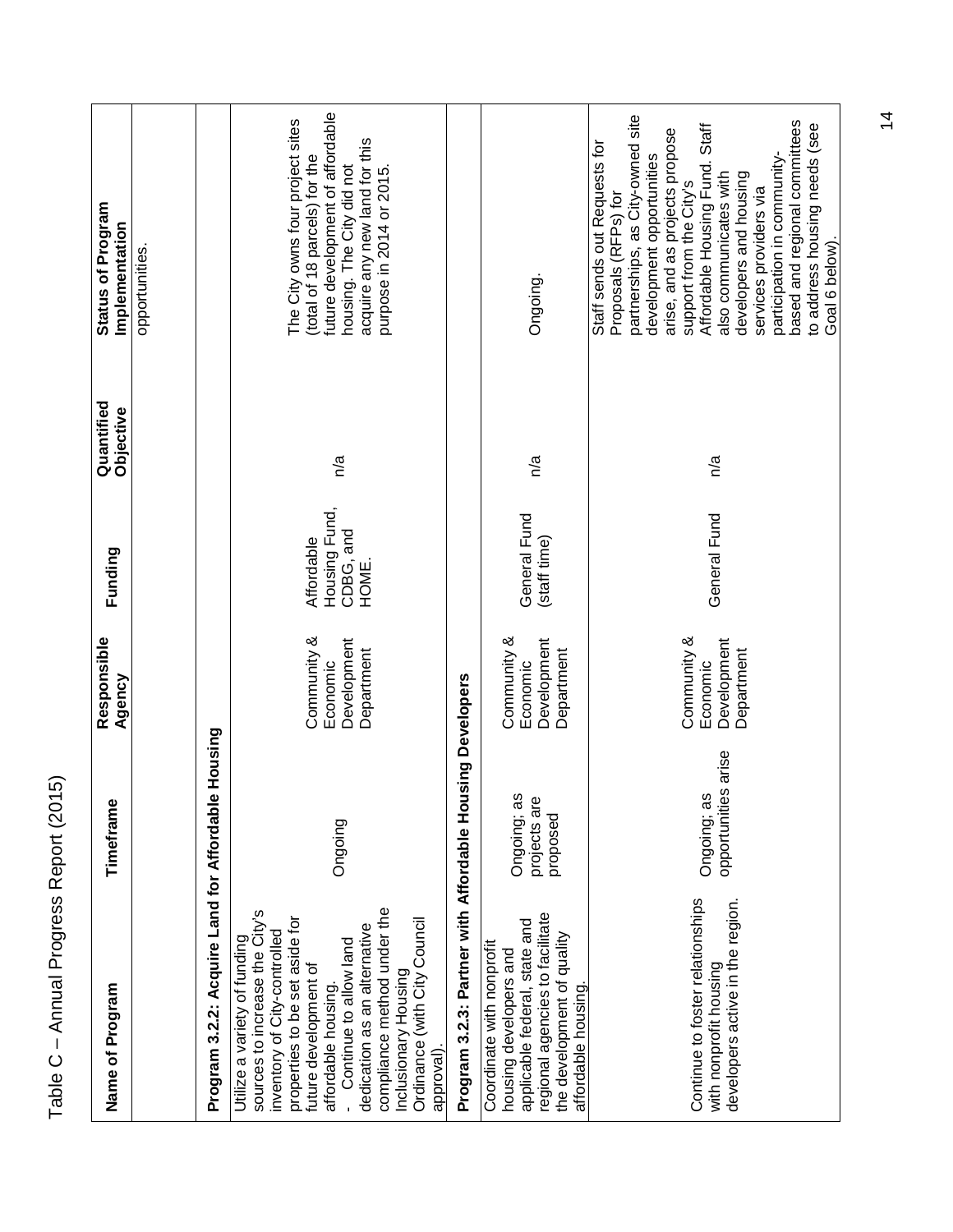| Name of Program                                                                                                                                                                                                                                                                                                                                 | Timeframe                               | Responsible<br>Agency                                | Funding                                           | Quantified<br>Objective | Status of Program<br>Implementation                                                                                                                                                                                                                                                                                                                                                                                   |
|-------------------------------------------------------------------------------------------------------------------------------------------------------------------------------------------------------------------------------------------------------------------------------------------------------------------------------------------------|-----------------------------------------|------------------------------------------------------|---------------------------------------------------|-------------------------|-----------------------------------------------------------------------------------------------------------------------------------------------------------------------------------------------------------------------------------------------------------------------------------------------------------------------------------------------------------------------------------------------------------------------|
|                                                                                                                                                                                                                                                                                                                                                 |                                         |                                                      |                                                   |                         | opportunities.                                                                                                                                                                                                                                                                                                                                                                                                        |
| Program 3.2.2: Acquire Land for Affordabl                                                                                                                                                                                                                                                                                                       | e Housing                               |                                                      |                                                   |                         |                                                                                                                                                                                                                                                                                                                                                                                                                       |
| compliance method under the<br>sources to increase the City's<br>properties to be set aside for<br>Ordinance (with City Council<br>dedication as an alternative<br>inventory of City-controlled<br>Utilize a variety of funding<br>Continue to allow land<br>future development of<br>Inclusionary Housing<br>affordable housing.<br>approval). | Ongoing                                 | Community &<br>Development<br>Department<br>Economic | Housing Fund,<br>CDBG, and<br>Affordable<br>HOME. | n/a                     | future development of affordable<br>The City owns four project sites<br>acquire any new land for this<br>(total of 18 parcels) for the<br>housing. The City did not<br>purpose in 2014 or 2015                                                                                                                                                                                                                        |
| Program 3.2.3: Partner with Affordable Housing Developers                                                                                                                                                                                                                                                                                       |                                         |                                                      |                                                   |                         |                                                                                                                                                                                                                                                                                                                                                                                                                       |
| regional agencies to facilitate<br>applicable federal, state and<br>the development of quality<br>Coordinate with nonprofit<br>housing developers and<br>affordable housing.                                                                                                                                                                    | Ongoing; as<br>projects are<br>proposed | Community &<br>Development<br>Department<br>Economic | General Fund<br>(staff time)                      | n/a                     | Ongoing.                                                                                                                                                                                                                                                                                                                                                                                                              |
| Continue to foster relationships<br>developers active in the region.<br>with nonprofit housing                                                                                                                                                                                                                                                  | opportunities arise<br>Ongoing; as      | Community &<br>Development<br>Department<br>Economic | General Fund                                      | n/a                     | partnerships, as City-owned site<br>based and regional committees<br>Affordable Housing Fund. Staff<br>to address housing needs (see<br>arise, and as projects propose<br>Staff sends out Requests for<br>participation in community-<br>development opportunities<br>also communicates with<br>developers and housing<br>support from the City's<br>services providers via<br>Proposals (RFPs) for<br>Goal 6 below). |
|                                                                                                                                                                                                                                                                                                                                                 |                                         |                                                      |                                                   |                         |                                                                                                                                                                                                                                                                                                                                                                                                                       |

Table C - Annual Progress Report (2015) Table C – Annual Progress Report (2015)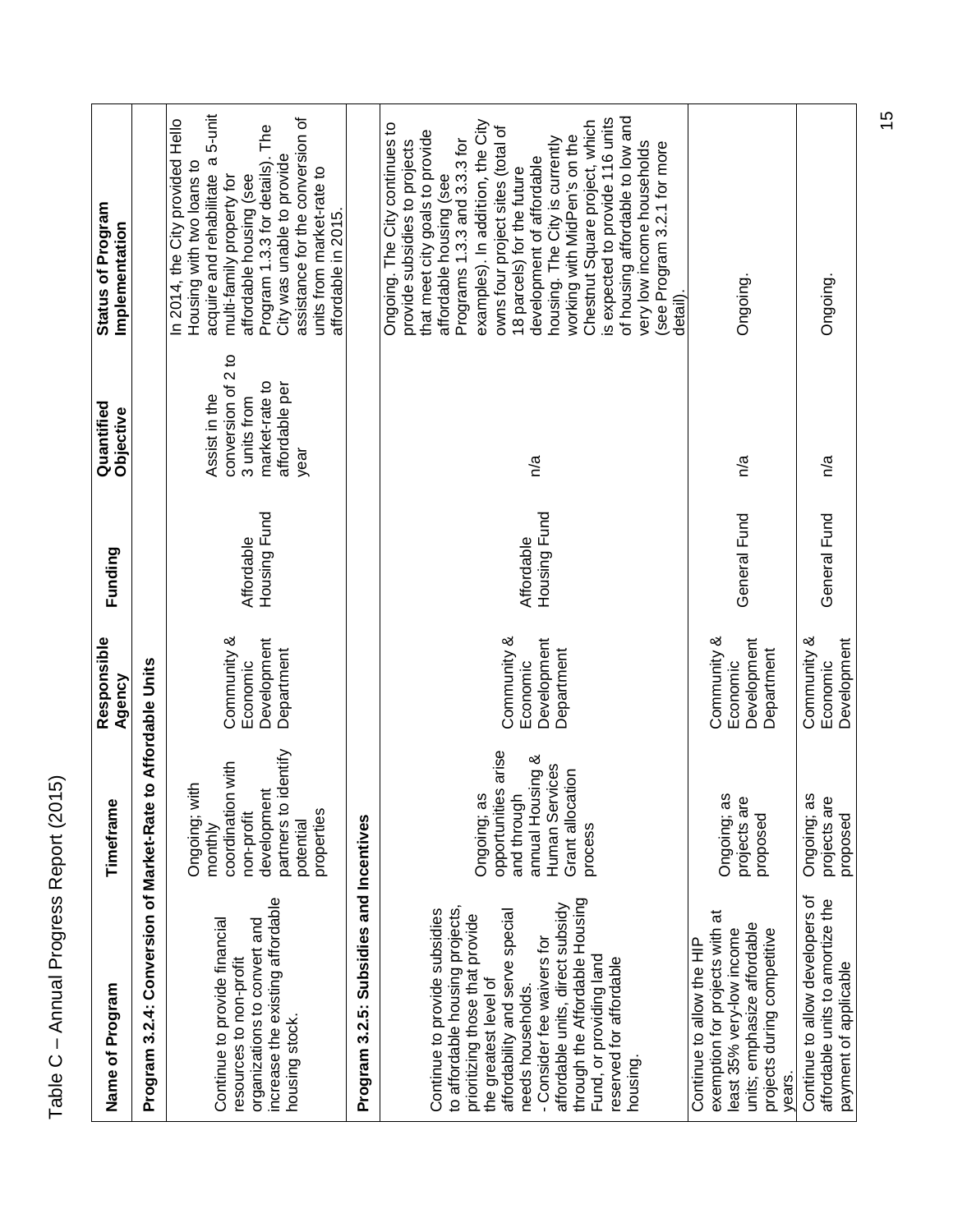| Name of Program                                                                                                                                                                                                                                                                                                                                           | Timeframe                                                                                                                     | Responsible<br>Agency                                | Funding                    | Quantified<br>Objective                                                                         | Status of Program<br>Implementation                                                                                                                                                                                                                                                                                                                                                                                                                                                                                                                    |
|-----------------------------------------------------------------------------------------------------------------------------------------------------------------------------------------------------------------------------------------------------------------------------------------------------------------------------------------------------------|-------------------------------------------------------------------------------------------------------------------------------|------------------------------------------------------|----------------------------|-------------------------------------------------------------------------------------------------|--------------------------------------------------------------------------------------------------------------------------------------------------------------------------------------------------------------------------------------------------------------------------------------------------------------------------------------------------------------------------------------------------------------------------------------------------------------------------------------------------------------------------------------------------------|
| Program 3.2.4: Conversion of Market-Rate                                                                                                                                                                                                                                                                                                                  |                                                                                                                               | to Affordable Units                                  |                            |                                                                                                 |                                                                                                                                                                                                                                                                                                                                                                                                                                                                                                                                                        |
| increase the existing affordable<br>Continue to provide financial<br>organizations to convert and<br>resources to non-profit<br>housing stock.                                                                                                                                                                                                            | partners to identify<br>coordination with<br>Ongoing; with<br>development<br>properties<br>non-profit<br>potential<br>monthly | Community &<br>Development<br>Department<br>Economic | Housing Fund<br>Affordable | conversion of 2 to<br>market-rate to<br>affordable per<br>Assist in the<br>3 units from<br>year | a 5-unit<br>assistance for the conversion of<br>In 2014, the City provided Hello<br>The<br>Program 1.3.3 for details).<br>City was unable to provide<br>Housing with two loans to<br>units from market-rate to<br>acquire and rehabilitate<br>affordable housing (see<br>multi-family property for<br>affordable in 2015.                                                                                                                                                                                                                              |
| Program 3.2.5: Subsidies and Incentives                                                                                                                                                                                                                                                                                                                   |                                                                                                                               |                                                      |                            |                                                                                                 |                                                                                                                                                                                                                                                                                                                                                                                                                                                                                                                                                        |
| through the Affordable Housing<br>affordable units, direct subsidy<br>to affordable housing projects,<br>Continue to provide subsidies<br>affordability and serve special<br>prioritizing those that provide<br>- Consider fee waivers for<br>Fund, or providing land<br>reserved for affordable<br>the greatest level of<br>needs households.<br>housing | opportunities arise<br>annual Housing &<br>Human Services<br>Grant allocation<br>Ongoing; as<br>and through<br>process        | Community &<br>Development<br>Department<br>Economic | Housing Fund<br>Affordable | n/a                                                                                             | of housing affordable to low and<br>is expected to provide 116 units<br>examples). In addition, the City<br>Chestnut Square project, which<br>Ongoing. The City continues to<br>owns four project sites (total of<br>that meet city goals to provide<br>working with MidPen's on the<br>housing. The City is currently<br>Programs 1.3.3 and 3.3.3 for<br>provide subsidies to projects<br>very low income households<br>(see Program 3.2.1 for more<br>development of affordable<br>18 parcels) for the future<br>affordable housing (see<br>detail). |
| exemption for projects with at<br>units; emphasize affordable<br>least 35% very-low income<br>projects during competitive<br>Continue to allow the HIP<br>years.                                                                                                                                                                                          | Ongoing; as<br>projects are<br>proposed                                                                                       | Community &<br>Development<br>Department<br>Economic | General Fund               | n/a                                                                                             | Ongoing.                                                                                                                                                                                                                                                                                                                                                                                                                                                                                                                                               |
| Continue to allow developers of<br>affordable units to amortize the<br>payment of applicable                                                                                                                                                                                                                                                              | Ongoing; as<br>projects are<br>proposed                                                                                       | Community &<br>Development<br>Economic               | General Fund               | n/a                                                                                             | Ongoing.                                                                                                                                                                                                                                                                                                                                                                                                                                                                                                                                               |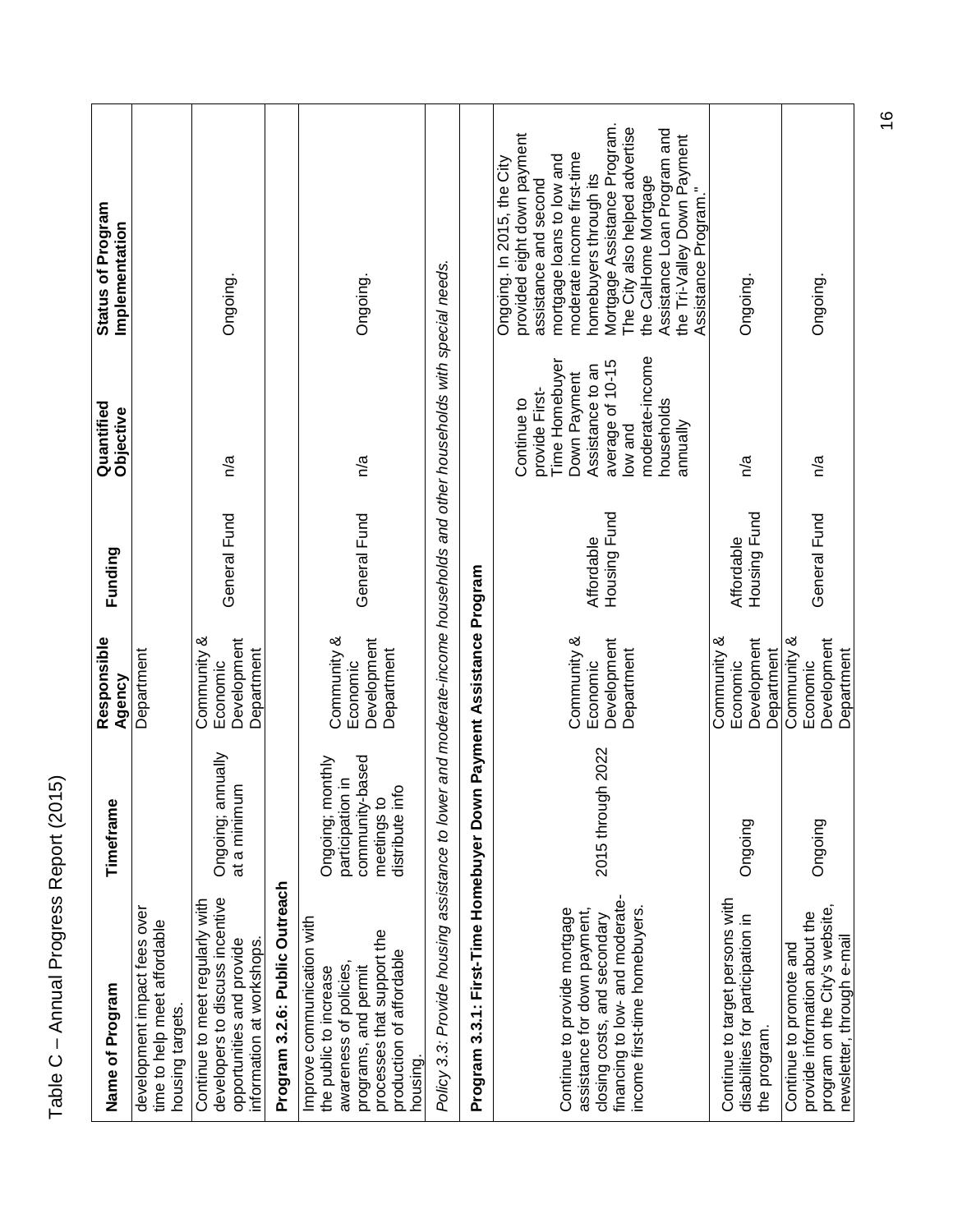|                                         | Pesnonsihle |
|-----------------------------------------|-------------|
|                                         |             |
| Table C – Annual Progress Report (2015) |             |
|                                         |             |

| Name of Program                                                                                                                                                              | Timeframe                                                                                    | Responsible<br>Agency                                | Funding                    | Quantified<br>Objective                                                                                                                                        | Status of Program<br>Implementation                                                                                                                                                                                                                                                                                                                     |
|------------------------------------------------------------------------------------------------------------------------------------------------------------------------------|----------------------------------------------------------------------------------------------|------------------------------------------------------|----------------------------|----------------------------------------------------------------------------------------------------------------------------------------------------------------|---------------------------------------------------------------------------------------------------------------------------------------------------------------------------------------------------------------------------------------------------------------------------------------------------------------------------------------------------------|
| development impact fees over<br>time to help meet affordable<br>housing targets.                                                                                             |                                                                                              | Department                                           |                            |                                                                                                                                                                |                                                                                                                                                                                                                                                                                                                                                         |
| developers to discuss incentive<br>Continue to meet regularly with<br>information at workshops.<br>opportunities and provide                                                 | Ongoing; annually<br>at a minimum                                                            | Development<br>Community &<br>Department<br>Economic | General Fund               | n/a                                                                                                                                                            | Ongoing.                                                                                                                                                                                                                                                                                                                                                |
| Program 3.2.6: Public Outreach                                                                                                                                               |                                                                                              |                                                      |                            |                                                                                                                                                                |                                                                                                                                                                                                                                                                                                                                                         |
| Improve communication with<br>processes that support the<br>production of affordable<br>awareness of policies,<br>programs, and permit<br>the public to increase<br>housing. | community-based<br>Ongoing; monthly<br>⊇.<br>distribute info<br>participation<br>meetings to | Community &<br>Development<br>Department<br>Economic | General Fund               | n/a                                                                                                                                                            | Ongoing.                                                                                                                                                                                                                                                                                                                                                |
| Policy 3.3: Provide housing assistance to lower                                                                                                                              |                                                                                              |                                                      |                            | and moderate-income households and other households with special needs.                                                                                        |                                                                                                                                                                                                                                                                                                                                                         |
| Program 3.3.1: First-Time Homebuyer Down                                                                                                                                     |                                                                                              | Payment Assistance Program                           |                            |                                                                                                                                                                |                                                                                                                                                                                                                                                                                                                                                         |
| financing to low- and moderate-<br>Continue to provide mortgage<br>income first-time homebuyers.<br>assistance for down payment,<br>closing costs, and secondary             | 2022<br>2015 through                                                                         | Community &<br>Development<br>Department<br>Economic | Housing Fund<br>Affordable | moderate-income<br>Time Homebuyer<br>average of 10-15<br>Assistance to an<br>Down Payment<br>provide First-<br>Continue to<br>households<br>annually<br>ow and | Mortgage Assistance Program.<br>The City also helped advertise<br>Assistance Loan Program and<br>the Tri-Valley Down Payment<br>Assistance Program."<br>provided eight down payment<br>moderate income first-time<br>mortgage loans to low and<br>Ongoing. In 2015, the City<br>homebuyers through its<br>the CalHome Mortgage<br>assistance and second |
| Continue to target persons with<br>disabilities for participation in<br>the program.                                                                                         | Ongoing                                                                                      | Community &<br>Development<br>Department<br>Economic | Housing Fund<br>Affordable | n/a                                                                                                                                                            | Ongoing                                                                                                                                                                                                                                                                                                                                                 |
| program on the City's website,<br>provide information about the<br>newsletter, through e-mail<br>Continue to promote and                                                     | Ongoing                                                                                      | Community &<br>Development<br>Department<br>Economic | General Fund               | n/a                                                                                                                                                            | Ongoing.                                                                                                                                                                                                                                                                                                                                                |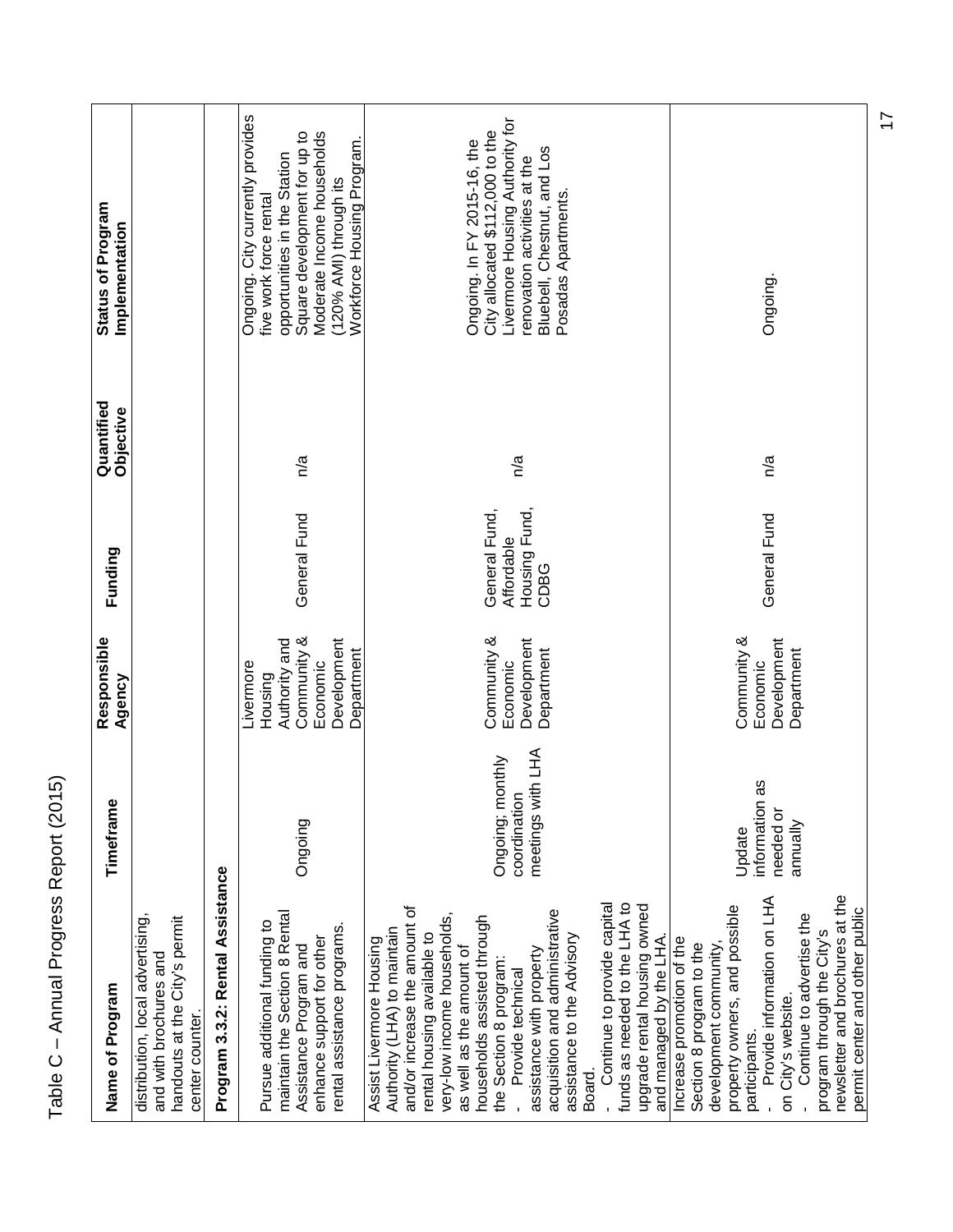| Í<br>š<br>J        |
|--------------------|
| こくく                |
| いくこく<br>١          |
| $\frac{1}{2}$      |
|                    |
| (<br>$\frac{1}{5}$ |

| Name of Program                                                                                                                                                                                                                                                                                                                                                                                                                                                                                   | Timeframe                                             | Responsible<br>Agency                                                                         | Funding                                              | Quantified<br>Objective | <b>Status of Program</b><br>Implementation                                                                                                                                                                       |
|---------------------------------------------------------------------------------------------------------------------------------------------------------------------------------------------------------------------------------------------------------------------------------------------------------------------------------------------------------------------------------------------------------------------------------------------------------------------------------------------------|-------------------------------------------------------|-----------------------------------------------------------------------------------------------|------------------------------------------------------|-------------------------|------------------------------------------------------------------------------------------------------------------------------------------------------------------------------------------------------------------|
| distribution, local advertising,<br>handouts at the City's permit<br>and with brochures and<br>center counter.                                                                                                                                                                                                                                                                                                                                                                                    |                                                       |                                                                                               |                                                      |                         |                                                                                                                                                                                                                  |
| Program 3.3.2: Rental Assistance                                                                                                                                                                                                                                                                                                                                                                                                                                                                  |                                                       |                                                                                               |                                                      |                         |                                                                                                                                                                                                                  |
| maintain the Section 8 Rental<br>Pursue additional funding to<br>rental assistance programs.<br>enhance support for other<br>Assistance Program and                                                                                                                                                                                                                                                                                                                                               | Ongoing                                               | Community &<br>Development<br>Authority and<br>Department<br>Economic<br>Livermore<br>Housing | General Fund                                         | n/a                     | Ongoing. City currently provides<br>Square development for up to<br>Moderate Income households<br>Workforce Housing Program.<br>opportunities in the Station<br>(120% AMI) through its<br>five work force rental |
| funds as needed to the LHA to<br>Continue to provide capital<br>upgrade rental housing owned<br>and/or increase the amount of<br>acquisition and administrative<br>very-low income households,<br>households assisted through<br>Authority (LHA) to maintain<br>rental housing available to<br>assistance to the Advisory<br>and managed by the LHA.<br>Assist Livermore Housing<br>as well as the amount of<br>assistance with property<br>the Section 8 program:<br>Provide technical<br>Board. | meetings with LHA<br>Ongoing; monthly<br>coordination | Community &<br>Development<br>Department<br>Economic                                          | General Fund,<br>Housing Fund,<br>Affordable<br>CDBG | n/a                     | Livermore Housing Authority for<br>City allocated \$112,000 to the<br>Ongoing. In FY 2015-16, the<br>Bluebell, Chestnut, and Los<br>renovation activities at the<br>Posadas Apartments                           |
| newsletter and brochures at the<br>Provide information on LHA<br>property owners, and possible<br>permit center and other public<br>Continue to advertise the<br>program through the City's<br>Increase promotion of the<br>development community,<br>Section 8 program to the<br>on City's website.<br>participants.                                                                                                                                                                             | æ<br>information<br>needed or<br>annually<br>Update   | Community &<br>Development<br>Department<br>Economic                                          | General Fund                                         | n/a                     | Ongoing.                                                                                                                                                                                                         |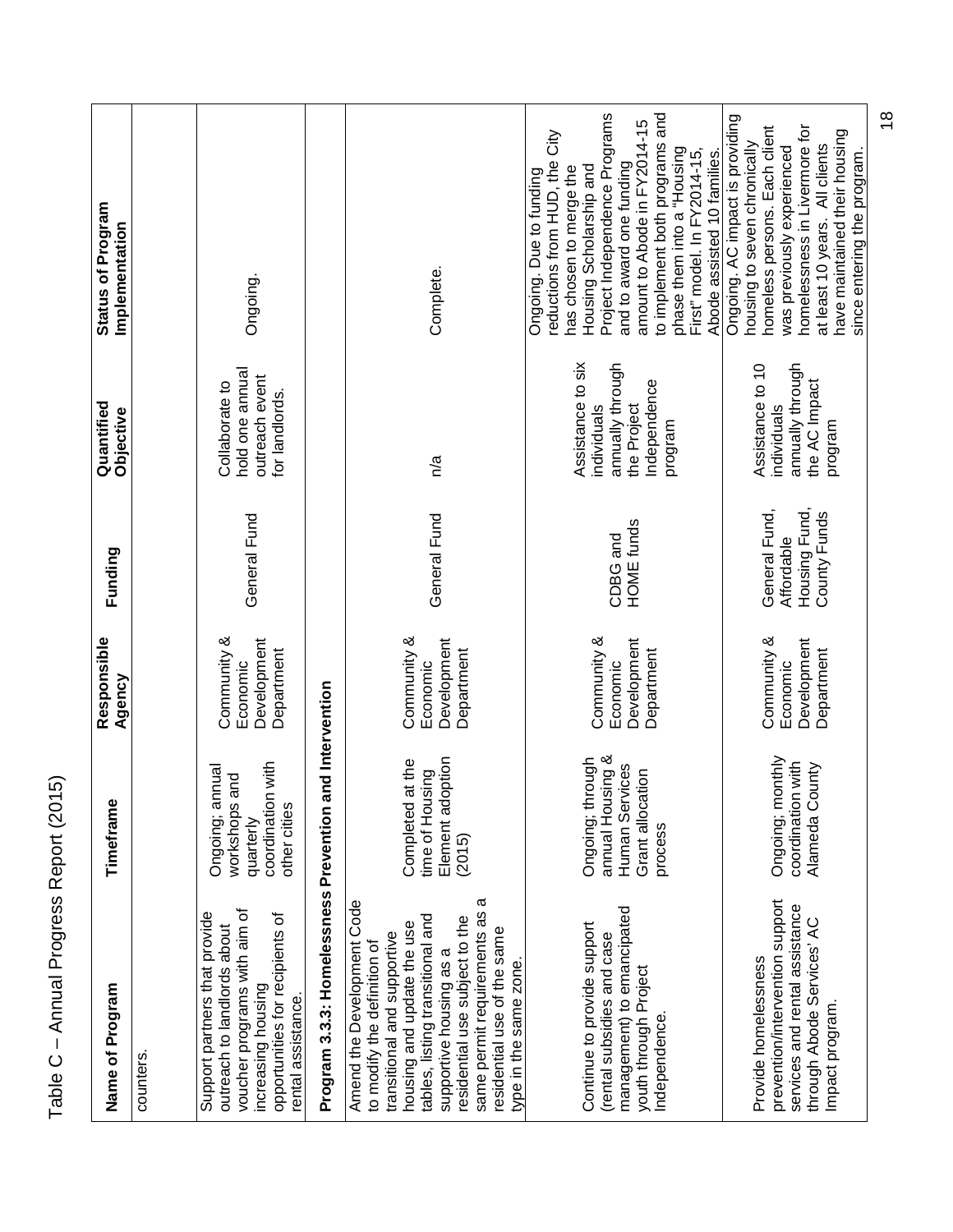| ľ<br>J<br>$\mathbf{I}$<br>č |
|-----------------------------|
|                             |
| ׆<br>ح<br>ح<br>ı            |
| いくろくり<br>١                  |
| Ì                           |
| <u>י</u><br>וומו            |
|                             |
| ١<br>ا<br>م                 |
|                             |

| Name of Program                                                                                                                                                                                                                                                                                                       | Timeframe                                                                               | Responsible<br>Agency                                | Funding                                                      | Quantified<br>Objective                                                                        | Status of Program<br>Implementation                                                                                                                                                                                                                                                                                                       |
|-----------------------------------------------------------------------------------------------------------------------------------------------------------------------------------------------------------------------------------------------------------------------------------------------------------------------|-----------------------------------------------------------------------------------------|------------------------------------------------------|--------------------------------------------------------------|------------------------------------------------------------------------------------------------|-------------------------------------------------------------------------------------------------------------------------------------------------------------------------------------------------------------------------------------------------------------------------------------------------------------------------------------------|
| counters                                                                                                                                                                                                                                                                                                              |                                                                                         |                                                      |                                                              |                                                                                                |                                                                                                                                                                                                                                                                                                                                           |
| voucher programs with aim of<br>Support partners that provide<br>opportunities for recipients of<br>outreach to landlords about<br>increasing housing<br>rental assistance.                                                                                                                                           | coordination with<br>Ongoing; annual<br>i and<br>workshops<br>other cities<br>quarterly | Community &<br>Development<br>Department<br>Economic | General Fund                                                 | hold one annual<br>outreach event<br>Collaborate to<br>for landlords.                          | Ongoing.                                                                                                                                                                                                                                                                                                                                  |
| Program 3.3.3: Homelessness Prevention                                                                                                                                                                                                                                                                                | and Intervention                                                                        |                                                      |                                                              |                                                                                                |                                                                                                                                                                                                                                                                                                                                           |
| ᡕᡦ<br>Amend the Development Code<br>same permit requirements as<br>tables, listing transitional and<br>residential use subject to the<br>housing and update the use<br>residential use of the same<br>transitional and supportive<br>to modify the definition of<br>supportive housing as a<br>type in the same zone. | Element adoption<br>at the<br>time of Housing<br>Completed<br>(2015)                    | Community &<br>Development<br>Department<br>Economic | General Fund                                                 | n/a                                                                                            | Complete.                                                                                                                                                                                                                                                                                                                                 |
| management) to emancipated<br>Continue to provide support<br>(rental subsidies and case<br>youth through Project<br>Independence                                                                                                                                                                                      | annual Housing &<br>Ongoing; through<br>Human Services<br>Grant allocation<br>process   | Community &<br>Development<br>Department<br>Economic | <b>HOME</b> funds<br>CDBG and                                | Assistance to six<br>annually through<br>Independence<br>the Project<br>individuals<br>program | to implement both programs and<br>Project Independence Programs<br>amount to Abode in FY2014-15<br>reductions from HUD, the City<br>phase them into a "Housing<br>First" model. In FY2014-15,<br>Abode assisted 10 families.<br>and to award one funding<br>Housing Scholarship and<br>has chosen to merge the<br>Ongoing. Due to funding |
| prevention/intervention support<br>services and rental assistance<br>through Abode Services' AC<br>Provide homelessness<br>Impact program                                                                                                                                                                             | Ongoing; monthly<br>coordination with<br>Alameda County                                 | Community &<br>Development<br>Department<br>Economic | Housing Fund,<br>General Fund,<br>County Funds<br>Affordable | annually through<br>Assistance to 10<br>the AC Impact<br>individuals<br>program                | Ongoing. AC impact is providing<br>homelessness in Livermore for<br>homeless persons. Each client<br>have maintained their housing<br>housing to seven chronically<br>at least 10 years. All clients<br>was previously experienced<br>since entering the program.                                                                         |

 $\frac{8}{18}$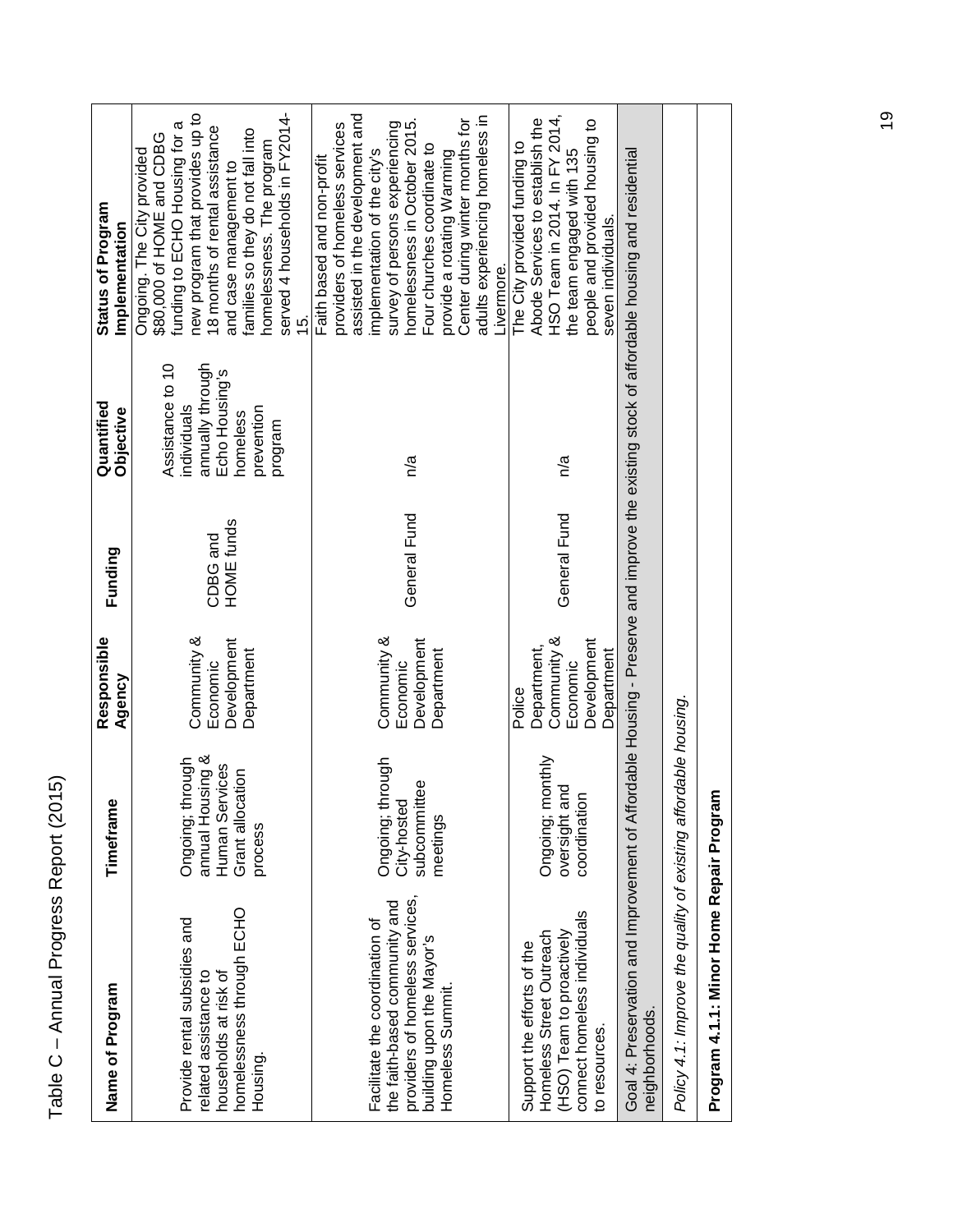| Name of Program                                                                                                                                              | Timeframe                                                                             | Responsible<br>Agency                                                         | Funding                       | Quantified<br>Objective                                                                                    | Status of Program<br>Implementation                                                                                                                                                                                                                                                                                                                 |
|--------------------------------------------------------------------------------------------------------------------------------------------------------------|---------------------------------------------------------------------------------------|-------------------------------------------------------------------------------|-------------------------------|------------------------------------------------------------------------------------------------------------|-----------------------------------------------------------------------------------------------------------------------------------------------------------------------------------------------------------------------------------------------------------------------------------------------------------------------------------------------------|
| homelessness through ECHO<br>Provide rental subsidies and<br>related assistance to<br>households at risk of<br>Housing.                                      | annual Housing &<br>Ongoing; through<br>Human Services<br>Grant allocation<br>process | Community &<br>Development<br>Department<br>Economic                          | <b>HOME</b> funds<br>CDBG and | Assistance to 10<br>annually through<br>Echo Housing's<br>individuals<br>prevention<br>homeless<br>program | new program that provides up to<br>served 4 households in FY2014-<br>funding to ECHO Housing for a<br>18 months of rental assistance<br>families so they do not fall into<br>\$80,000 of HOME and CDBG<br>homelessness. The program<br>Ongoing. The City provided<br>and case management to<br>15.                                                  |
| providers of homeless services,<br>the faith-based community and<br>Facilitate the coordination of<br>building upon the Mayor's<br>Homeless Summit.          | Ongoing; through<br>subcommittee<br>City-hostec<br>meetings                           | Community &<br>Development<br>Department<br>Economic                          | General Fund                  | n/a                                                                                                        | assisted in the development and<br>adults experiencing homeless in<br>Center during winter months for<br>homelessness in October 2015.<br>survey of persons experiencing<br>providers of homeless services<br>Four churches coordinate to<br>provide a rotating Warming<br>implementation of the city's<br>Faith based and non-profit<br>Livermore. |
| connect homeless individuals<br>(HSO) Team to proactively<br>Homeless Street Outreach<br>Support the efforts of the<br>to resources.                         | Ongoing; monthly<br>oversight and<br>coordination                                     | Community &<br>Development<br>Department<br>Department,<br>Economic<br>Police | General Fund                  | n/a                                                                                                        | HSO Team in 2014. In FY 2014,<br>Abode Services to establish the<br>people and provided housing to<br>The City provided funding to<br>the team engaged with 135<br>seven individuals.                                                                                                                                                               |
| Goal 4: Preservation and Improvement of Affordable Housing - Preserve and improve the existing stock of affordable housing and residential<br>neighborhoods. |                                                                                       |                                                                               |                               |                                                                                                            |                                                                                                                                                                                                                                                                                                                                                     |
| Policy 4.1: Improve the quality of existing affordable housing.                                                                                              |                                                                                       |                                                                               |                               |                                                                                                            |                                                                                                                                                                                                                                                                                                                                                     |
| Program 4.1.1: Minor Home Repair Program                                                                                                                     |                                                                                       |                                                                               |                               |                                                                                                            |                                                                                                                                                                                                                                                                                                                                                     |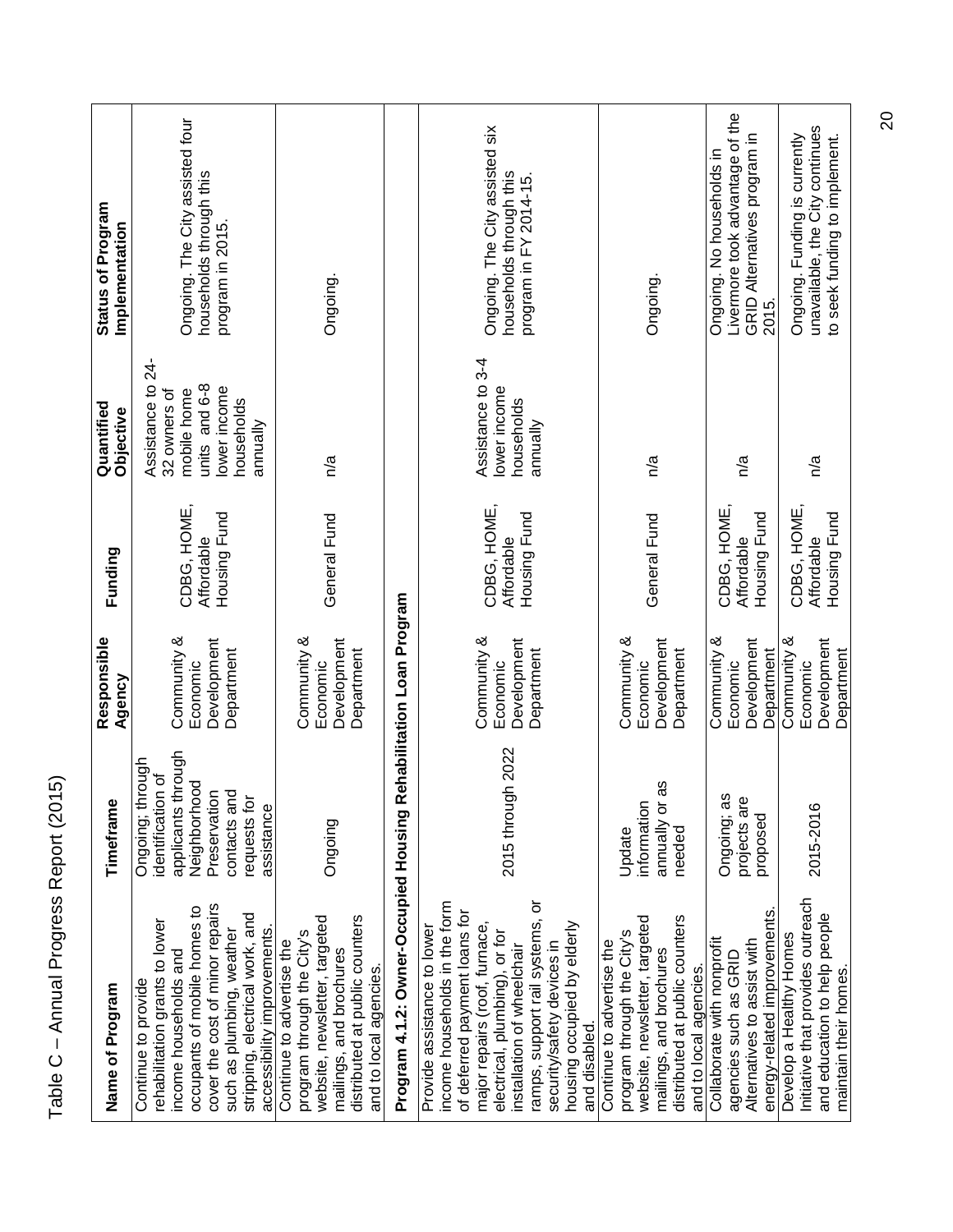| Name of Program                                                                                                                                                                                                                                                                                                | Timeframe                                                                                                                                 | Responsible<br>Agency                                | Funding                                   | Quantified<br>Objective                                                                                           | Status of Program<br>Implementation                                                                   |
|----------------------------------------------------------------------------------------------------------------------------------------------------------------------------------------------------------------------------------------------------------------------------------------------------------------|-------------------------------------------------------------------------------------------------------------------------------------------|------------------------------------------------------|-------------------------------------------|-------------------------------------------------------------------------------------------------------------------|-------------------------------------------------------------------------------------------------------|
| cover the cost of minor repairs<br>occupants of mobile homes to<br>and<br>rehabilitation grants to lower<br>such as plumbing, weather<br>accessibility improvements.<br>stripping, electrical work,<br>income households and<br>Continue to provide                                                            | applicants through<br>Ongoing; through<br>identification of<br>Neighborhood<br>Preservation<br>contacts and<br>requests for<br>assistance | Community &<br>Development<br>Department<br>Economic | CDBG, HOME,<br>Housing Fund<br>Affordable | $24 -$<br>Assistance to<br>units and 6-8<br>lower income<br>mobile home<br>32 owners of<br>households<br>annually | Ongoing. The City assisted four<br>households through this<br>program in 2015.                        |
| website, newsletter, targeted<br>distributed at public counters<br>program through the City's<br>Continue to advertise the<br>mailings, and brochures<br>and to local agencies                                                                                                                                 | Ongoing                                                                                                                                   | Community &<br>Development<br>Department<br>Economic | General Fund                              | n/a                                                                                                               | Ongoing.                                                                                              |
| Program 4.1.2: Owner-Occupied Housing                                                                                                                                                                                                                                                                          |                                                                                                                                           | Rehabilitation Loan Program                          |                                           |                                                                                                                   |                                                                                                       |
| ramps, support rail systems, or<br>income households in the form<br>of deferred payment loans for<br>major repairs (roof, furnace,<br>housing occupied by elderly<br>Provide assistance to lower<br>electrical, plumbing), or for<br>security/safety devices in<br>installation of wheelchair<br>and disabled. | 2015 through 2022                                                                                                                         | Community &<br>Development<br>Department<br>Economic | CDBG, HOME,<br>Housing Fund<br>Affordable | Assistance to 3-4<br>lower income<br>households<br>annually                                                       | Ongoing. The City assisted six<br>households through this<br>program in FY 2014-15.                   |
| website, newsletter, targeted<br>distributed at public counters<br>program through the City's<br>Continue to advertise the<br>mailings, and brochures<br>and to local agencies                                                                                                                                 | æ<br>information<br>annually or<br>needed<br>Update                                                                                       | Community &<br>Development<br>Department<br>Economic | General Fund                              | n/a                                                                                                               | Ongoing.                                                                                              |
| energy-related improvements.<br>Collaborate with nonprofit<br>Alternatives to assist with<br>agencies such as GRID                                                                                                                                                                                             | Ongoing; as<br>projects are<br>proposed                                                                                                   | Community &<br>Development<br>Department<br>Economic | CDBG, HOME<br>Housing Fund<br>Affordable  | n/a                                                                                                               | Livermore took advantage of the<br>GRID Alternatives program in<br>Ongoing. No households in<br>2015. |
| Initiative that provides outreach<br>and education to help people<br>Develop a Healthy Homes<br>maintain their homes.                                                                                                                                                                                          | 2015-2016                                                                                                                                 | Development<br>Community &<br>Department<br>Economic | CDBG, HOME,<br>Housing Fund<br>Affordable | n/a                                                                                                               | unavailable, the City continues<br>Ongoing. Funding is currently<br>to seek funding to implement.     |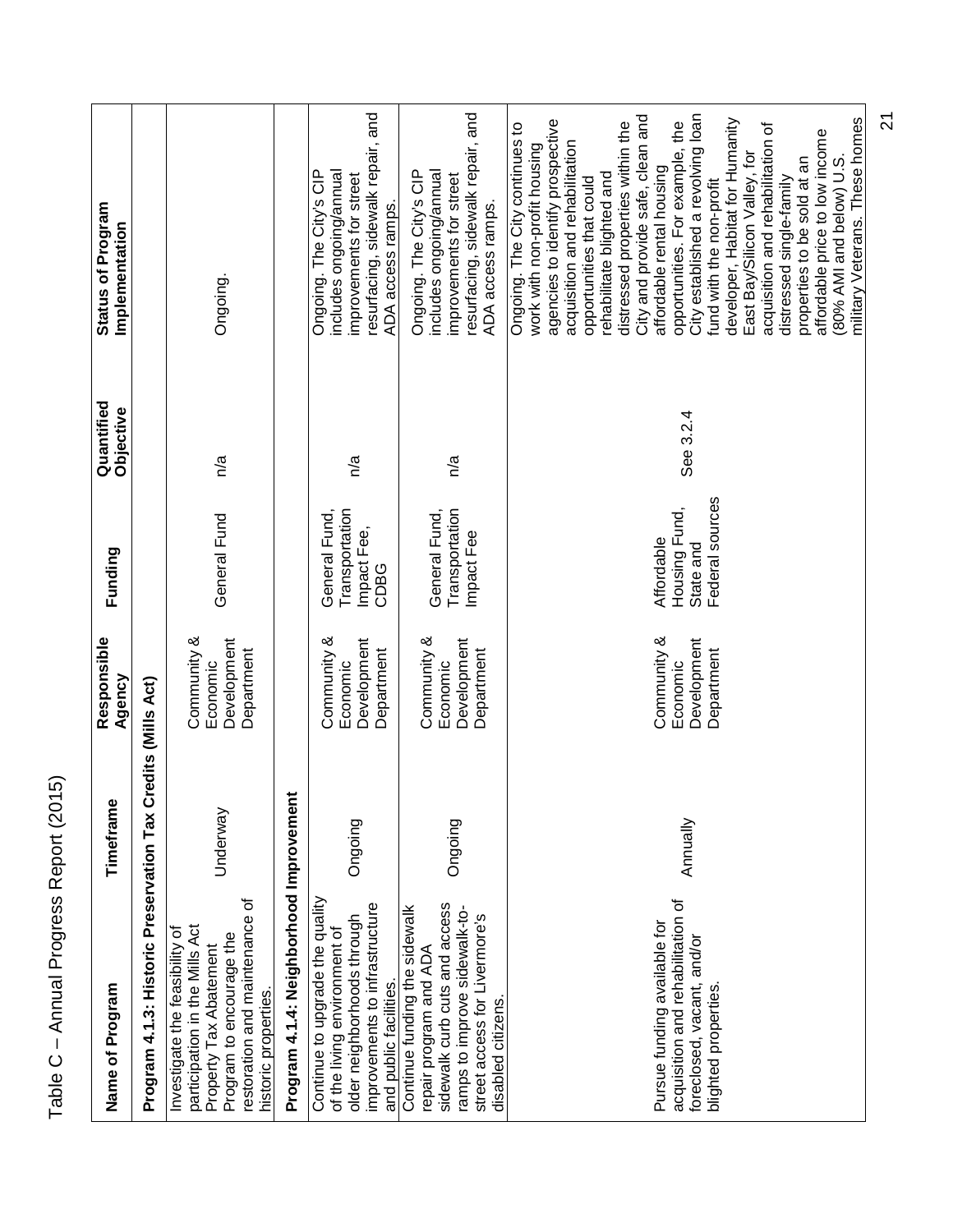| Status of Program<br>Implementation |                                          | Ongoing.                                                                                                                                                                         |                                         | resurfacing, sidewalk repair, and<br>includes ongoing/annual<br>Ongoing. The City's CIP<br>improvements for street<br>ADA access ramps.                    | resurfacing, sidewalk repair, and<br>includes ongoing/annual<br>Ongoing. The City's CIP<br>improvements for street<br>ADA access ramps.                                          | City established a revolving loan<br>City and provide safe, clean and<br>developer, Habitat for Humanity<br>military Veterans. These homes<br>agencies to identify prospective<br>opportunities. For example, the<br>distressed properties within the<br>Ongoing. The City continues to<br>acquisition and rehabilitation of<br>affordable price to low income<br>acquisition and rehabilitation<br>work with non-profit housing<br>East Bay/Silicon Valley, for<br>properties to be sold at an<br>(80% AMI and below) U.S.<br>affordable rental housing<br>rehabilitate blighted and<br>distressed single-family<br>opportunities that could<br>fund with the non-profit |
|-------------------------------------|------------------------------------------|----------------------------------------------------------------------------------------------------------------------------------------------------------------------------------|-----------------------------------------|------------------------------------------------------------------------------------------------------------------------------------------------------------|----------------------------------------------------------------------------------------------------------------------------------------------------------------------------------|---------------------------------------------------------------------------------------------------------------------------------------------------------------------------------------------------------------------------------------------------------------------------------------------------------------------------------------------------------------------------------------------------------------------------------------------------------------------------------------------------------------------------------------------------------------------------------------------------------------------------------------------------------------------------|
| Quantified<br>Objective             |                                          | n/a                                                                                                                                                                              |                                         | n/a                                                                                                                                                        | n/a                                                                                                                                                                              | See 3.2.4                                                                                                                                                                                                                                                                                                                                                                                                                                                                                                                                                                                                                                                                 |
| Funding                             |                                          | General Fund                                                                                                                                                                     |                                         | Transportation<br>General Fund,<br>Impact Fee,<br>CDBG                                                                                                     | Transportation<br>General Fund,<br>Impact Fee                                                                                                                                    | Federal sources<br>Housing Fund,<br>Affordable<br>State and                                                                                                                                                                                                                                                                                                                                                                                                                                                                                                                                                                                                               |
| Responsible<br>Agency               | Credits (Mills Act)                      | Community &<br>Development<br>Department<br>Economic                                                                                                                             |                                         | Community &<br>Development<br>Department<br>Economic                                                                                                       | Community &<br>Development<br>Department<br>Economic                                                                                                                             | Community &<br>Development<br>Department<br>Economic                                                                                                                                                                                                                                                                                                                                                                                                                                                                                                                                                                                                                      |
| Timeframe                           |                                          | Underway                                                                                                                                                                         |                                         | Ongoing                                                                                                                                                    | Ongoing                                                                                                                                                                          | Annually                                                                                                                                                                                                                                                                                                                                                                                                                                                                                                                                                                                                                                                                  |
| Name of Program                     | Program 4.1.3: Historic Preservation Tax | restoration and maintenance of<br>participation in the Mills Act<br>Investigate the feasibility of<br>Program to encourage the<br>Property Tax Abatement<br>historic properties. | Program 4.1.4: Neighborhood Improvement | Continue to upgrade the quality<br>improvements to infrastructure<br>older neighborhoods through<br>of the living environment of<br>and public facilities. | sidewalk curb cuts and access<br>Continue funding the sidewalk<br>ramps to improve sidewalk-to-<br>street access for Livermore's<br>repair program and ADA<br>disabled citizens. | acquisition and rehabilitation of<br>Pursue funding available for<br>foreclosed, vacant, and/or<br>blighted properties                                                                                                                                                                                                                                                                                                                                                                                                                                                                                                                                                    |

 $\overline{2}$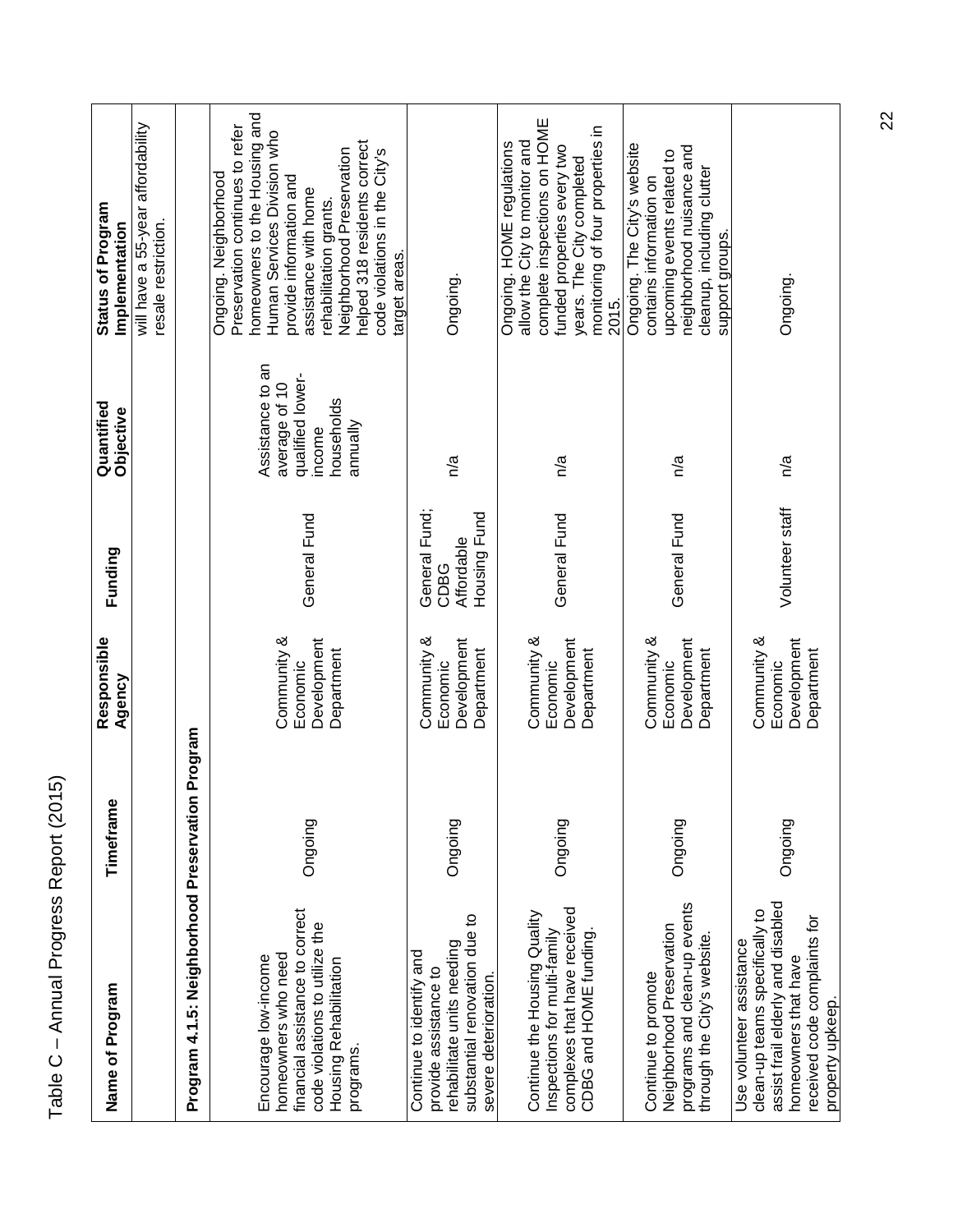| Name of Program                                                                                                                                                             | Timeframe  | Responsible<br>Agency                                | Funding                                             | Quantified<br>Objective                                                                   | Status of Program<br>Implementation                                                                                                                                                                                                                                                                                  |
|-----------------------------------------------------------------------------------------------------------------------------------------------------------------------------|------------|------------------------------------------------------|-----------------------------------------------------|-------------------------------------------------------------------------------------------|----------------------------------------------------------------------------------------------------------------------------------------------------------------------------------------------------------------------------------------------------------------------------------------------------------------------|
|                                                                                                                                                                             |            |                                                      |                                                     |                                                                                           | will have a 55-year affordability<br>resale restriction.                                                                                                                                                                                                                                                             |
| Program 4.1.5: Neighborhood Preservatio                                                                                                                                     | in Program |                                                      |                                                     |                                                                                           |                                                                                                                                                                                                                                                                                                                      |
| financial assistance to correct<br>code violations to utilize the<br>homeowners who need<br>Encourage low-income<br>Housing Rehabilitation<br>programs.                     | Ongoing    | Community &<br>Development<br>Department<br>Economic | General Fund                                        | Assistance to an<br>qualified lower-<br>average of 10<br>households<br>annually<br>income | homeowners to the Housing and<br>Preservation continues to refer<br>Human Services Division who<br>helped 318 residents correct<br>Neighborhood Preservation<br>code violations in the City's<br>Ongoing. Neighborhood<br>provide information and<br>assistance with home<br>rehabilitation grants.<br>target areas. |
| substantial renovation due to<br>rehabilitate units needing<br>Continue to identify and<br>provide assistance to<br>severe deterioration.                                   | Ongoing    | Community &<br>Development<br>Department<br>Economic | General Fund;<br>Housing Fund<br>Affordable<br>CDBG | n/a                                                                                       | Ongoing.                                                                                                                                                                                                                                                                                                             |
| complexes that have received<br>Continue the Housing Quality<br>Inspections for multi-family<br>CDBG and HOME funding                                                       | Ongoing    | Community &<br>Development<br>Department<br>Economic | General Fund                                        | n/a                                                                                       | complete inspections on HOME<br>monitoring of four properties in<br>allow the City to monitor and<br>Ongoing. HOME regulations<br>funded properties every two<br>years. The City completed<br>2015.                                                                                                                  |
| programs and clean-up events<br>Neighborhood Preservation<br>through the City's website.<br>Continue to promote                                                             | Ongoing    | Community &<br>Development<br>Department<br>Economic | General Fund                                        | n/a                                                                                       | Ongoing. The City's website<br>neighborhood nuisance and<br>upcoming events related to<br>cleanup, including clutter<br>contains information on<br>support groups.                                                                                                                                                   |
| assist frail elderly and disabled<br>clean-up teams specifically to<br>received code complaints for<br>Use volunteer assistance<br>homeowners that have<br>property upkeep. | Ongoing    | Community &<br>Development<br>Department<br>Economic | Volunteer staff                                     | n/a                                                                                       | Ongoing.                                                                                                                                                                                                                                                                                                             |

Table C – Annual Progress Report (2015)

Table C - Annual Progress Report (2015)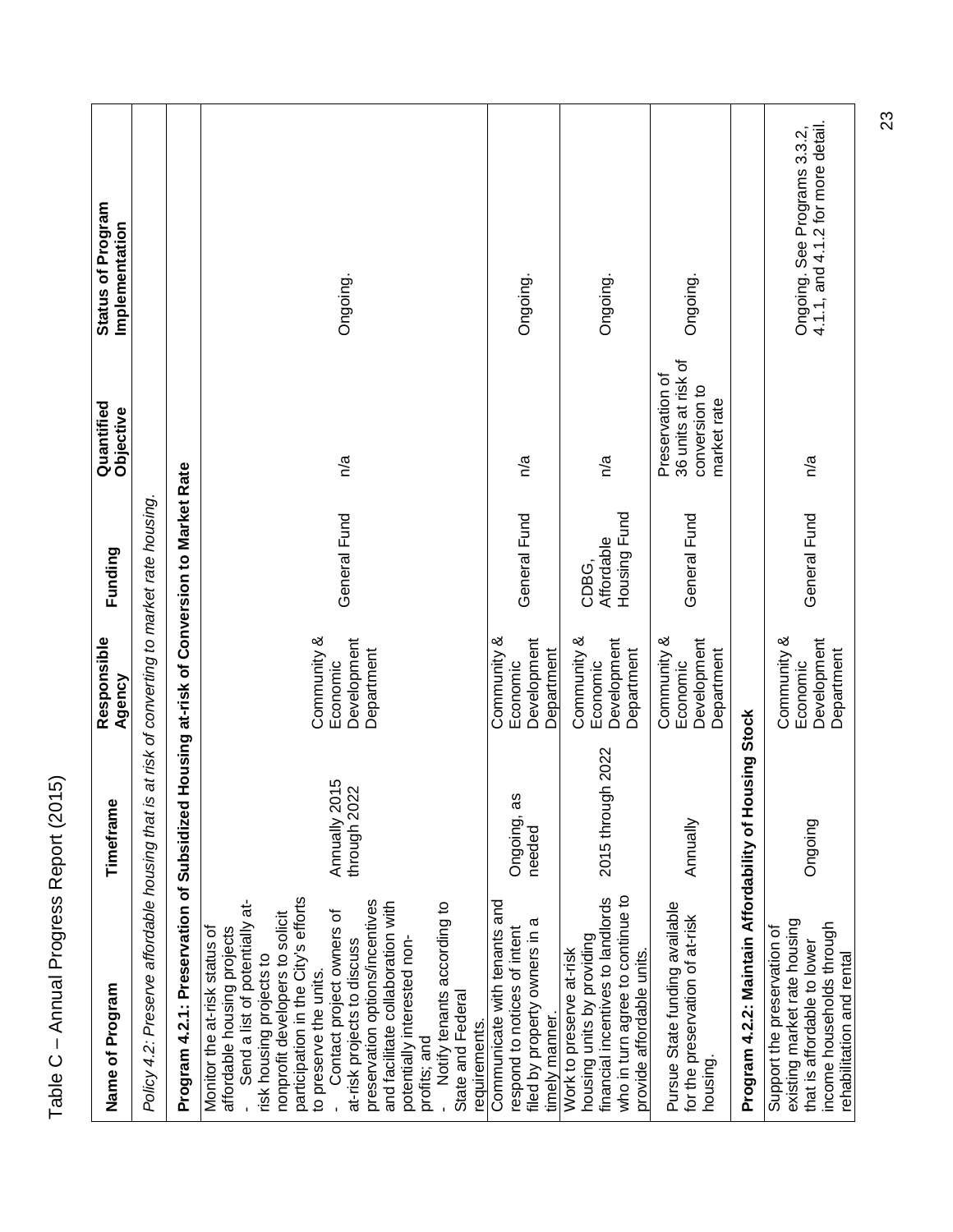| 2015                   |
|------------------------|
| Pannn<br>;<br>;)       |
| <b>こうこくこ</b><br>:<br>I |
| )<br>!<br>.<br>הסופר   |
|                        |
| $\frac{a}{b}$          |

|                                            | Policy 4.2: Preserve affordable housing that is at risk of converting to market rate housing.<br>Timeframe | Responsible<br>Agency                                | Funding                                                                                | Quantified<br>Objective                                                | Status of Program<br>Implementation                               |
|--------------------------------------------|------------------------------------------------------------------------------------------------------------|------------------------------------------------------|----------------------------------------------------------------------------------------|------------------------------------------------------------------------|-------------------------------------------------------------------|
|                                            |                                                                                                            |                                                      | Program 4.2.1: Preservation of Subsidized Housing at-risk of Conversion to Market Rate |                                                                        |                                                                   |
| Annually 2015<br>through 2022              |                                                                                                            | Community &<br>Development<br>Department<br>Economic | General Fund                                                                           | n/a                                                                    | Ongoing.                                                          |
| Ongoing, as<br>needed                      |                                                                                                            | Community &<br>Development<br>Department<br>Economic | General Fund                                                                           | n/a                                                                    | Ongoing.                                                          |
| 2015 through 2022                          |                                                                                                            | Community &<br>Development<br>Department<br>Economic | Housing Fund<br>Affordable<br>CDBG.                                                    | n/a                                                                    | Ongoing.                                                          |
| Annually                                   |                                                                                                            | Community &<br>Development<br>Department<br>Economic | General Fund                                                                           | 36 units at risk of<br>Preservation of<br>conversion to<br>market rate | Ongoing.                                                          |
| Program 4.2.2: Maintain Affordability of H | ousing Stock                                                                                               |                                                      |                                                                                        |                                                                        |                                                                   |
| Ongoing                                    |                                                                                                            | Community &<br>Development<br>Department<br>Economic | General Fund                                                                           | n/a                                                                    | 4.1.1, and 4.1.2 for more detail.<br>Ongoing. See Programs 3.3.2, |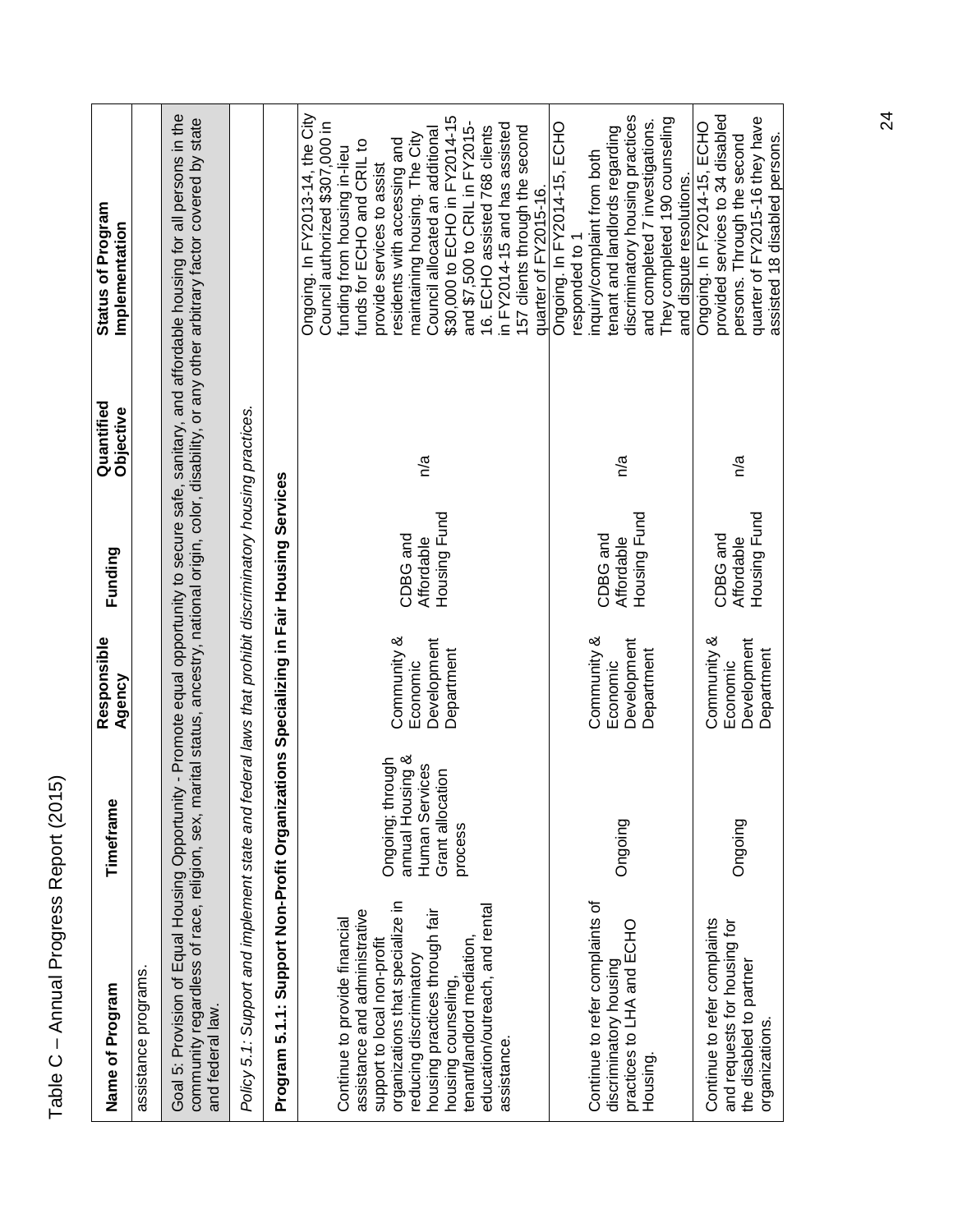| Name of Program                                                                       | Timeframe                            | Responsible<br>Agency   | Funding                                                      | Quantified<br><b>Objective</b> | <b>Status of Program</b><br>Implementation                                                                                                                                                                                                                                                                      |
|---------------------------------------------------------------------------------------|--------------------------------------|-------------------------|--------------------------------------------------------------|--------------------------------|-----------------------------------------------------------------------------------------------------------------------------------------------------------------------------------------------------------------------------------------------------------------------------------------------------------------|
| assistance programs                                                                   |                                      |                         |                                                              |                                |                                                                                                                                                                                                                                                                                                                 |
| and federal law.                                                                      |                                      |                         |                                                              |                                | Goal 5: Provision of Equal Housing Opportunity - Promote equal opportunity to secure safe, sanitary, and affordable housing for all persons in the<br>community regardless of race, religion, sex, marital status, ancestry, national origin, color, disability, or any other arbitrary factor covered by state |
| Policy 5.1: Support and implement state and                                           |                                      |                         | federal laws that prohibit discriminatory housing practices. |                                |                                                                                                                                                                                                                                                                                                                 |
| Program 5.1.1: Support Non-Profit Organizations Specializing in Fair Housing Services |                                      |                         |                                                              |                                |                                                                                                                                                                                                                                                                                                                 |
| assistance and administrative<br>Continue to provide financial                        |                                      |                         |                                                              |                                | Ongoing. In FY2013-14, the City<br>Council authorized \$307,000 in<br>funds for ECHO and CRIL to<br>funding from housing in-lieu                                                                                                                                                                                |
| organizations that specialize in<br>support to local non-profit                       | annual Housing &<br>Ongoing; through | Community &             | CDBG and                                                     |                                | residents with accessing and<br>provide services to assist                                                                                                                                                                                                                                                      |
| housing practices through fair<br>reducing discriminatory                             | Human Services                       | Development<br>Economic | Affordable                                                   | n/a                            | Council allocated an additional<br>maintaining housing. The City                                                                                                                                                                                                                                                |
| housing counseling,                                                                   | Grant allocation<br>process          | Department              | Housing Fund                                                 |                                | \$30,000 to ECHO in FY2014-15                                                                                                                                                                                                                                                                                   |
| tenant/landlord mediation,                                                            |                                      |                         |                                                              |                                | and \$7,500 to CRIL in FY2015-                                                                                                                                                                                                                                                                                  |
| education/outreach, and rental<br>assistance                                          |                                      |                         |                                                              |                                | in FY2014-15 and has assisted<br>16. ECHO assisted 768 clients                                                                                                                                                                                                                                                  |
|                                                                                       |                                      |                         |                                                              |                                | 157 clients through the second                                                                                                                                                                                                                                                                                  |
|                                                                                       |                                      |                         |                                                              |                                | quarter of FY2015-16.                                                                                                                                                                                                                                                                                           |
|                                                                                       |                                      |                         |                                                              |                                | Ongoing. In FY2014-15, ECHO<br>responded to 1                                                                                                                                                                                                                                                                   |
| Continue to refer complaints of                                                       |                                      | Community &             | CDBG and                                                     |                                | inquiry/complaint from both                                                                                                                                                                                                                                                                                     |
| discriminatory housing<br>practices to LHA and ECHO                                   | Ongoing                              | Economic                | Affordable                                                   | n/a                            | tenant and landlords regarding                                                                                                                                                                                                                                                                                  |
|                                                                                       |                                      | Development             | Housing Fund                                                 |                                | discriminatory housing practices                                                                                                                                                                                                                                                                                |
| Housing.                                                                              |                                      | Department              |                                                              |                                | and completed 7 investigations.                                                                                                                                                                                                                                                                                 |
|                                                                                       |                                      |                         |                                                              |                                | They completed 190 counseling                                                                                                                                                                                                                                                                                   |
|                                                                                       |                                      |                         |                                                              |                                | and dispute resolutions.                                                                                                                                                                                                                                                                                        |
| Continue to refer complaints                                                          |                                      | Community &             | CDBG and                                                     |                                | provided services to 34 disabled<br>Ongoing. In FY2014-15, ECHO                                                                                                                                                                                                                                                 |
| and requests for housing for<br>the disabled to partner                               | Ongoing                              | Development<br>Economic | Affordable                                                   | n/a                            | persons. Through the second                                                                                                                                                                                                                                                                                     |
| organizations.                                                                        |                                      | Department              | Housing Fund                                                 |                                | quarter of FY2015-16 they have                                                                                                                                                                                                                                                                                  |
|                                                                                       |                                      |                         |                                                              |                                | assisted 18 disabled persons.                                                                                                                                                                                                                                                                                   |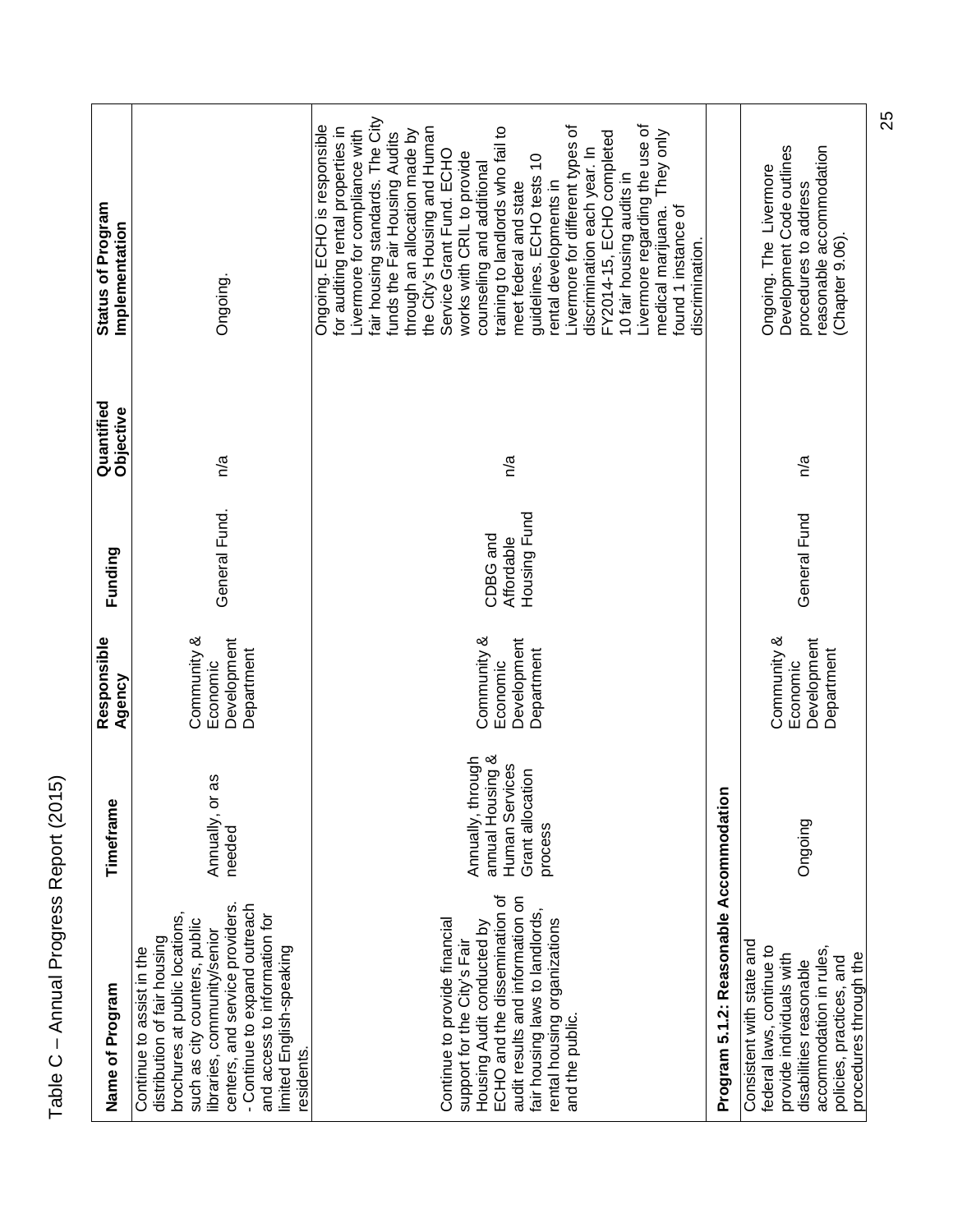| 200<        |
|-------------|
|             |
| Renon<br>!  |
|             |
| )<br>)<br>; |
| いりこく<br>١   |
|             |
| . IEI IUL   |
|             |
|             |
|             |
| 이어          |
|             |

| Name of Program                                                                                                                                                                                                                                                                                            | Timeframe                                                                              | Responsible<br>Agency                                | Funding                                | Quantified<br>Objective | <b>Status of Program</b><br>Implementation                                                                                                                                                                                                                                                                                                                                                                                                                                                                                                                                                                                                                                                         |
|------------------------------------------------------------------------------------------------------------------------------------------------------------------------------------------------------------------------------------------------------------------------------------------------------------|----------------------------------------------------------------------------------------|------------------------------------------------------|----------------------------------------|-------------------------|----------------------------------------------------------------------------------------------------------------------------------------------------------------------------------------------------------------------------------------------------------------------------------------------------------------------------------------------------------------------------------------------------------------------------------------------------------------------------------------------------------------------------------------------------------------------------------------------------------------------------------------------------------------------------------------------------|
| centers, and service providers.<br>- Continue to expand outreach<br>and access to information for<br>brochures at public locations,<br>such as city counters, public<br>libraries, community/senior<br>distribution of fair housing<br>limited English-speaking<br>Continue to assist in the<br>residents. | Annually, or as<br>needed                                                              | Community &<br>Economic<br>Development<br>Department | General Fund.                          | n/a                     | Ongoing.                                                                                                                                                                                                                                                                                                                                                                                                                                                                                                                                                                                                                                                                                           |
| ECHO and the dissemination of<br>audit results and information on<br>fair housing laws to landlords,<br>Continue to provide financial<br>rental housing organizations<br>Housing Audit conducted by<br>support for the City's Fair<br>and the public.                                                      | annual Housing &<br>Annually, through<br>Human Services<br>Grant allocation<br>process | Community &<br>Development<br>Department<br>Economic | Housing Fund<br>CDBG and<br>Affordable | n/a                     | fair housing standards. The City<br>Ongoing. ECHO is responsible<br>for auditing rental properties in<br>Livermore for different types of<br>Livermore regarding the use of<br>the City's Housing and Human<br>training to landlords who fail to<br>Livermore for compliance with<br>through an allocation made by<br>FY2014-15, ECHO completed<br>They only<br>funds the Fair Housing Audits<br>discrimination each year. In<br>Service Grant Fund. ECHO<br>works with CRIL to provide<br>guidelines. ECHO tests 10<br>counseling and additional<br>10 fair housing audits in<br>rental developments in<br>meet federal and state<br>medical marijuana.<br>found 1 instance of<br>discrimination. |
| Program 5.1.2: Reasonable Accommodation                                                                                                                                                                                                                                                                    |                                                                                        |                                                      |                                        |                         |                                                                                                                                                                                                                                                                                                                                                                                                                                                                                                                                                                                                                                                                                                    |
| Consistent with state and<br>federal laws, continue to<br>accommodation in rules,<br>procedures through the<br>provide individuals with<br>policies, practices, and<br>disabilities reasonable                                                                                                             | Ongoing                                                                                | Development<br>Community &<br>Department<br>Economic | General Fund                           | n/a                     | Development Code outlines<br>reasonable accommodation<br>Ongoing. The Livermore<br>procedures to address<br>(Chapter 9.06)                                                                                                                                                                                                                                                                                                                                                                                                                                                                                                                                                                         |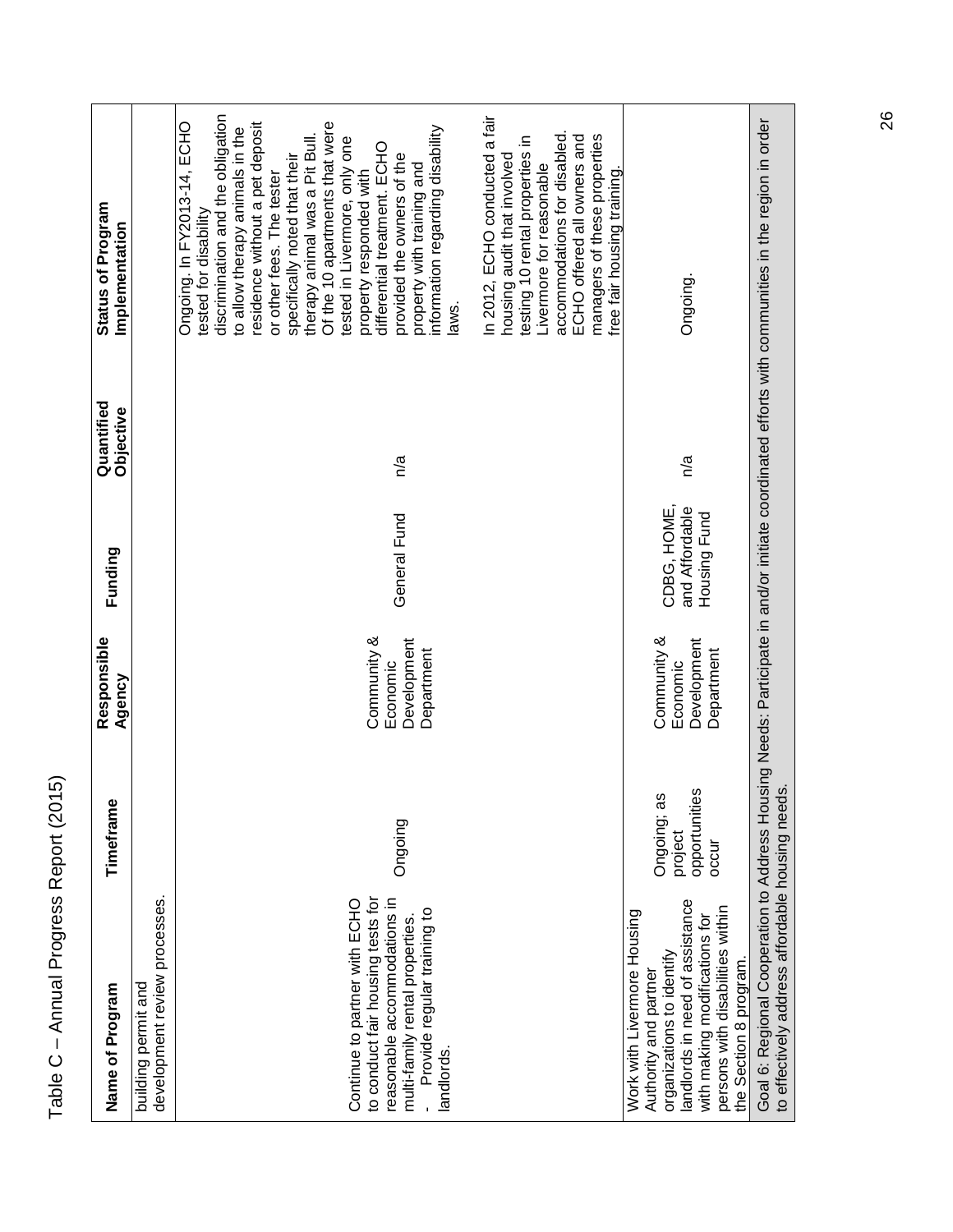| Name of Program                                                                                                                                                                                                    | Timeframe                                            | Responsible<br>Agency                                | Funding                                       | Quantified<br>Objective | Status of Program<br>Implementation                                                                                                                                                                                                                                                                                                                                                                                                                                                                                                      |
|--------------------------------------------------------------------------------------------------------------------------------------------------------------------------------------------------------------------|------------------------------------------------------|------------------------------------------------------|-----------------------------------------------|-------------------------|------------------------------------------------------------------------------------------------------------------------------------------------------------------------------------------------------------------------------------------------------------------------------------------------------------------------------------------------------------------------------------------------------------------------------------------------------------------------------------------------------------------------------------------|
| development review processes.<br>building permit and                                                                                                                                                               |                                                      |                                                      |                                               |                         |                                                                                                                                                                                                                                                                                                                                                                                                                                                                                                                                          |
| to conduct fair housing tests for<br>reasonable accommodations in<br>Continue to partner with ECHO<br>Provide regular training to<br>multi-family rental properties.<br>landlords.                                 | Ongoing                                              | Community &<br>Development<br>Department<br>Economic | General Fund                                  | n/a                     | discrimination and the obligation<br>In 2012, ECHO conducted a fair<br>Ongoing. In FY2013-14, ECHO<br>residence without a pet deposit<br>Of the 10 apartments that were<br>to allow therapy animals in the<br>information regarding disability<br>therapy animal was a Pit Bull.<br>tested in Livermore, only one<br>differential treatment. ECHO<br>provided the owners of the<br>specifically noted that their<br>property with training and<br>or other fees. The tester<br>property responded with<br>tested for disability<br>laws. |
|                                                                                                                                                                                                                    |                                                      |                                                      |                                               |                         | accommodations for disabled.<br>managers of these properties<br>testing 10 rental properties in<br>ECHO offered all owners and<br>housing audit that involved<br>Livermore for reasonable<br>free fair housing training                                                                                                                                                                                                                                                                                                                  |
| andlords in need of assistance<br>persons with disabilities within<br>Work with Livermore Housing<br>with making modifications for<br>organizations to identify<br>the Section 8 program.<br>Authority and partner | ပ<br>Ongoing; as<br>opportunitie<br>project<br>occur | Community &<br>Development<br>Department<br>Economic | CDBG, HOME,<br>and Affordable<br>Housing Fund | n/a                     | Ongoing.                                                                                                                                                                                                                                                                                                                                                                                                                                                                                                                                 |
| to effectively address affordable housing need                                                                                                                                                                     | $\dot{\omega}$                                       |                                                      |                                               |                         | Goal 6: Regional Cooperation to Address Housing Needs: Participate in and/or initiate coordinated efforts with communities in the region in order                                                                                                                                                                                                                                                                                                                                                                                        |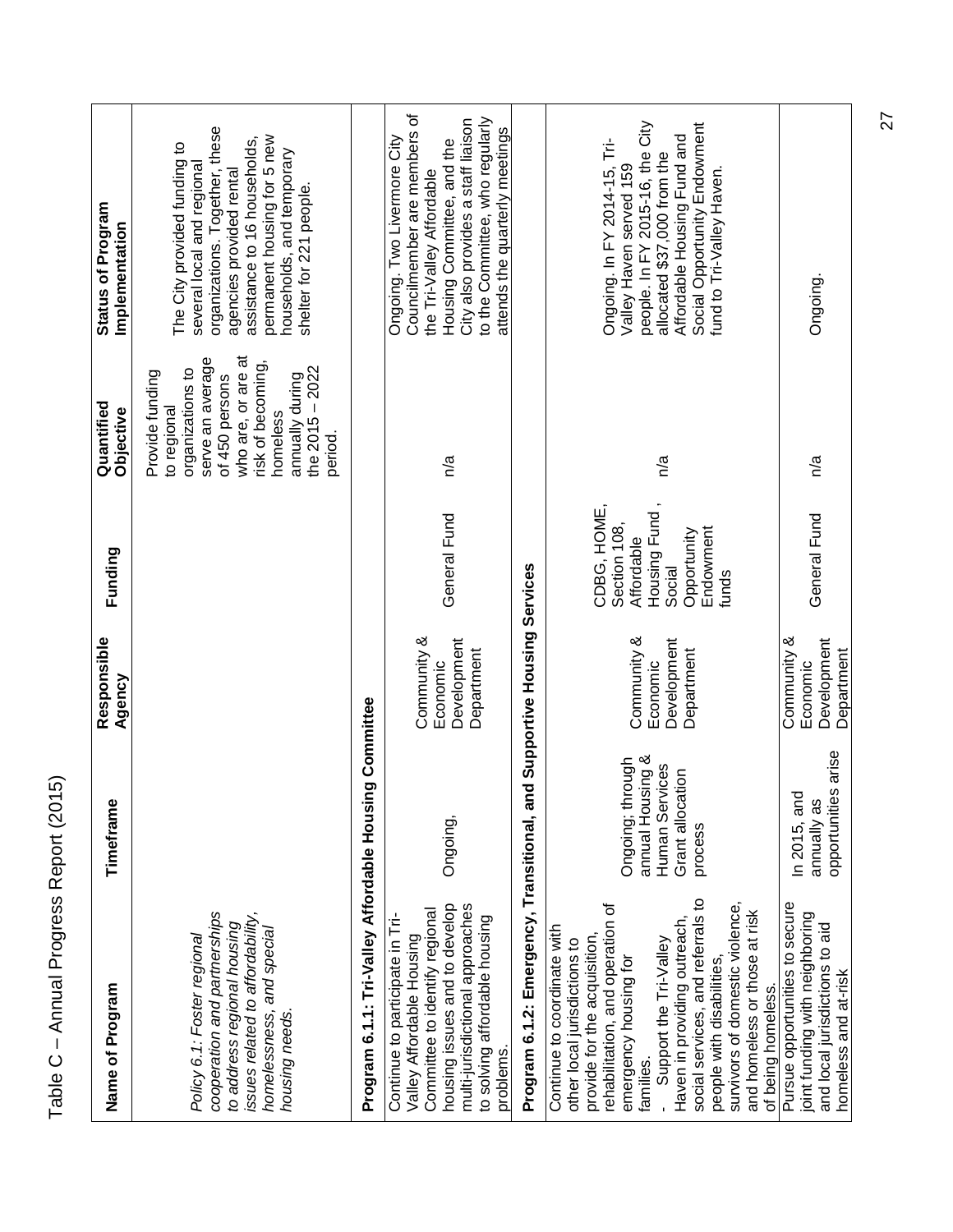| <b>DNU</b>        |  |
|-------------------|--|
|                   |  |
| č<br>ĺ            |  |
| いくこく              |  |
| ١<br>֧֦֡֝֓֝׆<br>׆ |  |
| .<br>.<br>.<br>.  |  |
|                   |  |
| (                 |  |
| I                 |  |

| Name of Program                                                                                                                                                                                                                                                                                                                                                                             | Timeframe                                                                             | Responsible<br>Agency                                | Funding                                                                                                   | Quantified<br>Objective                                                                                                                                                                            | Status of Program<br>Implementation                                                                                                                                                                                                             |
|---------------------------------------------------------------------------------------------------------------------------------------------------------------------------------------------------------------------------------------------------------------------------------------------------------------------------------------------------------------------------------------------|---------------------------------------------------------------------------------------|------------------------------------------------------|-----------------------------------------------------------------------------------------------------------|----------------------------------------------------------------------------------------------------------------------------------------------------------------------------------------------------|-------------------------------------------------------------------------------------------------------------------------------------------------------------------------------------------------------------------------------------------------|
| cooperation and partnerships<br>issues related to affordability,<br>to address regional housing<br>homelessness, and special<br>Policy 6.1: Foster regional<br>housing needs.                                                                                                                                                                                                               |                                                                                       |                                                      |                                                                                                           | who are, or are at<br>serve an average<br>risk of becoming,<br>the $2015 - 2022$<br>organizations to<br>Provide funding<br>annually during<br>of 450 persons<br>to regional<br>homeless<br>period. | organizations. Together, these<br>permanent housing for 5 new<br>assistance to 16 households,<br>The City provided funding to<br>households, and temporary<br>several local and regional<br>agencies provided rental<br>shelter for 221 people. |
| Program 6.1.1: Tri-Valley Affordable Hous                                                                                                                                                                                                                                                                                                                                                   | ing Committee                                                                         |                                                      |                                                                                                           |                                                                                                                                                                                                    |                                                                                                                                                                                                                                                 |
| housing issues and to develop<br>multi-jurisdictional approaches<br>Committee to identify regional<br>to solving affordable housing<br>Continue to participate in Tri-<br>Valley Affordable Housing<br>problems                                                                                                                                                                             | Ongoing,                                                                              | Community &<br>Development<br>Department<br>Economic | General Fund                                                                                              | n/a                                                                                                                                                                                                | Councilmember are members of<br>City also provides a staff liaison<br>to the Committee, who regularly<br>attends the quarterly meetings<br>Ongoing. Two Livermore City<br>Housing Committee, and the<br>the Tri-Valley Affordable               |
| Program 6.1.2: Emergency, Transitional, and Supportive Housing Services                                                                                                                                                                                                                                                                                                                     |                                                                                       |                                                      |                                                                                                           |                                                                                                                                                                                                    |                                                                                                                                                                                                                                                 |
| social services, and referrals to<br>survivors of domestic violence,<br>rehabilitation, and operation of<br>and homeless or those at risk<br>Haven in providing outreach,<br>Continue to coordinate with<br>provide for the acquisition,<br>Support the Tri-Valley<br>other local jurisdictions to<br>emergency housing for<br>people with disabilities,<br>of being homeless.<br>families. | annual Housing &<br>Ongoing; through<br>Human Services<br>Grant allocation<br>process | Community &<br>Development<br>Department<br>Economic | Housing Fund,<br>CDBG, HOME,<br>Section 108,<br>Endowment<br>Opportunity<br>Affordable<br>Social<br>funds | n/a                                                                                                                                                                                                | people. In FY 2015-16, the City<br>Social Opportunity Endowment<br>Affordable Housing Fund and<br>Ongoing. In FY 2014-15, Tri-<br>allocated \$37,000 from the<br>Valley Haven served 159<br>fund to Tri-Valley Haven.                           |
| Pursue opportunities to secure<br>joint funding with neighboring<br>and local jurisdictions to aid<br>homeless and at-risk                                                                                                                                                                                                                                                                  | opportunities arise<br>In 2015, and<br>annually as                                    | Community &<br>Development<br>Department<br>Economic | General Fund                                                                                              | n/a                                                                                                                                                                                                | Ongoing.                                                                                                                                                                                                                                        |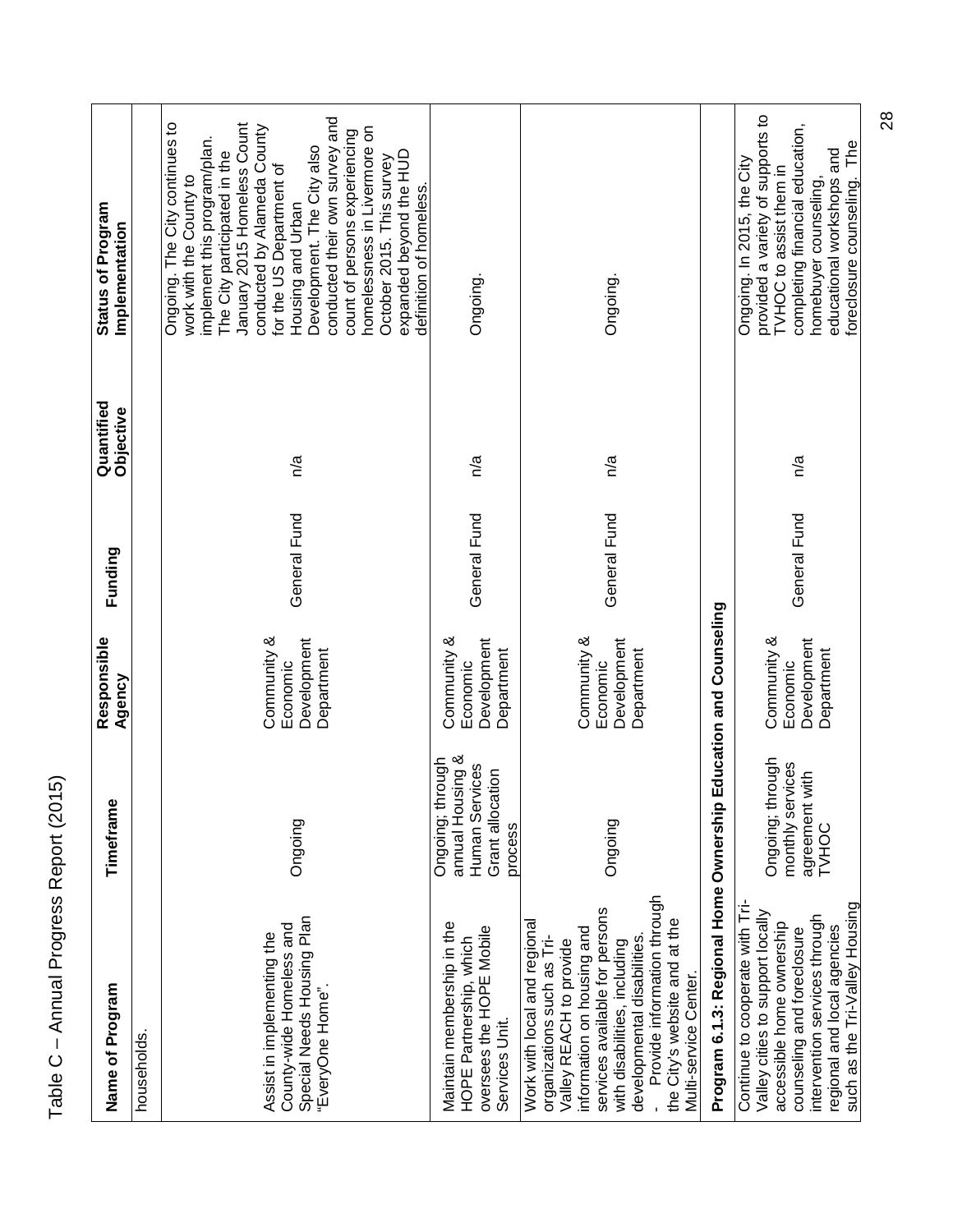| Name of Program                                                                                                                                                                                                                                                                                               | Timeframe                                                                             | Responsible<br>Agency                                | Funding      | Quantified<br>Objective | <b>Status of Program</b><br>Implementation                                                                                                                                                                                                                                                                                                                                                                                                                   |
|---------------------------------------------------------------------------------------------------------------------------------------------------------------------------------------------------------------------------------------------------------------------------------------------------------------|---------------------------------------------------------------------------------------|------------------------------------------------------|--------------|-------------------------|--------------------------------------------------------------------------------------------------------------------------------------------------------------------------------------------------------------------------------------------------------------------------------------------------------------------------------------------------------------------------------------------------------------------------------------------------------------|
| households                                                                                                                                                                                                                                                                                                    |                                                                                       |                                                      |              |                         |                                                                                                                                                                                                                                                                                                                                                                                                                                                              |
| Special Needs Housing Plan<br>County-wide Homeless and<br>Assist in implementing the<br>"EveryOne Home"                                                                                                                                                                                                       | Ongoing                                                                               | Community &<br>Development<br>Department<br>Economic | General Fund | n/a                     | conducted their own survey and<br>Ongoing. The City continues to<br>January 2015 Homeless Count<br>conducted by Alameda County<br>homelessness in Livermore on<br>count of persons experiencing<br>implement this program/plan.<br>Development. The City also<br>expanded beyond the HUD<br>The City participated in the<br>October 2015. This survey<br>for the US Department of<br>work with the County to<br>definition of homeless.<br>Housing and Urban |
| Maintain membership in the<br>oversees the HOPE Mobile<br>HOPE Partnership, which<br>Services Unit.                                                                                                                                                                                                           | annual Housing &<br>Ongoing; through<br>Human Services<br>Grant allocation<br>process | Community &<br>Development<br>Department<br>Economic | General Fund | n/a                     | Ongoing.                                                                                                                                                                                                                                                                                                                                                                                                                                                     |
| Provide information through<br>services available for persons<br>the City's website and at the<br>Work with local and regional<br>information on housing and<br>organizations such as Tri-<br>developmental disabilities.<br>Valley REACH to provide<br>with disabilities, including<br>Multi-service Center. | Ongoing                                                                               | Community &<br>Development<br>Department<br>Economic | General Fund | n/a                     | Ongoing.                                                                                                                                                                                                                                                                                                                                                                                                                                                     |
| Program 6.1.3: Regional Home Ownership                                                                                                                                                                                                                                                                        |                                                                                       | Education and Counseling                             |              |                         |                                                                                                                                                                                                                                                                                                                                                                                                                                                              |
| Continue to cooperate with Tri-<br>such as the Tri-Valley Housing<br>Valley cities to support locally<br>intervention services through<br>accessible home ownership<br>regional and local agencies<br>counseling and foreclosure                                                                              | Ongoing; through<br>monthly services<br>with<br>agreement<br>TVHOC                    | Community &<br>Development<br>Department<br>Economic | General Fund | n/a                     | provided a variety of supports to<br>completing financial education,<br>foreclosure counseling. The<br>educational workshops and<br>Ongoing. In 2015, the City<br>TVHOC to assist them in<br>homebuyer counseling,                                                                                                                                                                                                                                           |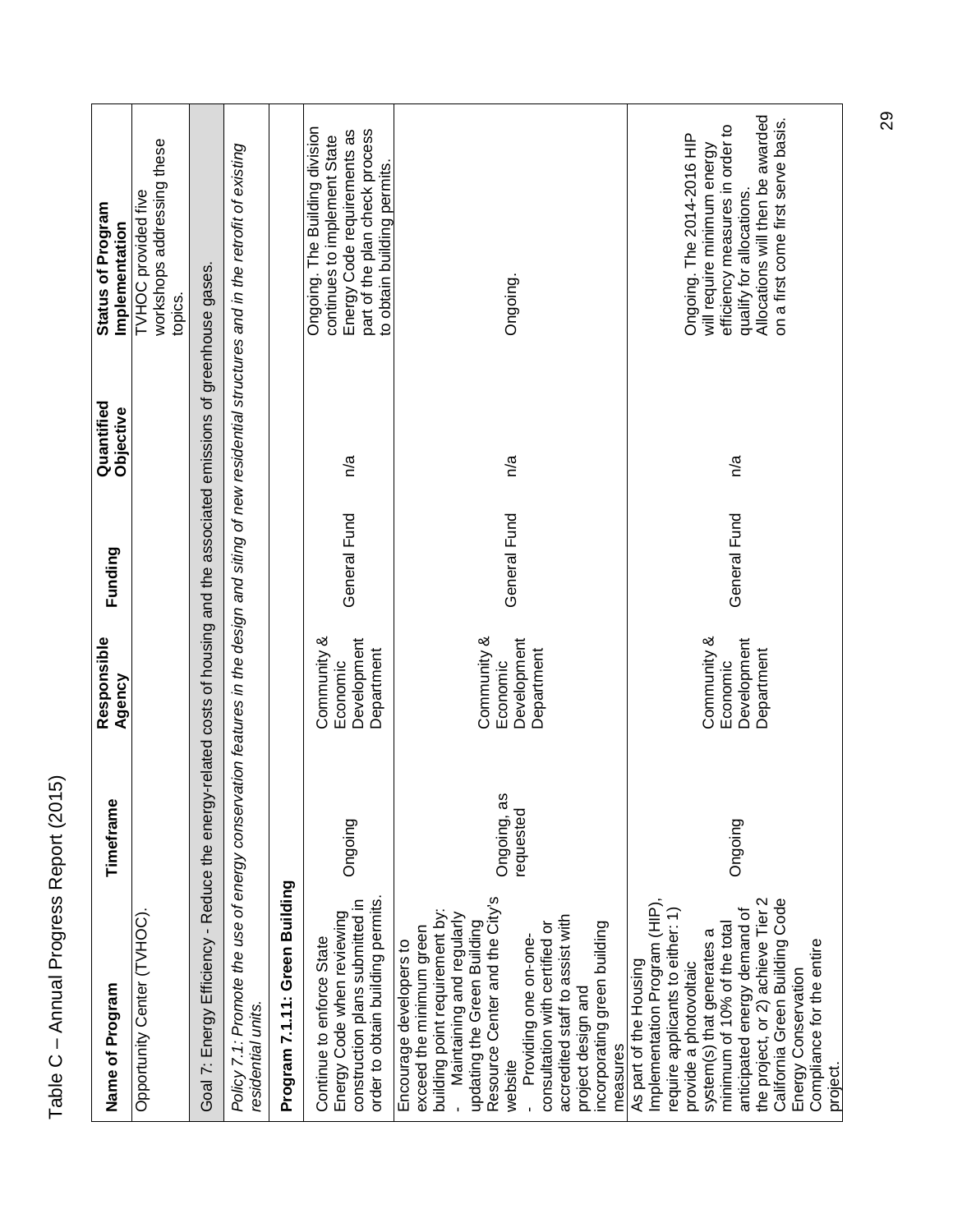| ļ<br>ı        |
|---------------|
|               |
| Š<br>.<br>1   |
|               |
|               |
|               |
|               |
|               |
|               |
| ミくく           |
| ı             |
|               |
| $\frac{1}{2}$ |
|               |
|               |
| くくらくらい<br>١   |
|               |
|               |
|               |
|               |
|               |
| ה<br>הממ      |
|               |
|               |
|               |
|               |
|               |
|               |
| ı             |
|               |
|               |
|               |
|               |
|               |

| Name of Program                                                                                                                                                                                                                                                                                                                                                | Timeframe                    | Responsible<br>Agency                                | Funding      | Quantified<br>Objective | Status of Program<br>Implementation                                                                                                                                                                |
|----------------------------------------------------------------------------------------------------------------------------------------------------------------------------------------------------------------------------------------------------------------------------------------------------------------------------------------------------------------|------------------------------|------------------------------------------------------|--------------|-------------------------|----------------------------------------------------------------------------------------------------------------------------------------------------------------------------------------------------|
| Opportunity Center (TVHOC).                                                                                                                                                                                                                                                                                                                                    |                              |                                                      |              |                         | workshops addressing these<br>TVHOC provided five<br>topics.                                                                                                                                       |
| Goal 7: Energy Efficiency - Reduce the energy-related costs of housing and the associated emissions of greenhouse gases.                                                                                                                                                                                                                                       |                              |                                                      |              |                         |                                                                                                                                                                                                    |
| Policy 7.1: Promote the use of energy conser<br>residential units.                                                                                                                                                                                                                                                                                             |                              |                                                      |              |                         | vation features in the design and siting of new residential structures and in the retrofit of existing                                                                                             |
| Program 7.1.11: Green Building                                                                                                                                                                                                                                                                                                                                 |                              |                                                      |              |                         |                                                                                                                                                                                                    |
| order to obtain building permits.<br>construction plans submitted in<br>Energy Code when reviewing<br>Continue to enforce State                                                                                                                                                                                                                                | Ongoing                      | Development<br>Community &<br>Department<br>Economic | General Fund | n/a                     | Ongoing. The Building division<br>part of the plan check process<br>Energy Code requirements as<br>continues to implement State<br>to obtain building permits.                                     |
| Resource Center and the City's<br>building point requirement by:<br>Maintaining and regularly<br>accredited staff to assist with<br>updating the Green Building<br>incorporating green building<br>consultation with certified or<br>exceed the minimum green<br>Providing one on-one-<br>Encourage developers to<br>project design and<br>measures<br>website | w<br>Ongoing, a<br>requested | Community &<br>Development<br>Department<br>Economic | General Fund | n/a                     | Ongoing.                                                                                                                                                                                           |
| the project, or 2) achieve Tier 2<br>Implementation Program (HIP),<br>California Green Building Code<br>require applicants to either: 1)<br>anticipated energy demand of<br>minimum of 10% of the total<br>system(s) that generates a<br>Compliance for the entire<br>As part of the Housing<br>provide a photovoltaic<br>Energy Conservation<br>project.      | Ongoing                      | Community &<br>Development<br>Department<br>Economic | General Fund | n/a                     | Allocations will then be awarded<br>on a first come first serve basis.<br>efficiency measures in order to<br>Ongoing. The 2014-2016 HIP<br>will require minimum energy<br>qualify for allocations. |